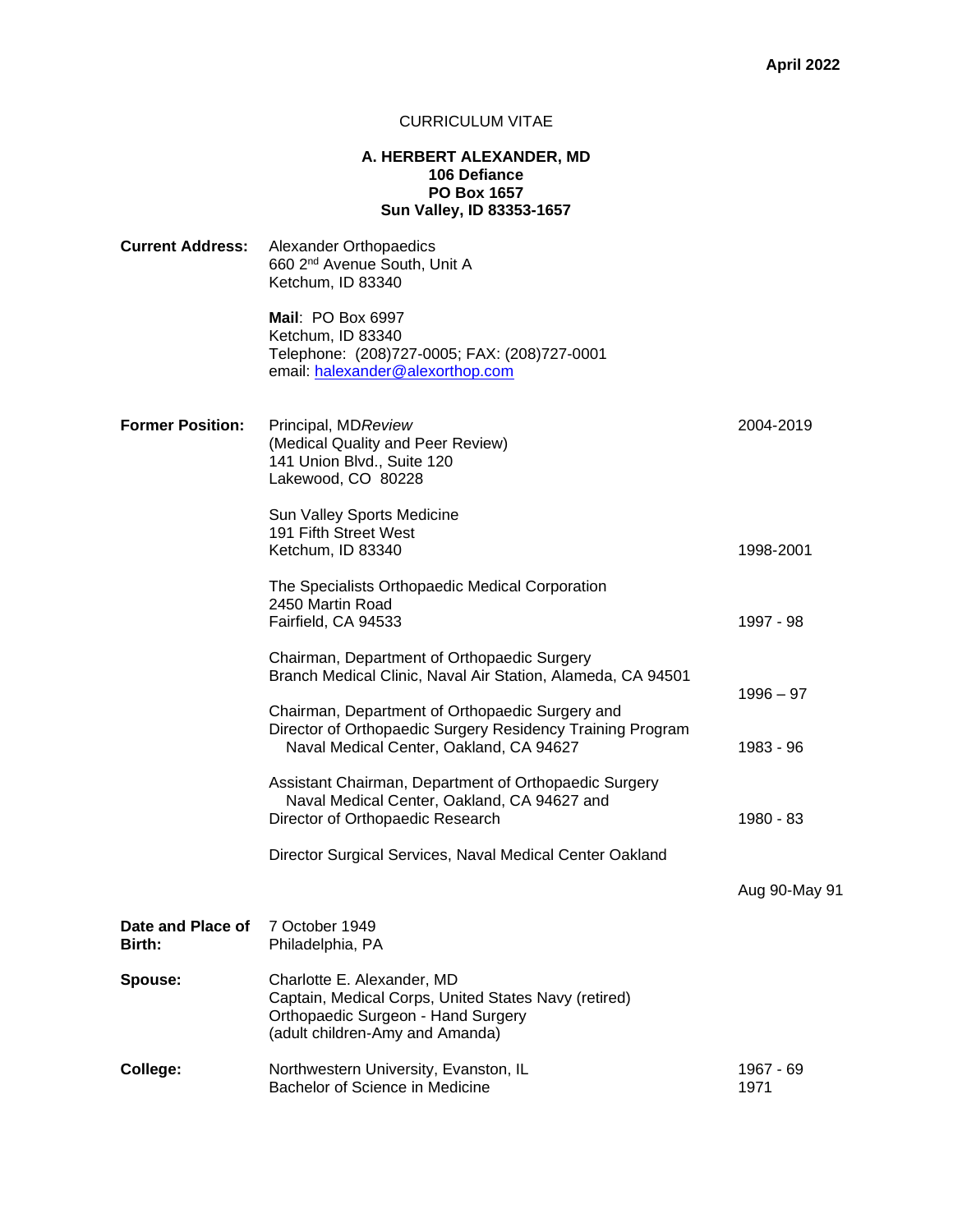## CURRICULUM VITAE

## **A. HERBERT ALEXANDER, MD 106 Defiance PO Box 1657 Sun Valley, ID 83353-1657**

| <b>Current Address:</b>     | Alexander Orthopaedics<br>660 2 <sup>nd</sup> Avenue South, Unit A<br>Ketchum, ID 83340                                                                     |                   |
|-----------------------------|-------------------------------------------------------------------------------------------------------------------------------------------------------------|-------------------|
|                             | Mail: PO Box 6997<br>Ketchum, ID 83340<br>Telephone: (208)727-0005; FAX: (208)727-0001<br>email: halexander@alexorthop.com                                  |                   |
| <b>Former Position:</b>     | Principal, MDReview<br>(Medical Quality and Peer Review)<br>141 Union Blvd., Suite 120<br>Lakewood, CO 80228                                                | 2004-2019         |
|                             | Sun Valley Sports Medicine<br>191 Fifth Street West<br>Ketchum, ID 83340                                                                                    | 1998-2001         |
|                             | The Specialists Orthopaedic Medical Corporation<br>2450 Martin Road<br>Fairfield, CA 94533                                                                  | 1997 - 98         |
|                             | Chairman, Department of Orthopaedic Surgery<br>Branch Medical Clinic, Naval Air Station, Alameda, CA 94501                                                  | $1996 - 97$       |
|                             | Chairman, Department of Orthopaedic Surgery and<br>Director of Orthopaedic Surgery Residency Training Program<br>Naval Medical Center, Oakland, CA 94627    | 1983 - 96         |
|                             | Assistant Chairman, Department of Orthopaedic Surgery<br>Naval Medical Center, Oakland, CA 94627 and<br>Director of Orthopaedic Research                    | 1980 - 83         |
|                             | Director Surgical Services, Naval Medical Center Oakland                                                                                                    |                   |
|                             |                                                                                                                                                             | Aug 90-May 91     |
| Date and Place of<br>Birth: | 7 October 1949<br>Philadelphia, PA                                                                                                                          |                   |
| Spouse:                     | Charlotte E. Alexander, MD<br>Captain, Medical Corps, United States Navy (retired)<br>Orthopaedic Surgeon - Hand Surgery<br>(adult children-Amy and Amanda) |                   |
| College:                    | Northwestern University, Evanston, IL<br>Bachelor of Science in Medicine                                                                                    | 1967 - 69<br>1971 |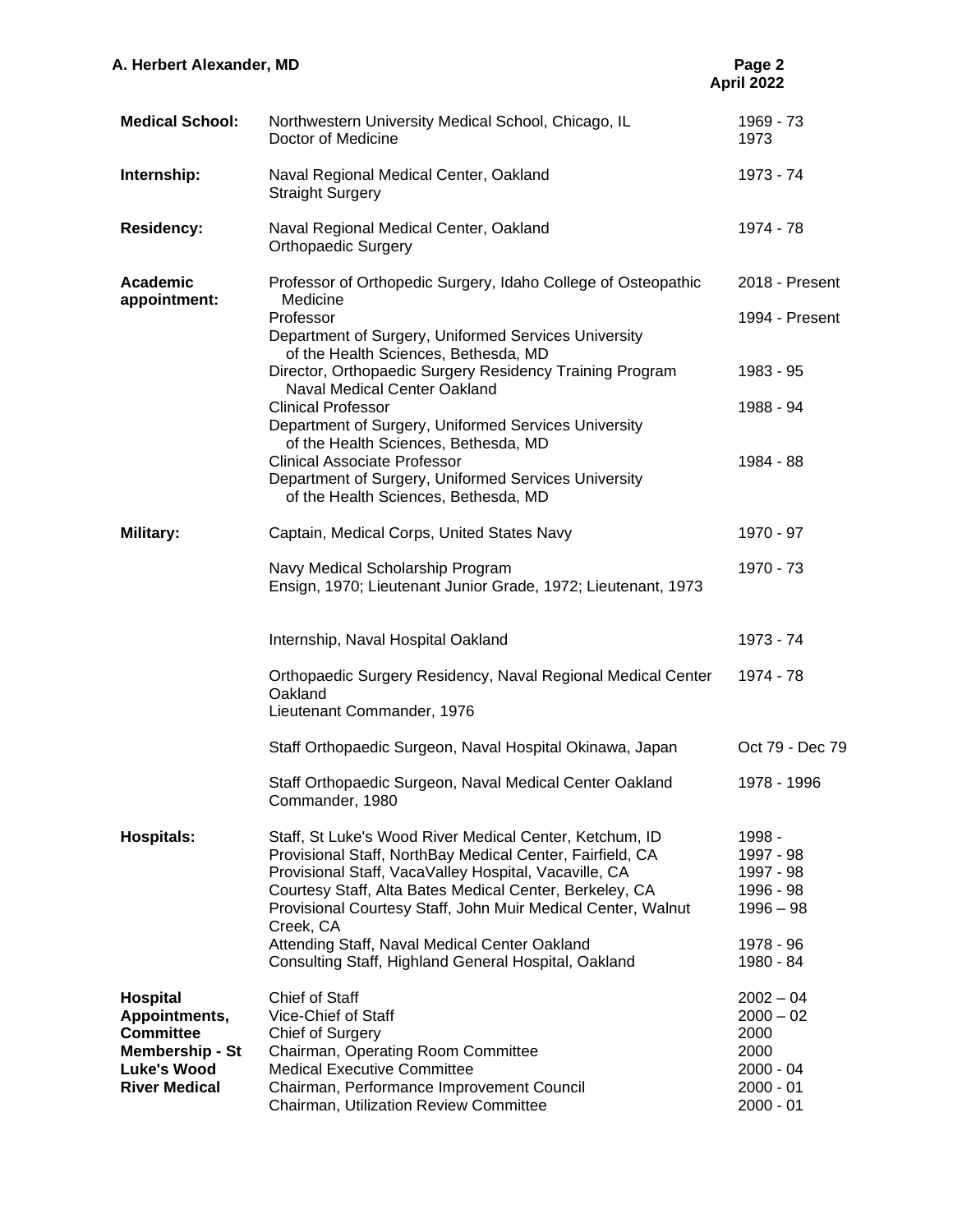| A. Herbert Alexander, MD                                                                                                     |                                                                                                                                                                                                                                                                                                                                                                                                                                | Page 2<br>April 2022                                                                    |
|------------------------------------------------------------------------------------------------------------------------------|--------------------------------------------------------------------------------------------------------------------------------------------------------------------------------------------------------------------------------------------------------------------------------------------------------------------------------------------------------------------------------------------------------------------------------|-----------------------------------------------------------------------------------------|
| <b>Medical School:</b>                                                                                                       | Northwestern University Medical School, Chicago, IL<br>Doctor of Medicine                                                                                                                                                                                                                                                                                                                                                      | 1969 - 73<br>1973                                                                       |
| Internship:                                                                                                                  | Naval Regional Medical Center, Oakland<br><b>Straight Surgery</b>                                                                                                                                                                                                                                                                                                                                                              | 1973 - 74                                                                               |
| <b>Residency:</b>                                                                                                            | Naval Regional Medical Center, Oakland<br><b>Orthopaedic Surgery</b>                                                                                                                                                                                                                                                                                                                                                           | 1974 - 78                                                                               |
| <b>Academic</b><br>appointment:                                                                                              | Professor of Orthopedic Surgery, Idaho College of Osteopathic<br>Medicine<br>Professor<br>Department of Surgery, Uniformed Services University                                                                                                                                                                                                                                                                                 | 2018 - Present<br>1994 - Present                                                        |
|                                                                                                                              | of the Health Sciences, Bethesda, MD<br>Director, Orthopaedic Surgery Residency Training Program<br><b>Naval Medical Center Oakland</b>                                                                                                                                                                                                                                                                                        | 1983 - 95                                                                               |
|                                                                                                                              | <b>Clinical Professor</b><br>Department of Surgery, Uniformed Services University<br>of the Health Sciences, Bethesda, MD<br><b>Clinical Associate Professor</b><br>Department of Surgery, Uniformed Services University<br>of the Health Sciences, Bethesda, MD                                                                                                                                                               | 1988 - 94<br>1984 - 88                                                                  |
| <b>Military:</b>                                                                                                             | Captain, Medical Corps, United States Navy                                                                                                                                                                                                                                                                                                                                                                                     | 1970 - 97                                                                               |
|                                                                                                                              | Navy Medical Scholarship Program<br>Ensign, 1970; Lieutenant Junior Grade, 1972; Lieutenant, 1973                                                                                                                                                                                                                                                                                                                              | 1970 - 73                                                                               |
|                                                                                                                              | Internship, Naval Hospital Oakland                                                                                                                                                                                                                                                                                                                                                                                             | 1973 - 74                                                                               |
|                                                                                                                              | Orthopaedic Surgery Residency, Naval Regional Medical Center<br>Oakland<br>Lieutenant Commander, 1976                                                                                                                                                                                                                                                                                                                          | 1974 - 78                                                                               |
|                                                                                                                              | Staff Orthopaedic Surgeon, Naval Hospital Okinawa, Japan                                                                                                                                                                                                                                                                                                                                                                       | Oct 79 - Dec 79                                                                         |
|                                                                                                                              | Staff Orthopaedic Surgeon, Naval Medical Center Oakland<br>Commander, 1980                                                                                                                                                                                                                                                                                                                                                     | 1978 - 1996                                                                             |
| <b>Hospitals:</b>                                                                                                            | Staff, St Luke's Wood River Medical Center, Ketchum, ID<br>Provisional Staff, NorthBay Medical Center, Fairfield, CA<br>Provisional Staff, VacaValley Hospital, Vacaville, CA<br>Courtesy Staff, Alta Bates Medical Center, Berkeley, CA<br>Provisional Courtesy Staff, John Muir Medical Center, Walnut<br>Creek, CA<br>Attending Staff, Naval Medical Center Oakland<br>Consulting Staff, Highland General Hospital, Oakland | 1998 -<br>1997 - 98<br>1997 - 98<br>1996 - 98<br>$1996 - 98$<br>1978 - 96<br>1980 - 84  |
| <b>Hospital</b><br>Appointments,<br><b>Committee</b><br><b>Membership - St</b><br><b>Luke's Wood</b><br><b>River Medical</b> | Chief of Staff<br>Vice-Chief of Staff<br>Chief of Surgery<br>Chairman, Operating Room Committee<br><b>Medical Executive Committee</b><br>Chairman, Performance Improvement Council<br>Chairman, Utilization Review Committee                                                                                                                                                                                                   | $2002 - 04$<br>$2000 - 02$<br>2000<br>2000<br>$2000 - 04$<br>$2000 - 01$<br>$2000 - 01$ |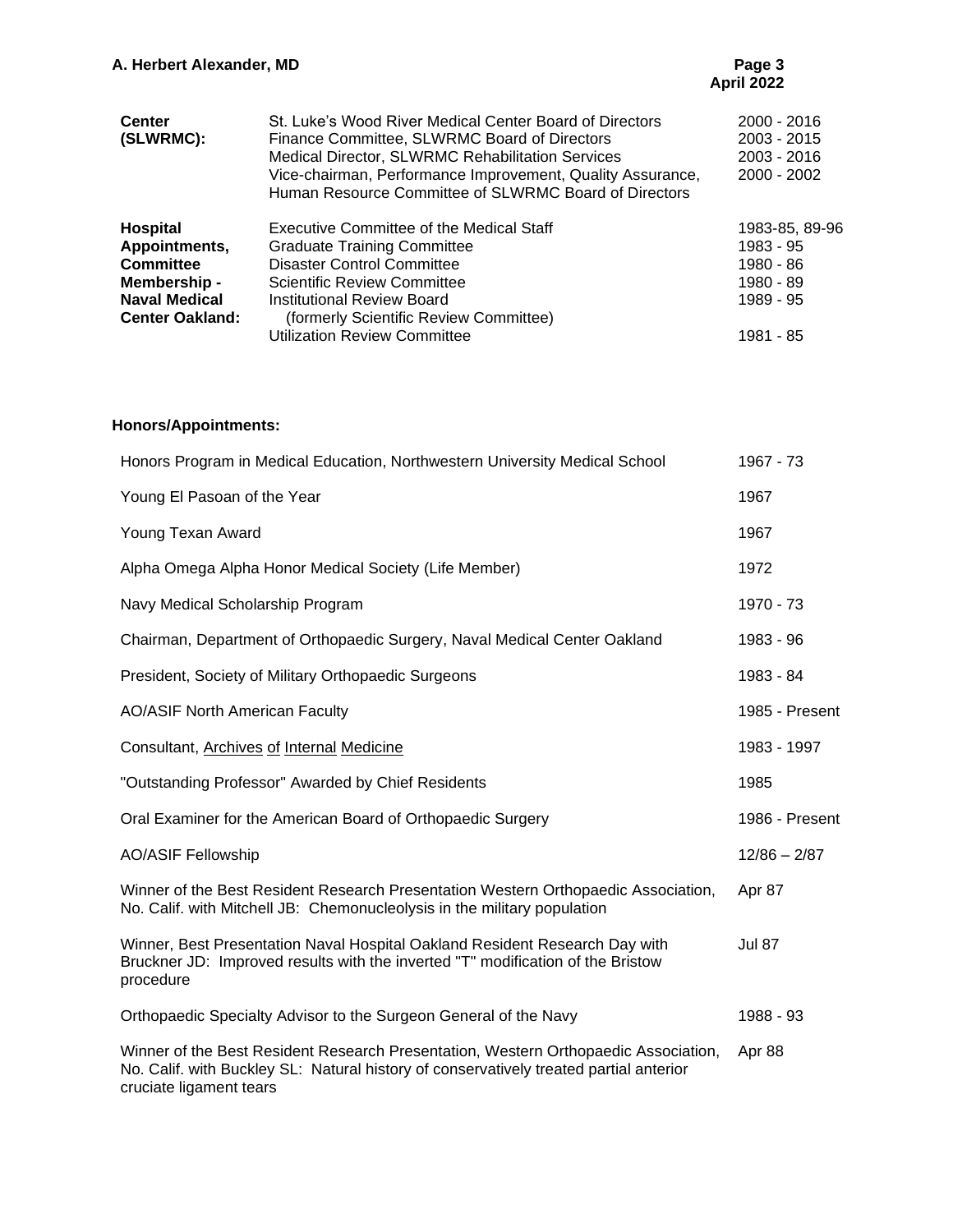# **April 2022**

| <b>Center</b><br>(SLWRMC):                                                                                             | St. Luke's Wood River Medical Center Board of Directors<br>Finance Committee, SLWRMC Board of Directors<br>Medical Director, SLWRMC Rehabilitation Services<br>Vice-chairman, Performance Improvement, Quality Assurance,<br>Human Resource Committee of SLWRMC Board of Directors | $2000 - 2016$<br>2003 - 2015<br>2003 - 2016<br>$2000 - 2002$       |
|------------------------------------------------------------------------------------------------------------------------|------------------------------------------------------------------------------------------------------------------------------------------------------------------------------------------------------------------------------------------------------------------------------------|--------------------------------------------------------------------|
| <b>Hospital</b><br>Appointments,<br><b>Committee</b><br>Membership -<br><b>Naval Medical</b><br><b>Center Oakland:</b> | Executive Committee of the Medical Staff<br><b>Graduate Training Committee</b><br><b>Disaster Control Committee</b><br><b>Scientific Review Committee</b><br>Institutional Review Board<br>(formerly Scientific Review Committee)                                                  | 1983-85, 89-96<br>1983 - 95<br>1980 - 86<br>1980 - 89<br>1989 - 95 |
|                                                                                                                        | <b>Utilization Review Committee</b>                                                                                                                                                                                                                                                | 1981 - 85                                                          |

## **Honors/Appointments:**

| Honors Program in Medical Education, Northwestern University Medical School                                                                                                                              | 1967 - 73      |
|----------------------------------------------------------------------------------------------------------------------------------------------------------------------------------------------------------|----------------|
| Young El Pasoan of the Year                                                                                                                                                                              | 1967           |
| Young Texan Award                                                                                                                                                                                        | 1967           |
| Alpha Omega Alpha Honor Medical Society (Life Member)                                                                                                                                                    | 1972           |
| Navy Medical Scholarship Program                                                                                                                                                                         | 1970 - 73      |
| Chairman, Department of Orthopaedic Surgery, Naval Medical Center Oakland                                                                                                                                | 1983 - 96      |
| President, Society of Military Orthopaedic Surgeons                                                                                                                                                      | 1983 - 84      |
| <b>AO/ASIF North American Faculty</b>                                                                                                                                                                    | 1985 - Present |
| Consultant, Archives of Internal Medicine                                                                                                                                                                | 1983 - 1997    |
| "Outstanding Professor" Awarded by Chief Residents                                                                                                                                                       | 1985           |
| Oral Examiner for the American Board of Orthopaedic Surgery                                                                                                                                              | 1986 - Present |
| <b>AO/ASIF Fellowship</b>                                                                                                                                                                                | $12/86 - 2/87$ |
| Winner of the Best Resident Research Presentation Western Orthopaedic Association,<br>No. Calif. with Mitchell JB: Chemonucleolysis in the military population                                           | Apr 87         |
| Winner, Best Presentation Naval Hospital Oakland Resident Research Day with<br>Bruckner JD: Improved results with the inverted "T" modification of the Bristow<br>procedure                              | Jul 87         |
| Orthopaedic Specialty Advisor to the Surgeon General of the Navy                                                                                                                                         | 1988 - 93      |
| Winner of the Best Resident Research Presentation, Western Orthopaedic Association,<br>No. Calif. with Buckley SL: Natural history of conservatively treated partial anterior<br>cruciate ligament tears | Apr 88         |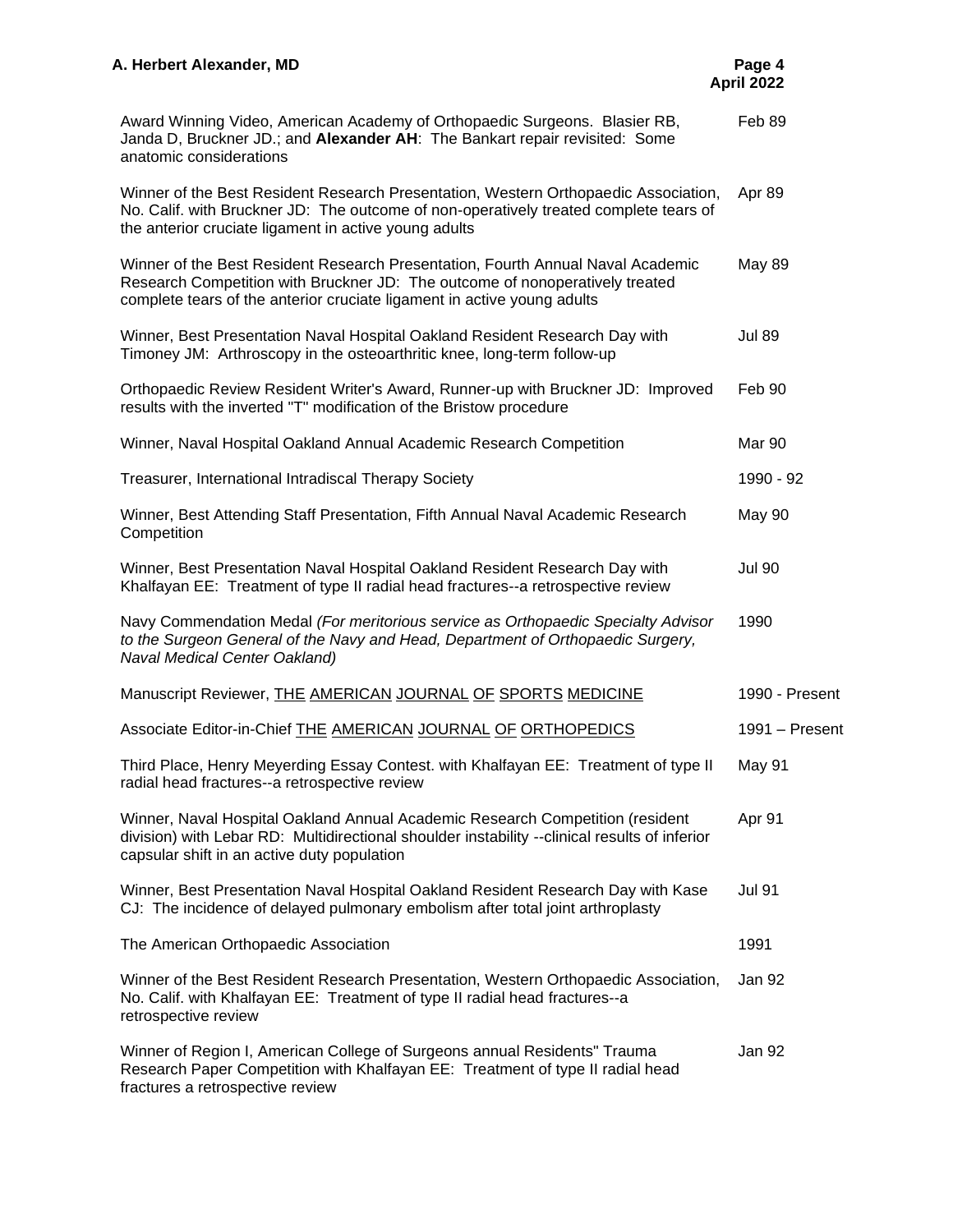| Award Winning Video, American Academy of Orthopaedic Surgeons. Blasier RB,<br>Janda D, Bruckner JD.; and Alexander AH: The Bankart repair revisited: Some<br>anatomic considerations                                                       | Feb 89         |
|--------------------------------------------------------------------------------------------------------------------------------------------------------------------------------------------------------------------------------------------|----------------|
| Winner of the Best Resident Research Presentation, Western Orthopaedic Association,<br>No. Calif. with Bruckner JD: The outcome of non-operatively treated complete tears of<br>the anterior cruciate ligament in active young adults      | Apr 89         |
| Winner of the Best Resident Research Presentation, Fourth Annual Naval Academic<br>Research Competition with Bruckner JD: The outcome of nonoperatively treated<br>complete tears of the anterior cruciate ligament in active young adults | <b>May 89</b>  |
| Winner, Best Presentation Naval Hospital Oakland Resident Research Day with<br>Timoney JM: Arthroscopy in the osteoarthritic knee, long-term follow-up                                                                                     | <b>Jul 89</b>  |
| Orthopaedic Review Resident Writer's Award, Runner-up with Bruckner JD: Improved<br>results with the inverted "T" modification of the Bristow procedure                                                                                    | Feb 90         |
| Winner, Naval Hospital Oakland Annual Academic Research Competition                                                                                                                                                                        | Mar 90         |
| Treasurer, International Intradiscal Therapy Society                                                                                                                                                                                       | 1990 - 92      |
| Winner, Best Attending Staff Presentation, Fifth Annual Naval Academic Research<br>Competition                                                                                                                                             | <b>May 90</b>  |
| Winner, Best Presentation Naval Hospital Oakland Resident Research Day with<br>Khalfayan EE: Treatment of type II radial head fractures--a retrospective review                                                                            | <b>Jul 90</b>  |
| Navy Commendation Medal (For meritorious service as Orthopaedic Specialty Advisor<br>to the Surgeon General of the Navy and Head, Department of Orthopaedic Surgery,<br>Naval Medical Center Oakland)                                      | 1990           |
| Manuscript Reviewer, <b>THE AMERICAN JOURNAL OF SPORTS MEDICINE</b>                                                                                                                                                                        | 1990 - Present |
| Associate Editor-in-Chief THE AMERICAN JOURNAL OF ORTHOPEDICS                                                                                                                                                                              | 1991 - Present |
| Third Place, Henry Meyerding Essay Contest. with Khalfayan EE: Treatment of type II<br>radial head fractures--a retrospective review                                                                                                       | May 91         |
| Winner, Naval Hospital Oakland Annual Academic Research Competition (resident<br>division) with Lebar RD: Multidirectional shoulder instability --clinical results of inferior<br>capsular shift in an active duty population              | Apr 91         |
| Winner, Best Presentation Naval Hospital Oakland Resident Research Day with Kase<br>CJ: The incidence of delayed pulmonary embolism after total joint arthroplasty                                                                         | <b>Jul 91</b>  |
| The American Orthopaedic Association                                                                                                                                                                                                       | 1991           |
| Winner of the Best Resident Research Presentation, Western Orthopaedic Association,<br>No. Calif. with Khalfayan EE: Treatment of type II radial head fractures--a<br>retrospective review                                                 | Jan 92         |
| Winner of Region I, American College of Surgeons annual Residents" Trauma<br>Research Paper Competition with Khalfayan EE: Treatment of type II radial head<br>fractures a retrospective review                                            | Jan 92         |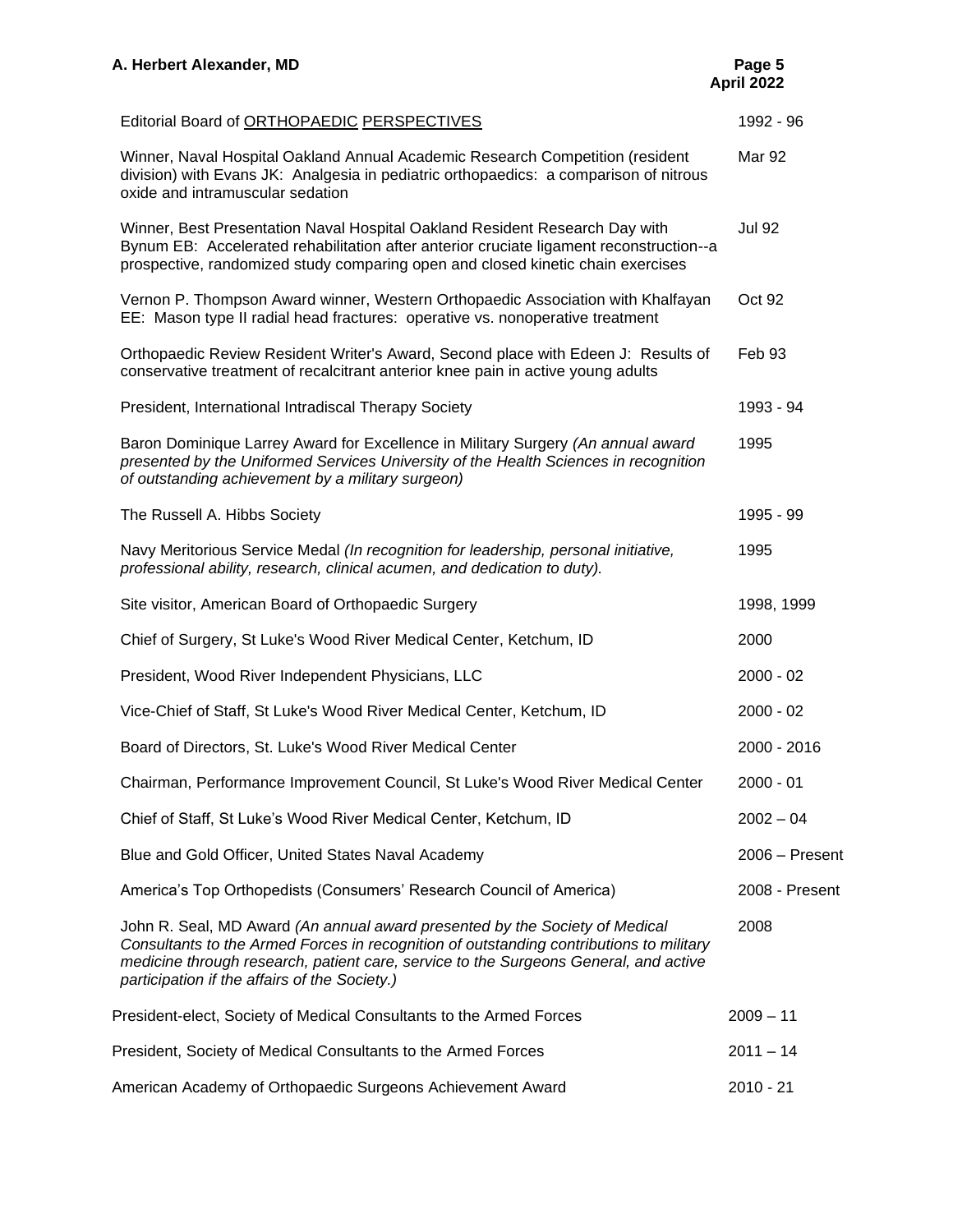| A. Herbert Alexander, MD                                                                                                                                                                                                                                                                                        | Page 5<br>April 2022 |
|-----------------------------------------------------------------------------------------------------------------------------------------------------------------------------------------------------------------------------------------------------------------------------------------------------------------|----------------------|
| Editorial Board of ORTHOPAEDIC PERSPECTIVES                                                                                                                                                                                                                                                                     | 1992 - 96            |
| Winner, Naval Hospital Oakland Annual Academic Research Competition (resident<br>division) with Evans JK: Analgesia in pediatric orthopaedics: a comparison of nitrous<br>oxide and intramuscular sedation                                                                                                      | <b>Mar 92</b>        |
| Winner, Best Presentation Naval Hospital Oakland Resident Research Day with<br>Bynum EB: Accelerated rehabilitation after anterior cruciate ligament reconstruction--a<br>prospective, randomized study comparing open and closed kinetic chain exercises                                                       | <b>Jul 92</b>        |
| Vernon P. Thompson Award winner, Western Orthopaedic Association with Khalfayan<br>EE: Mason type II radial head fractures: operative vs. nonoperative treatment                                                                                                                                                | Oct 92               |
| Orthopaedic Review Resident Writer's Award, Second place with Edeen J: Results of<br>conservative treatment of recalcitrant anterior knee pain in active young adults                                                                                                                                           | Feb 93               |
| President, International Intradiscal Therapy Society                                                                                                                                                                                                                                                            | 1993 - 94            |
| Baron Dominique Larrey Award for Excellence in Military Surgery (An annual award<br>presented by the Uniformed Services University of the Health Sciences in recognition<br>of outstanding achievement by a military surgeon)                                                                                   | 1995                 |
| The Russell A. Hibbs Society                                                                                                                                                                                                                                                                                    | 1995 - 99            |
| Navy Meritorious Service Medal (In recognition for leadership, personal initiative,<br>professional ability, research, clinical acumen, and dedication to duty).                                                                                                                                                | 1995                 |
| Site visitor, American Board of Orthopaedic Surgery                                                                                                                                                                                                                                                             | 1998, 1999           |
| Chief of Surgery, St Luke's Wood River Medical Center, Ketchum, ID                                                                                                                                                                                                                                              | 2000                 |
| President, Wood River Independent Physicians, LLC                                                                                                                                                                                                                                                               | $2000 - 02$          |
| Vice-Chief of Staff, St Luke's Wood River Medical Center, Ketchum, ID                                                                                                                                                                                                                                           | $2000 - 02$          |
| Board of Directors, St. Luke's Wood River Medical Center                                                                                                                                                                                                                                                        | $2000 - 2016$        |
| Chairman, Performance Improvement Council, St Luke's Wood River Medical Center                                                                                                                                                                                                                                  | $2000 - 01$          |
| Chief of Staff, St Luke's Wood River Medical Center, Ketchum, ID                                                                                                                                                                                                                                                | $2002 - 04$          |
| Blue and Gold Officer, United States Naval Academy                                                                                                                                                                                                                                                              | 2006 - Present       |
| America's Top Orthopedists (Consumers' Research Council of America)                                                                                                                                                                                                                                             | 2008 - Present       |
| John R. Seal, MD Award (An annual award presented by the Society of Medical<br>Consultants to the Armed Forces in recognition of outstanding contributions to military<br>medicine through research, patient care, service to the Surgeons General, and active<br>participation if the affairs of the Society.) | 2008                 |
| President-elect, Society of Medical Consultants to the Armed Forces                                                                                                                                                                                                                                             | $2009 - 11$          |
| President, Society of Medical Consultants to the Armed Forces                                                                                                                                                                                                                                                   | $2011 - 14$          |
| American Academy of Orthopaedic Surgeons Achievement Award                                                                                                                                                                                                                                                      | $2010 - 21$          |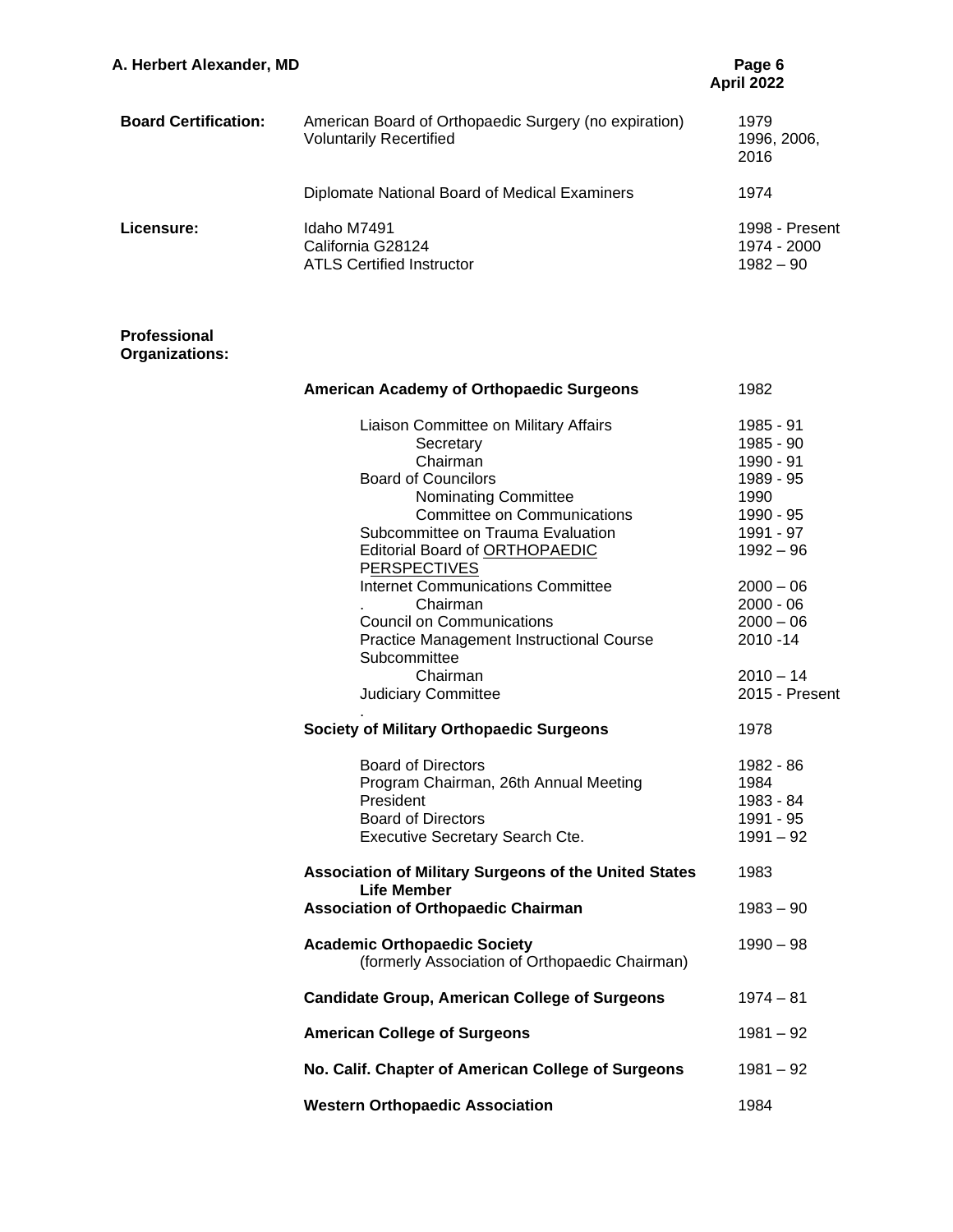| A. Herbert Alexander, MD    |                                                                                         | Page 6<br><b>April 2022</b>                  |  |
|-----------------------------|-----------------------------------------------------------------------------------------|----------------------------------------------|--|
| <b>Board Certification:</b> | American Board of Orthopaedic Surgery (no expiration)<br><b>Voluntarily Recertified</b> | 1979<br>1996, 2006,<br>2016                  |  |
|                             | Diplomate National Board of Medical Examiners                                           | 1974                                         |  |
| Licensure:                  | Idaho M7491<br>California G28124<br><b>ATLS Certified Instructor</b>                    | 1998 - Present<br>1974 - 2000<br>$1982 - 90$ |  |

#### **Professional Organizations:**

| American Academy of Orthopaedic Surgeons                                    | 1982           |
|-----------------------------------------------------------------------------|----------------|
| Liaison Committee on Military Affairs                                       | 1985 - 91      |
| Secretary                                                                   | 1985 - 90      |
| Chairman                                                                    | 1990 - 91      |
| <b>Board of Councilors</b>                                                  | 1989 - 95      |
| Nominating Committee                                                        | 1990           |
| <b>Committee on Communications</b>                                          | 1990 - 95      |
| Subcommittee on Trauma Evaluation                                           | 1991 - 97      |
| Editorial Board of ORTHOPAEDIC                                              | $1992 - 96$    |
| PERSPECTIVES                                                                |                |
| <b>Internet Communications Committee</b>                                    | $2000 - 06$    |
| Chairman                                                                    | $2000 - 06$    |
| <b>Council on Communications</b>                                            | $2000 - 06$    |
| <b>Practice Management Instructional Course</b>                             | 2010 - 14      |
| Subcommittee                                                                |                |
| Chairman                                                                    | $2010 - 14$    |
| <b>Judiciary Committee</b>                                                  | 2015 - Present |
| <b>Society of Military Orthopaedic Surgeons</b>                             | 1978           |
| <b>Board of Directors</b>                                                   | 1982 - 86      |
| Program Chairman, 26th Annual Meeting                                       | 1984           |
| President                                                                   | 1983 - 84      |
| <b>Board of Directors</b>                                                   | 1991 - 95      |
| Executive Secretary Search Cte.                                             | $1991 - 92$    |
| Association of Military Surgeons of the United States<br><b>Life Member</b> | 1983           |
| <b>Association of Orthopaedic Chairman</b>                                  | $1983 - 90$    |
| <b>Academic Orthopaedic Society</b>                                         | 1990 – 98      |
| (formerly Association of Orthopaedic Chairman)                              |                |
| <b>Candidate Group, American College of Surgeons</b>                        | $1974 - 81$    |
| <b>American College of Surgeons</b>                                         | $1981 - 92$    |
| No. Calif. Chapter of American College of Surgeons                          | $1981 - 92$    |
| <b>Western Orthopaedic Association</b>                                      | 1984           |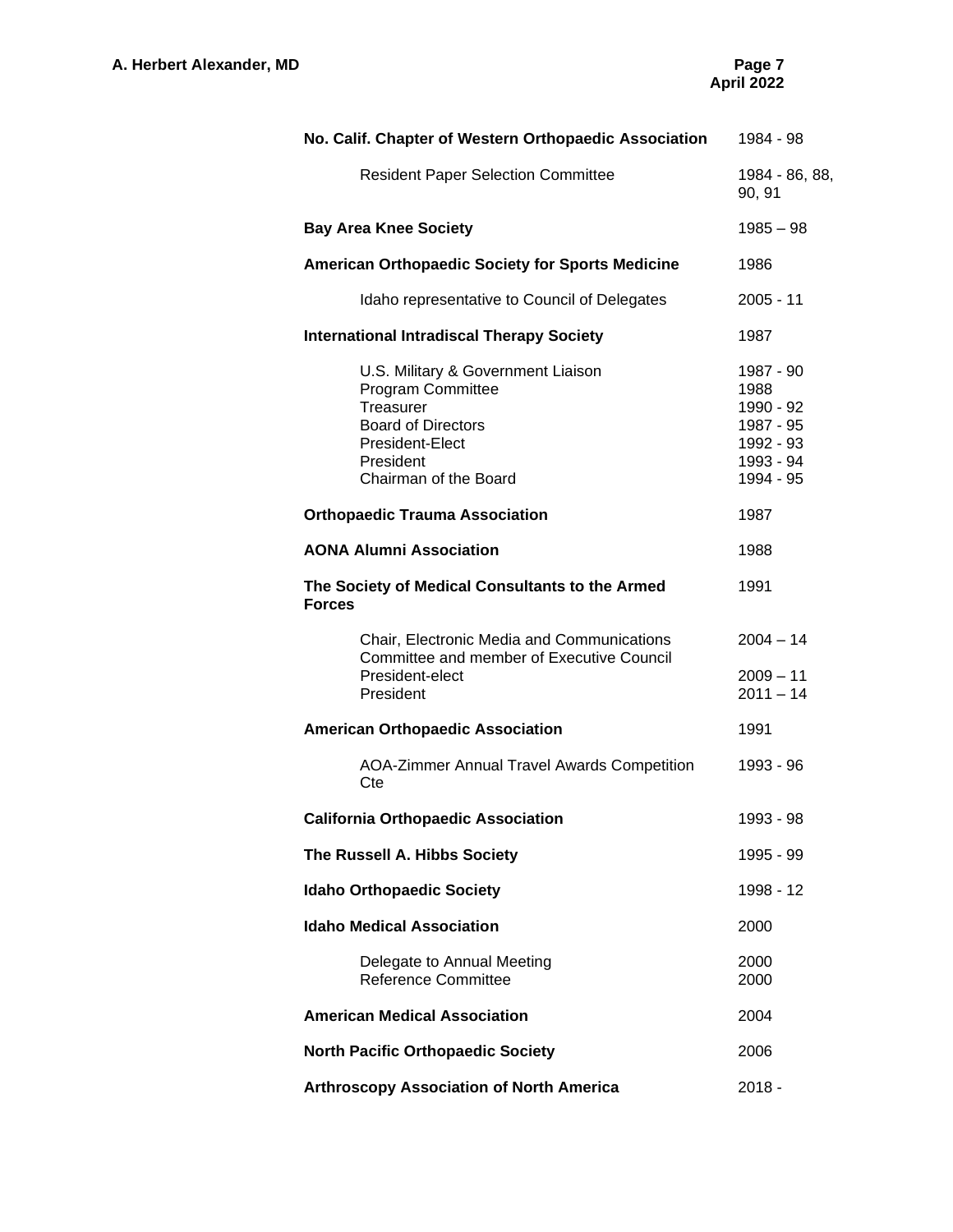| No. Calif. Chapter of Western Orthopaedic Association                                                                                                             | 1984 - 98                                                                          |
|-------------------------------------------------------------------------------------------------------------------------------------------------------------------|------------------------------------------------------------------------------------|
| <b>Resident Paper Selection Committee</b>                                                                                                                         | 1984 - 86, 88,<br>90, 91                                                           |
| <b>Bay Area Knee Society</b>                                                                                                                                      | $1985 - 98$                                                                        |
| American Orthopaedic Society for Sports Medicine                                                                                                                  | 1986                                                                               |
| Idaho representative to Council of Delegates                                                                                                                      | $2005 - 11$                                                                        |
| <b>International Intradiscal Therapy Society</b>                                                                                                                  | 1987                                                                               |
| U.S. Military & Government Liaison<br><b>Program Committee</b><br>Treasurer<br><b>Board of Directors</b><br>President-Elect<br>President<br>Chairman of the Board | 1987 - 90<br>1988<br>1990 - 92<br>1987 - 95<br>1992 - 93<br>1993 - 94<br>1994 - 95 |
| <b>Orthopaedic Trauma Association</b>                                                                                                                             | 1987                                                                               |
| <b>AONA Alumni Association</b>                                                                                                                                    | 1988                                                                               |
| The Society of Medical Consultants to the Armed<br><b>Forces</b>                                                                                                  | 1991                                                                               |
| Chair, Electronic Media and Communications<br>Committee and member of Executive Council<br>President-elect<br>President                                           | $2004 - 14$<br>$2009 - 11$<br>$2011 - 14$                                          |
| <b>American Orthopaedic Association</b>                                                                                                                           | 1991                                                                               |
| AOA-Zimmer Annual Travel Awards Competition<br>Cte                                                                                                                | 1993 - 96                                                                          |
| <b>California Orthopaedic Association</b>                                                                                                                         | 1993 - 98                                                                          |
| The Russell A. Hibbs Society                                                                                                                                      | 1995 - 99                                                                          |
| <b>Idaho Orthopaedic Society</b>                                                                                                                                  | 1998 - 12                                                                          |
| <b>Idaho Medical Association</b>                                                                                                                                  | 2000                                                                               |
| Delegate to Annual Meeting<br><b>Reference Committee</b>                                                                                                          | 2000<br>2000                                                                       |
| <b>American Medical Association</b>                                                                                                                               | 2004                                                                               |
| <b>North Pacific Orthopaedic Society</b>                                                                                                                          | 2006                                                                               |
| <b>Arthroscopy Association of North America</b>                                                                                                                   | $2018 -$                                                                           |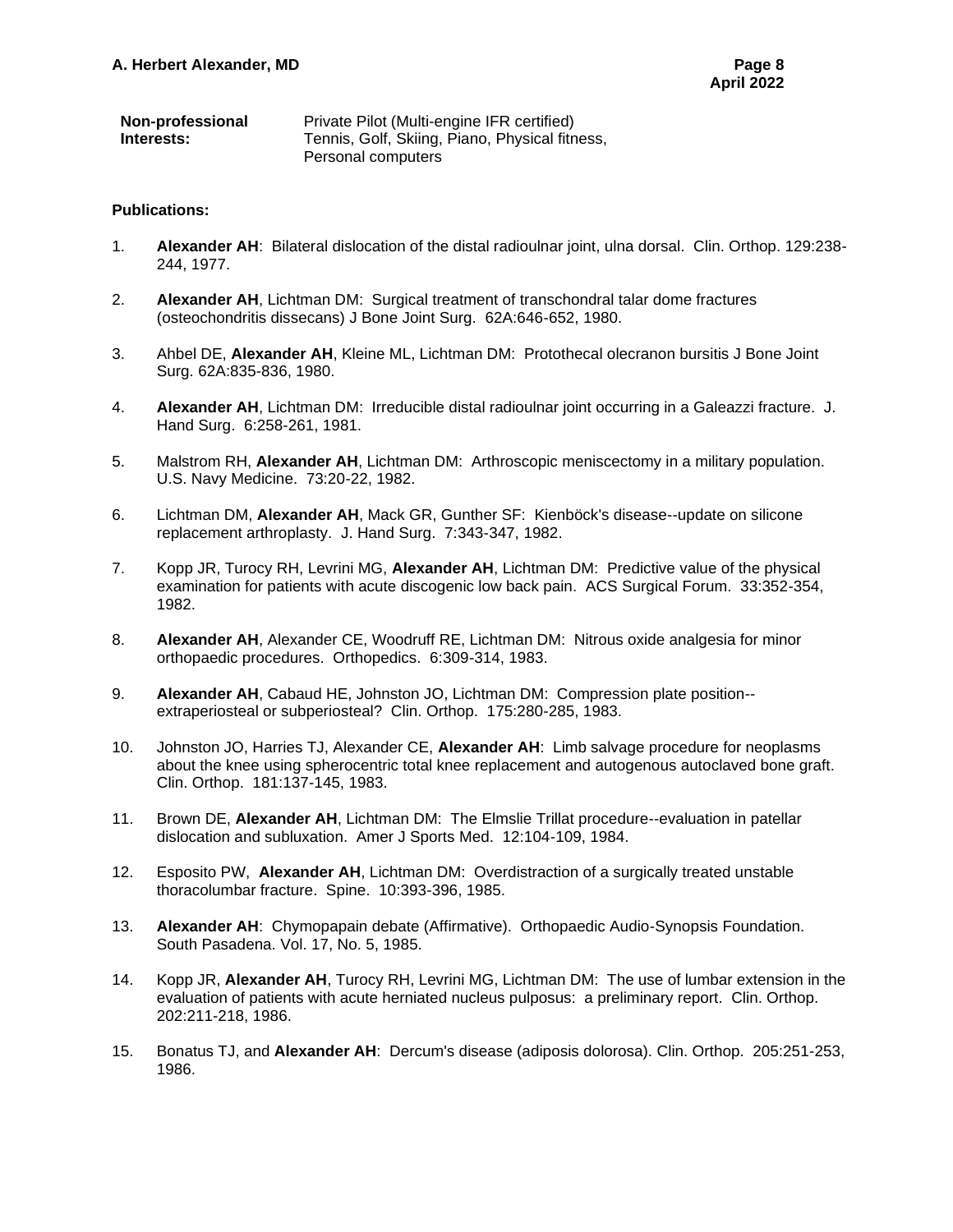| <b>Non-professional</b> | Private Pilot (Multi-engine IFR certified)     |
|-------------------------|------------------------------------------------|
| Interests:              | Tennis, Golf, Skiing, Piano, Physical fitness, |
|                         | Personal computers                             |

#### **Publications:**

- 1. **Alexander AH**: Bilateral dislocation of the distal radioulnar joint, ulna dorsal. Clin. Orthop. 129:238- 244, 1977.
- 2. **Alexander AH**, Lichtman DM: Surgical treatment of transchondral talar dome fractures (osteochondritis dissecans) J Bone Joint Surg. 62A:646-652, 1980.
- 3. Ahbel DE, **Alexander AH**, Kleine ML, Lichtman DM: Protothecal olecranon bursitis J Bone Joint Surg. 62A:835-836, 1980.
- 4. **Alexander AH**, Lichtman DM: Irreducible distal radioulnar joint occurring in a Galeazzi fracture. J. Hand Surg. 6:258-261, 1981.
- 5. Malstrom RH, **Alexander AH**, Lichtman DM: Arthroscopic meniscectomy in a military population. U.S. Navy Medicine. 73:20-22, 1982.
- 6. Lichtman DM, **Alexander AH**, Mack GR, Gunther SF: Kienböck's disease--update on silicone replacement arthroplasty. J. Hand Surg. 7:343-347, 1982.
- 7. Kopp JR, Turocy RH, Levrini MG, **Alexander AH**, Lichtman DM: Predictive value of the physical examination for patients with acute discogenic low back pain. ACS Surgical Forum. 33:352-354, 1982.
- 8. **Alexander AH**, Alexander CE, Woodruff RE, Lichtman DM: Nitrous oxide analgesia for minor orthopaedic procedures. Orthopedics. 6:309-314, 1983.
- 9. **Alexander AH**, Cabaud HE, Johnston JO, Lichtman DM: Compression plate position- extraperiosteal or subperiosteal? Clin. Orthop. 175:280-285, 1983.
- 10. Johnston JO, Harries TJ, Alexander CE, **Alexander AH**: Limb salvage procedure for neoplasms about the knee using spherocentric total knee replacement and autogenous autoclaved bone graft. Clin. Orthop. 181:137-145, 1983.
- 11. Brown DE, **Alexander AH**, Lichtman DM: The Elmslie Trillat procedure--evaluation in patellar dislocation and subluxation. Amer J Sports Med. 12:104-109, 1984.
- 12. Esposito PW, **Alexander AH**, Lichtman DM: Overdistraction of a surgically treated unstable thoracolumbar fracture. Spine. 10:393-396, 1985.
- 13. **Alexander AH**: Chymopapain debate (Affirmative). Orthopaedic Audio-Synopsis Foundation. South Pasadena. Vol. 17, No. 5, 1985.
- 14. Kopp JR, **Alexander AH**, Turocy RH, Levrini MG, Lichtman DM: The use of lumbar extension in the evaluation of patients with acute herniated nucleus pulposus: a preliminary report. Clin. Orthop. 202:211-218, 1986.
- 15. Bonatus TJ, and **Alexander AH**: Dercum's disease (adiposis dolorosa). Clin. Orthop. 205:251-253, 1986.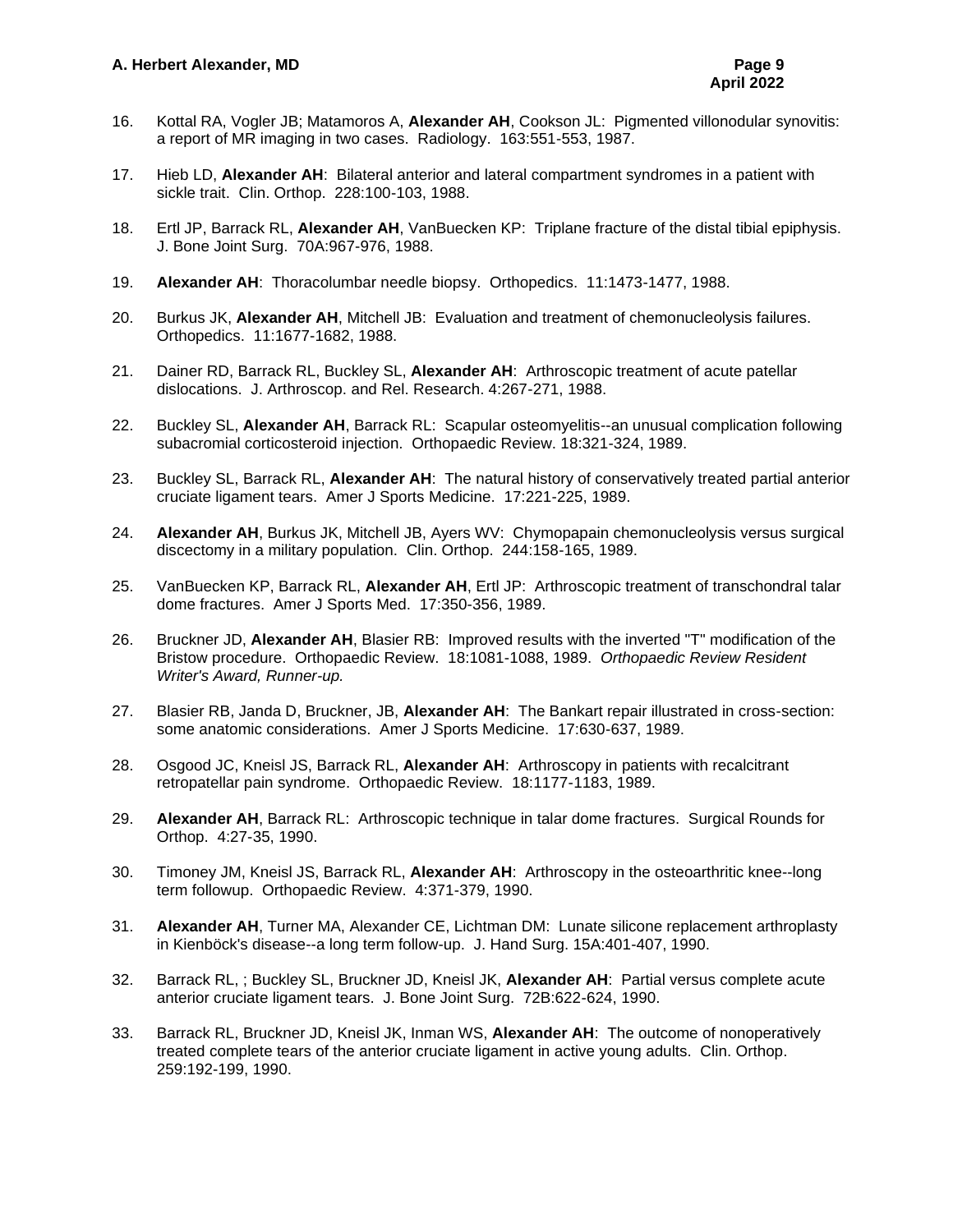- 16. Kottal RA, Vogler JB; Matamoros A, **Alexander AH**, Cookson JL: Pigmented villonodular synovitis: a report of MR imaging in two cases. Radiology. 163:551-553, 1987.
- 17. Hieb LD, **Alexander AH**: Bilateral anterior and lateral compartment syndromes in a patient with sickle trait. Clin. Orthop. 228:100-103, 1988.
- 18. Ertl JP, Barrack RL, **Alexander AH**, VanBuecken KP: Triplane fracture of the distal tibial epiphysis. J. Bone Joint Surg. 70A:967-976, 1988.
- 19. **Alexander AH**: Thoracolumbar needle biopsy. Orthopedics. 11:1473-1477, 1988.
- 20. Burkus JK, **Alexander AH**, Mitchell JB: Evaluation and treatment of chemonucleolysis failures. Orthopedics. 11:1677-1682, 1988.
- 21. Dainer RD, Barrack RL, Buckley SL, **Alexander AH**: Arthroscopic treatment of acute patellar dislocations. J. Arthroscop. and Rel. Research. 4:267-271, 1988.
- 22. Buckley SL, **Alexander AH**, Barrack RL: Scapular osteomyelitis--an unusual complication following subacromial corticosteroid injection. Orthopaedic Review. 18:321-324, 1989.
- 23. Buckley SL, Barrack RL, **Alexander AH**: The natural history of conservatively treated partial anterior cruciate ligament tears. Amer J Sports Medicine. 17:221-225, 1989.
- 24. **Alexander AH**, Burkus JK, Mitchell JB, Ayers WV: Chymopapain chemonucleolysis versus surgical discectomy in a military population. Clin. Orthop. 244:158-165, 1989.
- 25. VanBuecken KP, Barrack RL, **Alexander AH**, Ertl JP: Arthroscopic treatment of transchondral talar dome fractures. Amer J Sports Med. 17:350-356, 1989.
- 26. Bruckner JD, **Alexander AH**, Blasier RB: Improved results with the inverted "T" modification of the Bristow procedure. Orthopaedic Review. 18:1081-1088, 1989. *Orthopaedic Review Resident Writer's Award, Runner-up.*
- 27. Blasier RB, Janda D, Bruckner, JB, **Alexander AH**: The Bankart repair illustrated in cross-section: some anatomic considerations. Amer J Sports Medicine. 17:630-637, 1989.
- 28. Osgood JC, Kneisl JS, Barrack RL, **Alexander AH**: Arthroscopy in patients with recalcitrant retropatellar pain syndrome. Orthopaedic Review. 18:1177-1183, 1989.
- 29. **Alexander AH**, Barrack RL: Arthroscopic technique in talar dome fractures. Surgical Rounds for Orthop. 4:27-35, 1990.
- 30. Timoney JM, Kneisl JS, Barrack RL, **Alexander AH**: Arthroscopy in the osteoarthritic knee--long term followup. Orthopaedic Review. 4:371-379, 1990.
- 31. **Alexander AH**, Turner MA, Alexander CE, Lichtman DM: Lunate silicone replacement arthroplasty in Kienböck's disease--a long term follow-up. J. Hand Surg. 15A:401-407, 1990.
- 32. Barrack RL, ; Buckley SL, Bruckner JD, Kneisl JK, **Alexander AH**: Partial versus complete acute anterior cruciate ligament tears. J. Bone Joint Surg. 72B:622-624, 1990.
- 33. Barrack RL, Bruckner JD, Kneisl JK, Inman WS, **Alexander AH**: The outcome of nonoperatively treated complete tears of the anterior cruciate ligament in active young adults. Clin. Orthop. 259:192-199, 1990.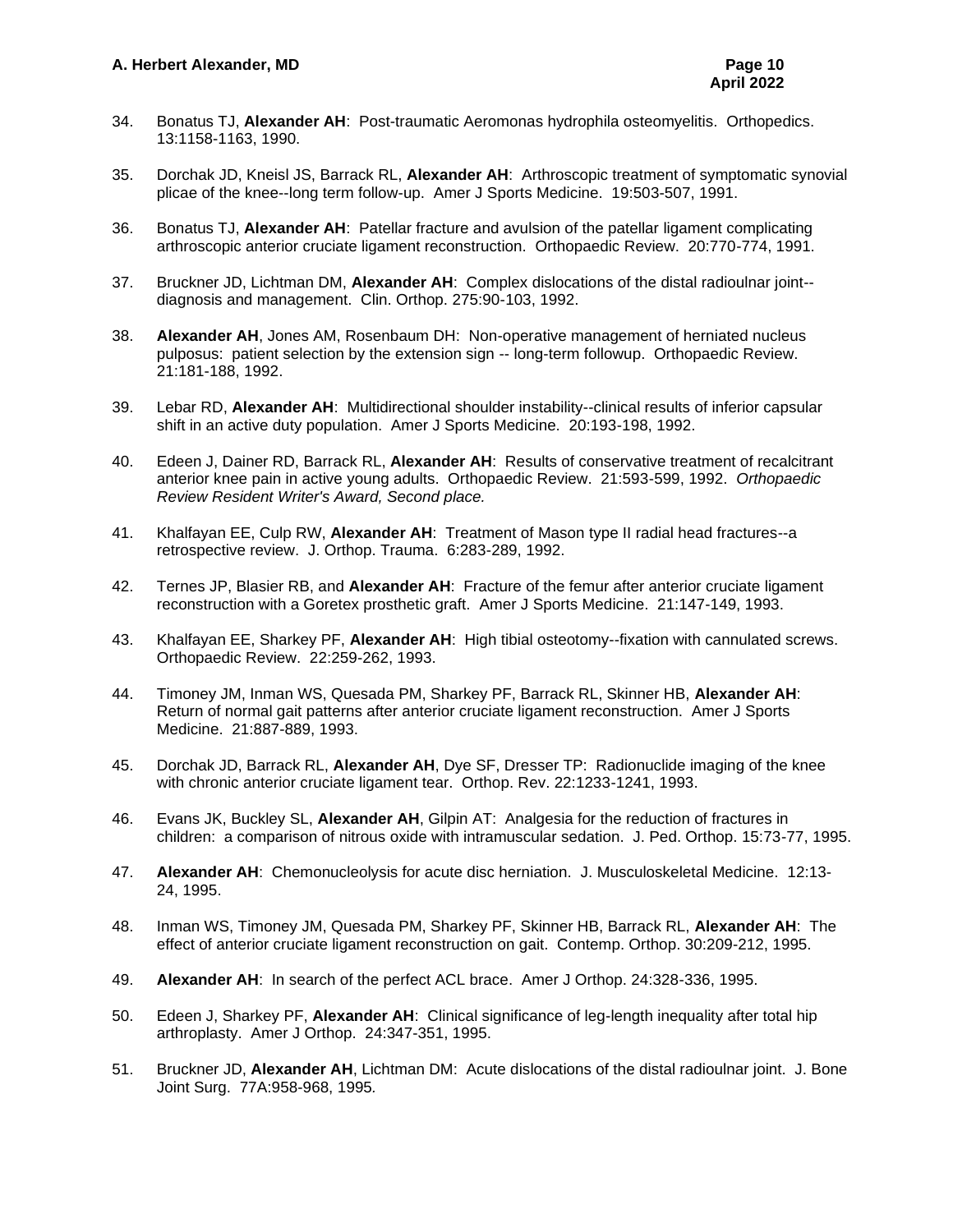- 34. Bonatus TJ, **Alexander AH**: Post-traumatic Aeromonas hydrophila osteomyelitis. Orthopedics. 13:1158-1163, 1990.
- 35. Dorchak JD, Kneisl JS, Barrack RL, **Alexander AH**: Arthroscopic treatment of symptomatic synovial plicae of the knee--long term follow-up. Amer J Sports Medicine. 19:503-507, 1991.
- 36. Bonatus TJ, **Alexander AH**: Patellar fracture and avulsion of the patellar ligament complicating arthroscopic anterior cruciate ligament reconstruction. Orthopaedic Review. 20:770-774, 1991.
- 37. Bruckner JD, Lichtman DM, **Alexander AH**: Complex dislocations of the distal radioulnar joint- diagnosis and management. Clin. Orthop. 275:90-103, 1992.
- 38. **Alexander AH**, Jones AM, Rosenbaum DH: Non-operative management of herniated nucleus pulposus: patient selection by the extension sign -- long-term followup. Orthopaedic Review. 21:181-188, 1992.
- 39. Lebar RD, **Alexander AH**: Multidirectional shoulder instability--clinical results of inferior capsular shift in an active duty population. Amer J Sports Medicine. 20:193-198, 1992.
- 40. Edeen J, Dainer RD, Barrack RL, **Alexander AH**: Results of conservative treatment of recalcitrant anterior knee pain in active young adults. Orthopaedic Review. 21:593-599, 1992. *Orthopaedic Review Resident Writer's Award, Second place.*
- 41. Khalfayan EE, Culp RW, **Alexander AH**: Treatment of Mason type II radial head fractures--a retrospective review. J. Orthop. Trauma. 6:283-289, 1992.
- 42. Ternes JP, Blasier RB, and **Alexander AH**: Fracture of the femur after anterior cruciate ligament reconstruction with a Goretex prosthetic graft. Amer J Sports Medicine. 21:147-149, 1993.
- 43. Khalfayan EE, Sharkey PF, **Alexander AH**: High tibial osteotomy--fixation with cannulated screws. Orthopaedic Review. 22:259-262, 1993.
- 44. Timoney JM, Inman WS, Quesada PM, Sharkey PF, Barrack RL, Skinner HB, **Alexander AH**: Return of normal gait patterns after anterior cruciate ligament reconstruction. Amer J Sports Medicine. 21:887-889, 1993.
- 45. Dorchak JD, Barrack RL, **Alexander AH**, Dye SF, Dresser TP: Radionuclide imaging of the knee with chronic anterior cruciate ligament tear. Orthop. Rev. 22:1233-1241, 1993.
- 46. Evans JK, Buckley SL, **Alexander AH**, Gilpin AT: Analgesia for the reduction of fractures in children: a comparison of nitrous oxide with intramuscular sedation. J. Ped. Orthop. 15:73-77, 1995.
- 47. **Alexander AH**: Chemonucleolysis for acute disc herniation. J. Musculoskeletal Medicine. 12:13- 24, 1995.
- 48. Inman WS, Timoney JM, Quesada PM, Sharkey PF, Skinner HB, Barrack RL, **Alexander AH**: The effect of anterior cruciate ligament reconstruction on gait. Contemp. Orthop. 30:209-212, 1995.
- 49. **Alexander AH**: In search of the perfect ACL brace. Amer J Orthop. 24:328-336, 1995.
- 50. Edeen J, Sharkey PF, **Alexander AH**: Clinical significance of leg-length inequality after total hip arthroplasty. Amer J Orthop. 24:347-351, 1995.
- 51. Bruckner JD, **Alexander AH**, Lichtman DM: Acute dislocations of the distal radioulnar joint. J. Bone Joint Surg. 77A:958-968, 1995*.*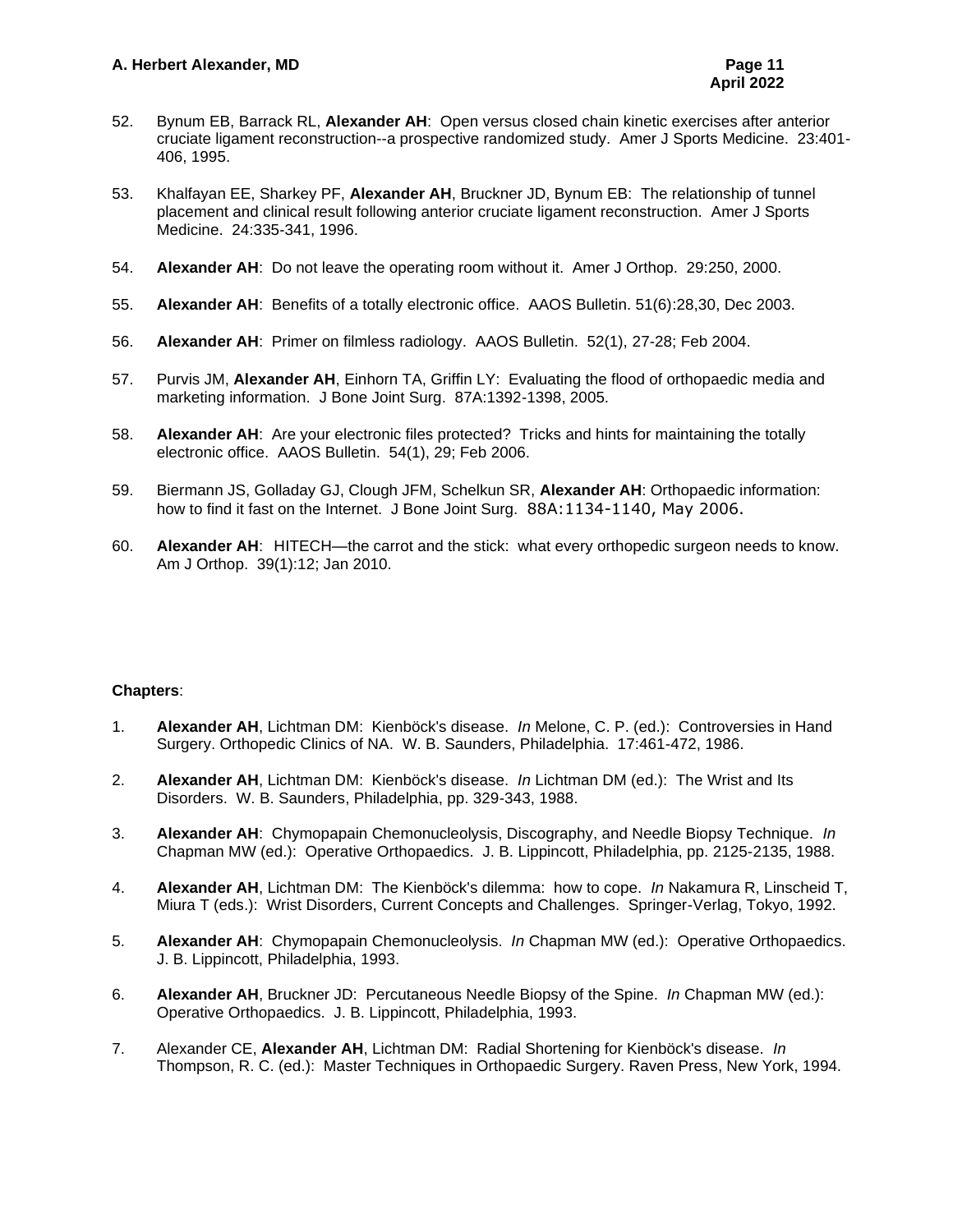- 52. Bynum EB, Barrack RL, **Alexander AH**: Open versus closed chain kinetic exercises after anterior cruciate ligament reconstruction--a prospective randomized study. Amer J Sports Medicine. 23:401- 406, 1995.
- 53. Khalfayan EE, Sharkey PF, **Alexander AH**, Bruckner JD, Bynum EB: The relationship of tunnel placement and clinical result following anterior cruciate ligament reconstruction. Amer J Sports Medicine. 24:335-341, 1996.
- 54. **Alexander AH**: Do not leave the operating room without it. Amer J Orthop. 29:250, 2000.
- 55. **Alexander AH**: Benefits of a totally electronic office. AAOS Bulletin. 51(6):28,30, Dec 2003.
- 56. **Alexander AH**: Primer on filmless radiology. AAOS Bulletin. 52(1), 27-28; Feb 2004.
- 57. Purvis JM, **Alexander AH**, Einhorn TA, Griffin LY: Evaluating the flood of orthopaedic media and marketing information. J Bone Joint Surg. 87A:1392-1398, 2005.
- 58. **Alexander AH**: Are your electronic files protected? Tricks and hints for maintaining the totally electronic office. AAOS Bulletin. 54(1), 29; Feb 2006.
- 59. Biermann JS, Golladay GJ, Clough JFM, Schelkun SR, **Alexander AH**: Orthopaedic information: how to find it fast on the Internet. J Bone Joint Surg. 88A:1134-1140, May 2006.
- 60. **Alexander AH**: HITECH—the carrot and the stick: what every orthopedic surgeon needs to know. Am J Orthop. 39(1):12; Jan 2010.

#### **Chapters**:

- 1. **Alexander AH**, Lichtman DM: Kienböck's disease. *In* Melone, C. P. (ed.): Controversies in Hand Surgery. Orthopedic Clinics of NA. W. B. Saunders, Philadelphia. 17:461-472, 1986.
- 2. **Alexander AH**, Lichtman DM: Kienböck's disease. *In* Lichtman DM (ed.): The Wrist and Its Disorders. W. B. Saunders, Philadelphia, pp. 329-343, 1988.
- 3. **Alexander AH**: Chymopapain Chemonucleolysis, Discography, and Needle Biopsy Technique. *In* Chapman MW (ed.): Operative Orthopaedics. J. B. Lippincott, Philadelphia, pp. 2125-2135, 1988.
- 4. **Alexander AH**, Lichtman DM: The Kienböck's dilemma: how to cope. *In* Nakamura R, Linscheid T, Miura T (eds.): Wrist Disorders, Current Concepts and Challenges. Springer-Verlag, Tokyo, 1992.
- 5. **Alexander AH**: Chymopapain Chemonucleolysis. *In* Chapman MW (ed.): Operative Orthopaedics. J. B. Lippincott, Philadelphia, 1993.
- 6. **Alexander AH**, Bruckner JD: Percutaneous Needle Biopsy of the Spine. *In* Chapman MW (ed.): Operative Orthopaedics. J. B. Lippincott, Philadelphia, 1993.
- 7. Alexander CE, **Alexander AH**, Lichtman DM: Radial Shortening for Kienböck's disease. *In* Thompson, R. C. (ed.): Master Techniques in Orthopaedic Surgery. Raven Press, New York, 1994.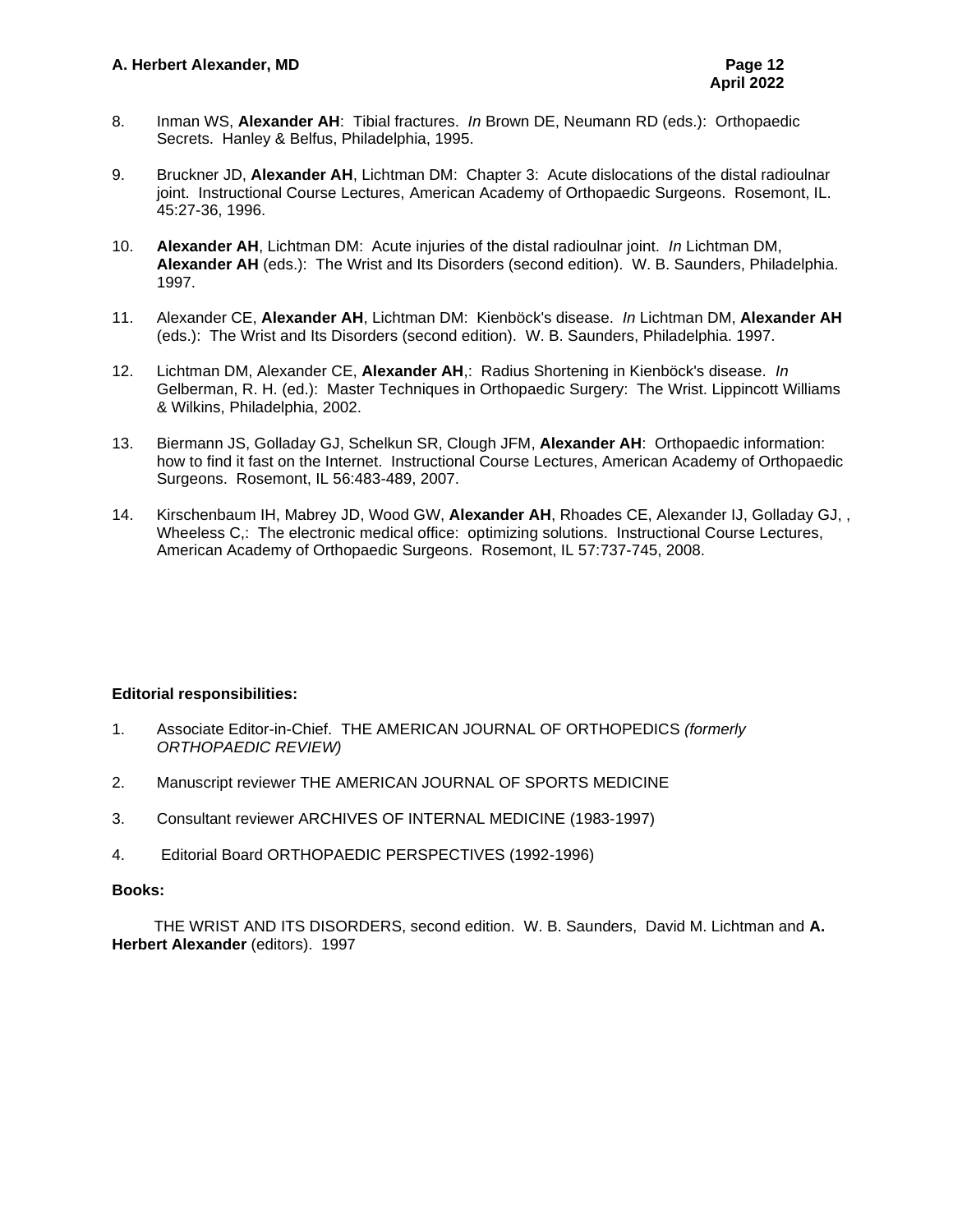- 8. Inman WS, **Alexander AH**: Tibial fractures. *In* Brown DE, Neumann RD (eds.): Orthopaedic Secrets. Hanley & Belfus, Philadelphia, 1995.
- 9. Bruckner JD, **Alexander AH**, Lichtman DM: Chapter 3: Acute dislocations of the distal radioulnar joint. Instructional Course Lectures, American Academy of Orthopaedic Surgeons. Rosemont, IL. 45:27-36, 1996.
- 10. **Alexander AH**, Lichtman DM: Acute injuries of the distal radioulnar joint. *In* Lichtman DM, **Alexander AH** (eds.): The Wrist and Its Disorders (second edition). W. B. Saunders, Philadelphia. 1997.
- 11. Alexander CE, **Alexander AH**, Lichtman DM: Kienböck's disease. *In* Lichtman DM, **Alexander AH** (eds.): The Wrist and Its Disorders (second edition). W. B. Saunders, Philadelphia. 1997.
- 12. Lichtman DM, Alexander CE, **Alexander AH**,: Radius Shortening in Kienböck's disease. *In* Gelberman, R. H. (ed.): Master Techniques in Orthopaedic Surgery: The Wrist. Lippincott Williams & Wilkins, Philadelphia, 2002.
- 13. Biermann JS, Golladay GJ, Schelkun SR, Clough JFM, **Alexander AH**: Orthopaedic information: how to find it fast on the Internet. Instructional Course Lectures, American Academy of Orthopaedic Surgeons. Rosemont, IL 56:483-489, 2007.
- 14. Kirschenbaum IH, Mabrey JD, Wood GW, **Alexander AH**, Rhoades CE, Alexander IJ, Golladay GJ, , Wheeless C,: The electronic medical office: optimizing solutions. Instructional Course Lectures, American Academy of Orthopaedic Surgeons. Rosemont, IL 57:737-745, 2008.

## **Editorial responsibilities:**

- 1. Associate Editor-in-Chief. THE AMERICAN JOURNAL OF ORTHOPEDICS *(formerly ORTHOPAEDIC REVIEW)*
- 2. Manuscript reviewer THE AMERICAN JOURNAL OF SPORTS MEDICINE
- 3. Consultant reviewer ARCHIVES OF INTERNAL MEDICINE (1983-1997)
- 4. Editorial Board ORTHOPAEDIC PERSPECTIVES (1992-1996)

#### **Books:**

THE WRIST AND ITS DISORDERS, second edition. W. B. Saunders, David M. Lichtman and **A. Herbert Alexander** (editors). 1997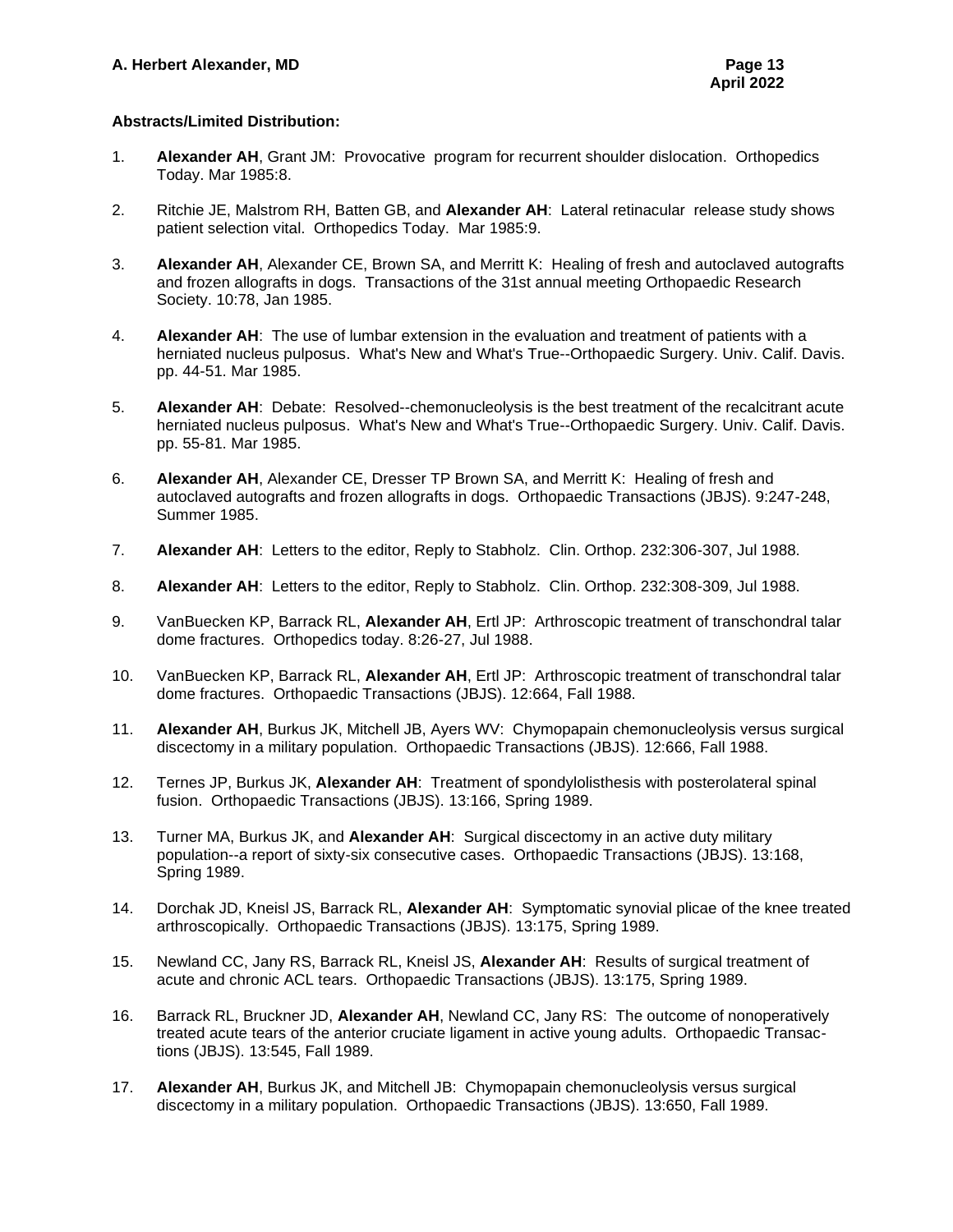## **Abstracts/Limited Distribution:**

- 1. **Alexander AH**, Grant JM: Provocative program for recurrent shoulder dislocation. Orthopedics Today. Mar 1985:8.
- 2. Ritchie JE, Malstrom RH, Batten GB, and **Alexander AH**: Lateral retinacular release study shows patient selection vital. Orthopedics Today. Mar 1985:9.
- 3. **Alexander AH**, Alexander CE, Brown SA, and Merritt K: Healing of fresh and autoclaved autografts and frozen allografts in dogs. Transactions of the 31st annual meeting Orthopaedic Research Society. 10:78, Jan 1985.
- 4. **Alexander AH**: The use of lumbar extension in the evaluation and treatment of patients with a herniated nucleus pulposus. What's New and What's True--Orthopaedic Surgery. Univ. Calif. Davis. pp. 44-51. Mar 1985.
- 5. **Alexander AH**: Debate: Resolved--chemonucleolysis is the best treatment of the recalcitrant acute herniated nucleus pulposus. What's New and What's True--Orthopaedic Surgery. Univ. Calif. Davis. pp. 55-81. Mar 1985.
- 6. **Alexander AH**, Alexander CE, Dresser TP Brown SA, and Merritt K: Healing of fresh and autoclaved autografts and frozen allografts in dogs. Orthopaedic Transactions (JBJS). 9:247-248, Summer 1985.
- 7. **Alexander AH**: Letters to the editor, Reply to Stabholz. Clin. Orthop. 232:306-307, Jul 1988.
- 8. **Alexander AH**: Letters to the editor, Reply to Stabholz. Clin. Orthop. 232:308-309, Jul 1988.
- 9. VanBuecken KP, Barrack RL, **Alexander AH**, Ertl JP: Arthroscopic treatment of transchondral talar dome fractures. Orthopedics today. 8:26-27, Jul 1988.
- 10. VanBuecken KP, Barrack RL, **Alexander AH**, Ertl JP: Arthroscopic treatment of transchondral talar dome fractures. Orthopaedic Transactions (JBJS). 12:664, Fall 1988.
- 11. **Alexander AH**, Burkus JK, Mitchell JB, Ayers WV: Chymopapain chemonucleolysis versus surgical discectomy in a military population. Orthopaedic Transactions (JBJS). 12:666, Fall 1988.
- 12. Ternes JP, Burkus JK, **Alexander AH**: Treatment of spondylolisthesis with posterolateral spinal fusion. Orthopaedic Transactions (JBJS). 13:166, Spring 1989.
- 13. Turner MA, Burkus JK, and **Alexander AH**: Surgical discectomy in an active duty military population--a report of sixty-six consecutive cases. Orthopaedic Transactions (JBJS). 13:168, Spring 1989.
- 14. Dorchak JD, Kneisl JS, Barrack RL, **Alexander AH**: Symptomatic synovial plicae of the knee treated arthroscopically. Orthopaedic Transactions (JBJS). 13:175, Spring 1989.
- 15. Newland CC, Jany RS, Barrack RL, Kneisl JS, **Alexander AH**: Results of surgical treatment of acute and chronic ACL tears. Orthopaedic Transactions (JBJS). 13:175, Spring 1989.
- 16. Barrack RL, Bruckner JD, **Alexander AH**, Newland CC, Jany RS: The outcome of nonoperatively treated acute tears of the anterior cruciate ligament in active young adults. Orthopaedic Transactions (JBJS). 13:545, Fall 1989.
- 17. **Alexander AH**, Burkus JK, and Mitchell JB: Chymopapain chemonucleolysis versus surgical discectomy in a military population. Orthopaedic Transactions (JBJS). 13:650, Fall 1989.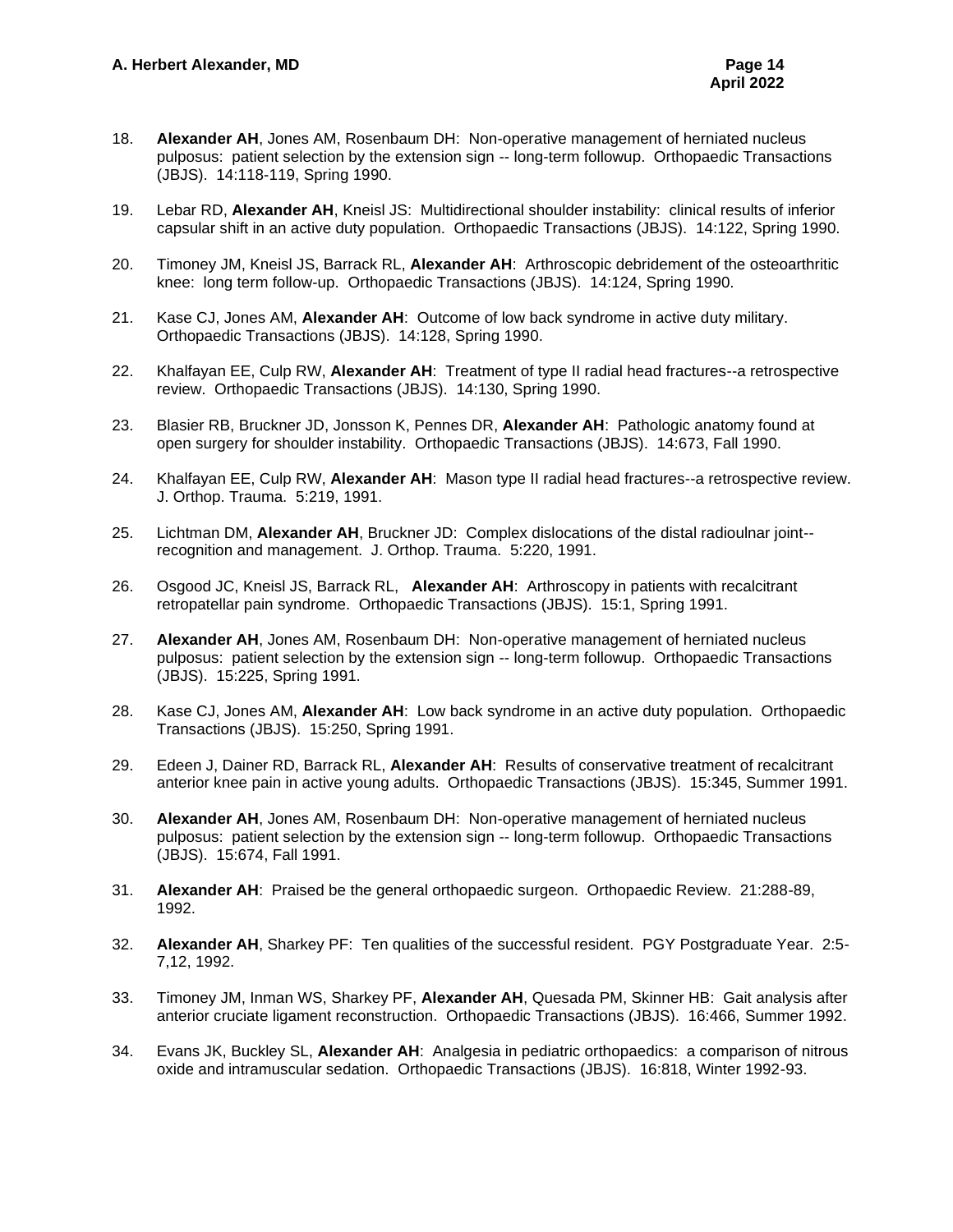- 18. **Alexander AH**, Jones AM, Rosenbaum DH: Non-operative management of herniated nucleus pulposus: patient selection by the extension sign -- long-term followup. Orthopaedic Transactions (JBJS). 14:118-119, Spring 1990.
- 19. Lebar RD, **Alexander AH**, Kneisl JS: Multidirectional shoulder instability: clinical results of inferior capsular shift in an active duty population. Orthopaedic Transactions (JBJS). 14:122, Spring 1990.
- 20. Timoney JM, Kneisl JS, Barrack RL, **Alexander AH**: Arthroscopic debridement of the osteoarthritic knee: long term follow-up. Orthopaedic Transactions (JBJS). 14:124, Spring 1990.
- 21. Kase CJ, Jones AM, **Alexander AH**: Outcome of low back syndrome in active duty military. Orthopaedic Transactions (JBJS). 14:128, Spring 1990.
- 22. Khalfayan EE, Culp RW, **Alexander AH**: Treatment of type II radial head fractures--a retrospective review. Orthopaedic Transactions (JBJS). 14:130, Spring 1990.
- 23. Blasier RB, Bruckner JD, Jonsson K, Pennes DR, **Alexander AH**: Pathologic anatomy found at open surgery for shoulder instability. Orthopaedic Transactions (JBJS). 14:673, Fall 1990.
- 24. Khalfayan EE, Culp RW, **Alexander AH**: Mason type II radial head fractures--a retrospective review. J. Orthop. Trauma. 5:219, 1991.
- 25. Lichtman DM, **Alexander AH**, Bruckner JD: Complex dislocations of the distal radioulnar joint- recognition and management. J. Orthop. Trauma. 5:220, 1991.
- 26. Osgood JC, Kneisl JS, Barrack RL, **Alexander AH**: Arthroscopy in patients with recalcitrant retropatellar pain syndrome. Orthopaedic Transactions (JBJS). 15:1, Spring 1991.
- 27. **Alexander AH**, Jones AM, Rosenbaum DH: Non-operative management of herniated nucleus pulposus: patient selection by the extension sign -- long-term followup. Orthopaedic Transactions (JBJS). 15:225, Spring 1991.
- 28. Kase CJ, Jones AM, **Alexander AH**: Low back syndrome in an active duty population. Orthopaedic Transactions (JBJS). 15:250, Spring 1991.
- 29. Edeen J, Dainer RD, Barrack RL, **Alexander AH**: Results of conservative treatment of recalcitrant anterior knee pain in active young adults. Orthopaedic Transactions (JBJS). 15:345, Summer 1991.
- 30. **Alexander AH**, Jones AM, Rosenbaum DH: Non-operative management of herniated nucleus pulposus: patient selection by the extension sign -- long-term followup. Orthopaedic Transactions (JBJS). 15:674, Fall 1991.
- 31. **Alexander AH**: Praised be the general orthopaedic surgeon. Orthopaedic Review. 21:288-89, 1992.
- 32. **Alexander AH**, Sharkey PF: Ten qualities of the successful resident. PGY Postgraduate Year. 2:5- 7,12, 1992.
- 33. Timoney JM, Inman WS, Sharkey PF, **Alexander AH**, Quesada PM, Skinner HB: Gait analysis after anterior cruciate ligament reconstruction. Orthopaedic Transactions (JBJS). 16:466, Summer 1992.
- 34. Evans JK, Buckley SL, **Alexander AH**: Analgesia in pediatric orthopaedics: a comparison of nitrous oxide and intramuscular sedation. Orthopaedic Transactions (JBJS). 16:818, Winter 1992-93.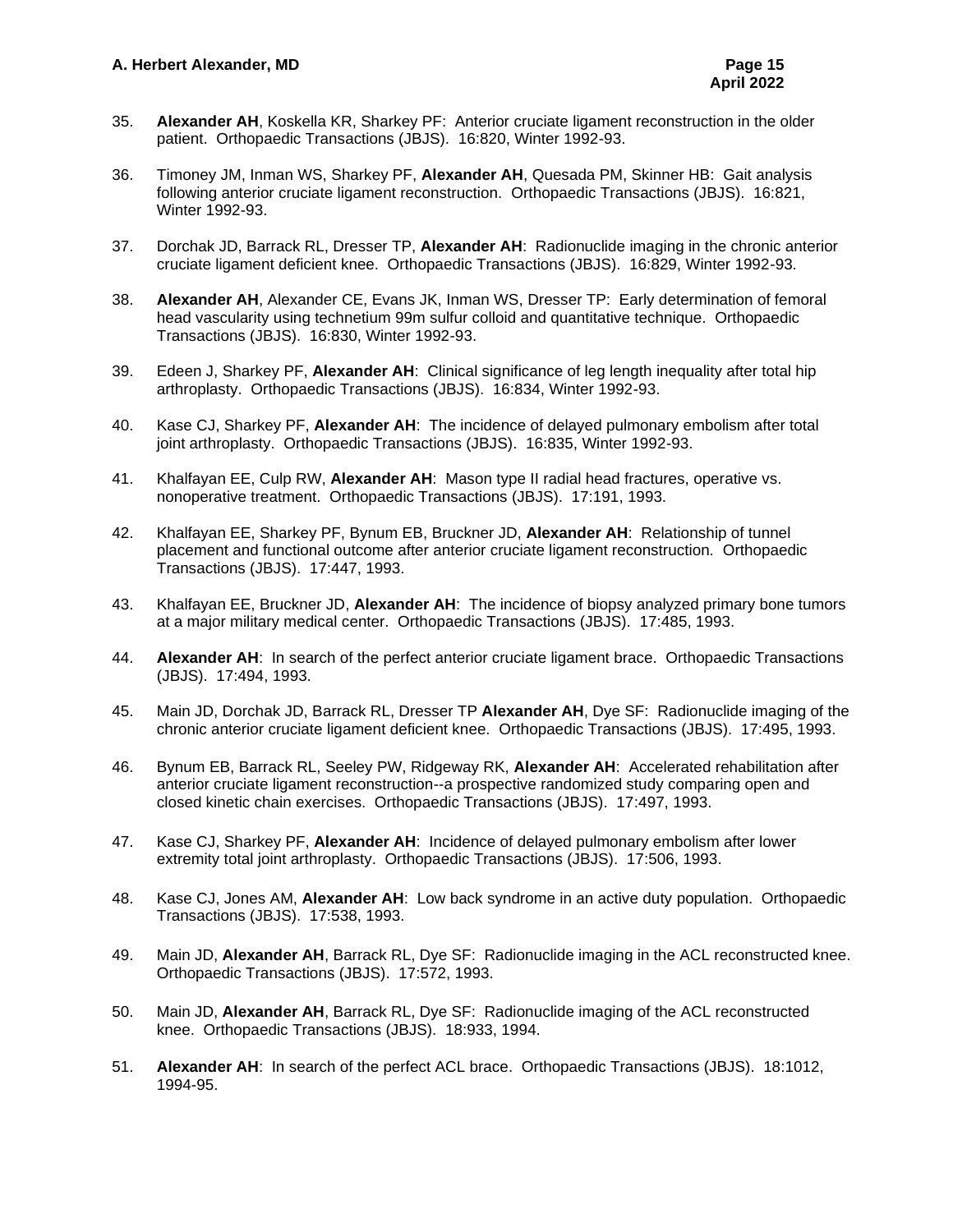- 35. **Alexander AH**, Koskella KR, Sharkey PF: Anterior cruciate ligament reconstruction in the older patient. Orthopaedic Transactions (JBJS). 16:820, Winter 1992-93.
- 36. Timoney JM, Inman WS, Sharkey PF, **Alexander AH**, Quesada PM, Skinner HB: Gait analysis following anterior cruciate ligament reconstruction. Orthopaedic Transactions (JBJS). 16:821, Winter 1992-93.
- 37. Dorchak JD, Barrack RL, Dresser TP, **Alexander AH**: Radionuclide imaging in the chronic anterior cruciate ligament deficient knee. Orthopaedic Transactions (JBJS). 16:829, Winter 1992-93.
- 38. **Alexander AH**, Alexander CE, Evans JK, Inman WS, Dresser TP: Early determination of femoral head vascularity using technetium 99m sulfur colloid and quantitative technique. Orthopaedic Transactions (JBJS). 16:830, Winter 1992-93.
- 39. Edeen J, Sharkey PF, **Alexander AH**: Clinical significance of leg length inequality after total hip arthroplasty. Orthopaedic Transactions (JBJS). 16:834, Winter 1992-93.
- 40. Kase CJ, Sharkey PF, **Alexander AH**: The incidence of delayed pulmonary embolism after total joint arthroplasty. Orthopaedic Transactions (JBJS). 16:835, Winter 1992-93.
- 41. Khalfayan EE, Culp RW, **Alexander AH**: Mason type II radial head fractures, operative vs. nonoperative treatment. Orthopaedic Transactions (JBJS). 17:191, 1993.
- 42. Khalfayan EE, Sharkey PF, Bynum EB, Bruckner JD, **Alexander AH**: Relationship of tunnel placement and functional outcome after anterior cruciate ligament reconstruction. Orthopaedic Transactions (JBJS). 17:447, 1993.
- 43. Khalfayan EE, Bruckner JD, **Alexander AH**: The incidence of biopsy analyzed primary bone tumors at a major military medical center. Orthopaedic Transactions (JBJS). 17:485, 1993.
- 44. **Alexander AH**: In search of the perfect anterior cruciate ligament brace. Orthopaedic Transactions (JBJS). 17:494, 1993.
- 45. Main JD, Dorchak JD, Barrack RL, Dresser TP **Alexander AH**, Dye SF: Radionuclide imaging of the chronic anterior cruciate ligament deficient knee. Orthopaedic Transactions (JBJS). 17:495, 1993.
- 46. Bynum EB, Barrack RL, Seeley PW, Ridgeway RK, **Alexander AH**: Accelerated rehabilitation after anterior cruciate ligament reconstruction--a prospective randomized study comparing open and closed kinetic chain exercises. Orthopaedic Transactions (JBJS). 17:497, 1993.
- 47. Kase CJ, Sharkey PF, **Alexander AH**: Incidence of delayed pulmonary embolism after lower extremity total joint arthroplasty. Orthopaedic Transactions (JBJS). 17:506, 1993.
- 48. Kase CJ, Jones AM, **Alexander AH**: Low back syndrome in an active duty population. Orthopaedic Transactions (JBJS). 17:538, 1993.
- 49. Main JD, **Alexander AH**, Barrack RL, Dye SF: Radionuclide imaging in the ACL reconstructed knee. Orthopaedic Transactions (JBJS). 17:572, 1993.
- 50. Main JD, **Alexander AH**, Barrack RL, Dye SF: Radionuclide imaging of the ACL reconstructed knee. Orthopaedic Transactions (JBJS). 18:933, 1994.
- 51. **Alexander AH**: In search of the perfect ACL brace. Orthopaedic Transactions (JBJS). 18:1012, 1994-95.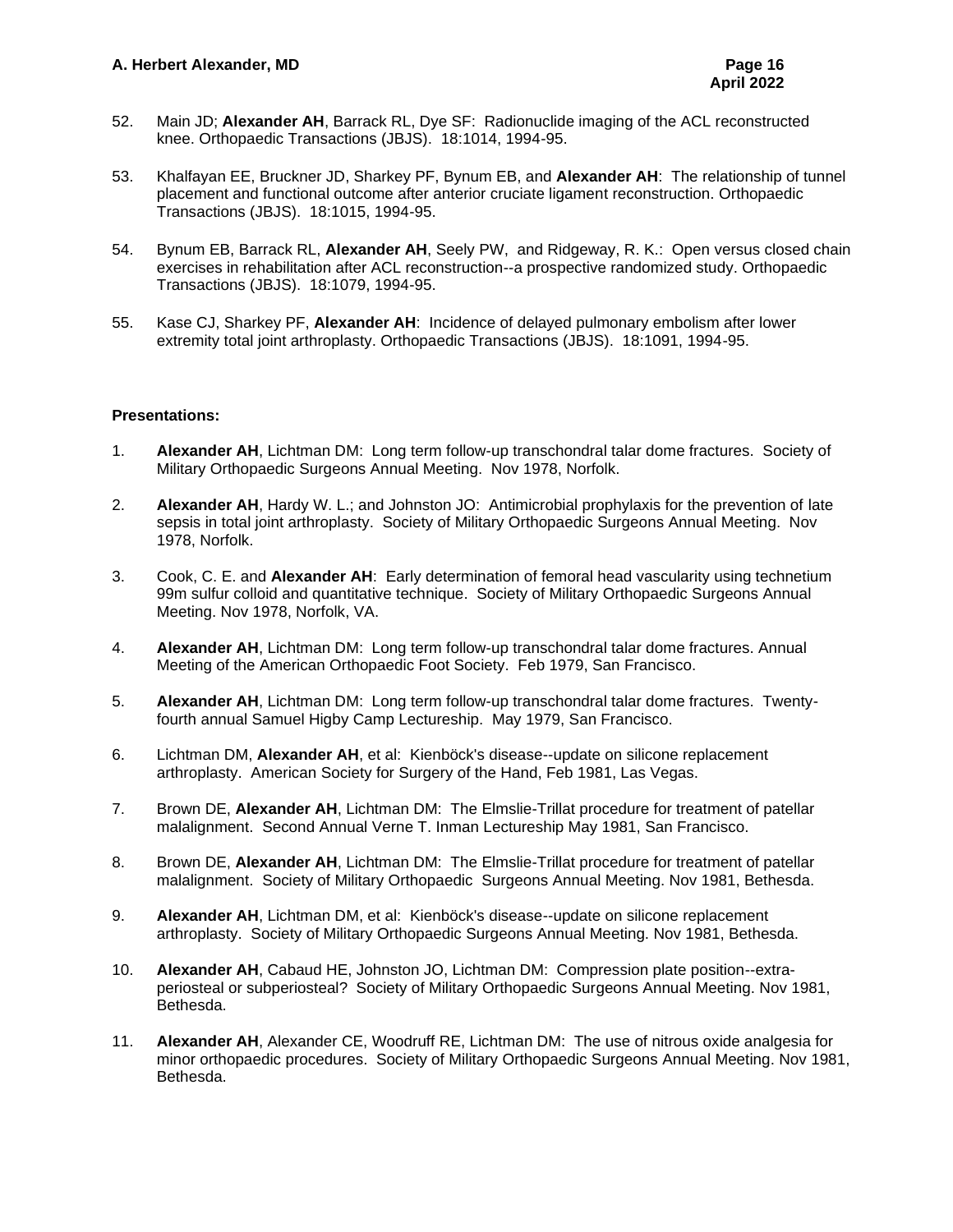- 52. Main JD; **Alexander AH**, Barrack RL, Dye SF: Radionuclide imaging of the ACL reconstructed knee. Orthopaedic Transactions (JBJS). 18:1014, 1994-95.
- 53. Khalfayan EE, Bruckner JD, Sharkey PF, Bynum EB, and **Alexander AH**: The relationship of tunnel placement and functional outcome after anterior cruciate ligament reconstruction. Orthopaedic Transactions (JBJS). 18:1015, 1994-95.
- 54. Bynum EB, Barrack RL, **Alexander AH**, Seely PW, and Ridgeway, R. K.: Open versus closed chain exercises in rehabilitation after ACL reconstruction--a prospective randomized study. Orthopaedic Transactions (JBJS). 18:1079, 1994-95.
- 55. Kase CJ, Sharkey PF, **Alexander AH**: Incidence of delayed pulmonary embolism after lower extremity total joint arthroplasty. Orthopaedic Transactions (JBJS). 18:1091, 1994-95.

## **Presentations:**

- 1. **Alexander AH**, Lichtman DM: Long term follow-up transchondral talar dome fractures. Society of Military Orthopaedic Surgeons Annual Meeting. Nov 1978, Norfolk.
- 2. **Alexander AH**, Hardy W. L.; and Johnston JO: Antimicrobial prophylaxis for the prevention of late sepsis in total joint arthroplasty. Society of Military Orthopaedic Surgeons Annual Meeting. Nov 1978, Norfolk.
- 3. Cook, C. E. and **Alexander AH**: Early determination of femoral head vascularity using technetium 99m sulfur colloid and quantitative technique. Society of Military Orthopaedic Surgeons Annual Meeting. Nov 1978, Norfolk, VA.
- 4. **Alexander AH**, Lichtman DM: Long term follow-up transchondral talar dome fractures. Annual Meeting of the American Orthopaedic Foot Society. Feb 1979, San Francisco.
- 5. **Alexander AH**, Lichtman DM: Long term follow-up transchondral talar dome fractures. Twentyfourth annual Samuel Higby Camp Lectureship. May 1979, San Francisco.
- 6. Lichtman DM, **Alexander AH**, et al: Kienböck's disease--update on silicone replacement arthroplasty. American Society for Surgery of the Hand, Feb 1981, Las Vegas.
- 7. Brown DE, **Alexander AH**, Lichtman DM: The Elmslie-Trillat procedure for treatment of patellar malalignment. Second Annual Verne T. Inman Lectureship May 1981, San Francisco.
- 8. Brown DE, **Alexander AH**, Lichtman DM: The Elmslie-Trillat procedure for treatment of patellar malalignment. Society of Military Orthopaedic Surgeons Annual Meeting. Nov 1981, Bethesda.
- 9. **Alexander AH**, Lichtman DM, et al: Kienböck's disease--update on silicone replacement arthroplasty. Society of Military Orthopaedic Surgeons Annual Meeting. Nov 1981, Bethesda.
- 10. **Alexander AH**, Cabaud HE, Johnston JO, Lichtman DM: Compression plate position--extraperiosteal or subperiosteal? Society of Military Orthopaedic Surgeons Annual Meeting. Nov 1981, Bethesda.
- 11. **Alexander AH**, Alexander CE, Woodruff RE, Lichtman DM: The use of nitrous oxide analgesia for minor orthopaedic procedures. Society of Military Orthopaedic Surgeons Annual Meeting. Nov 1981, Bethesda.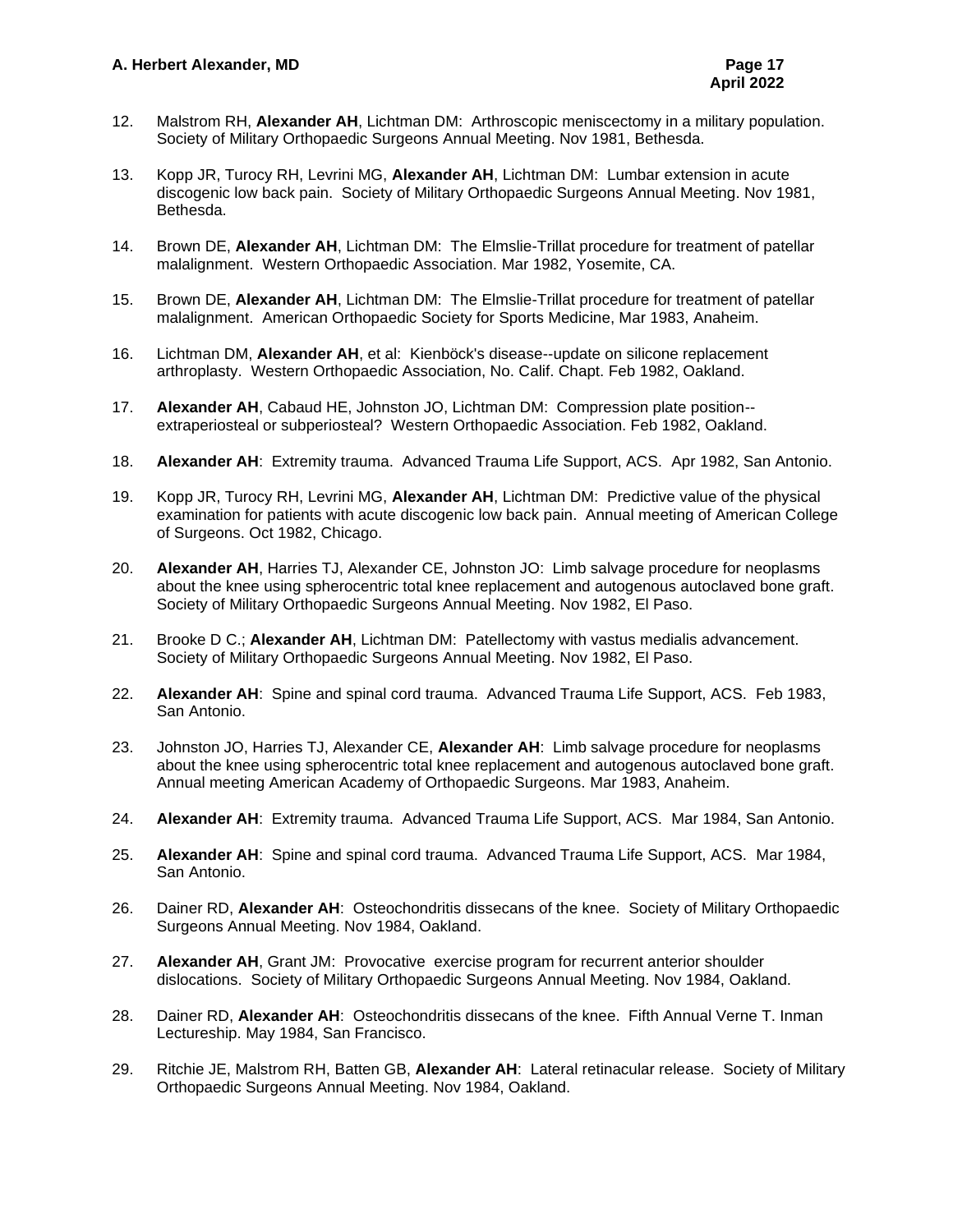- 12. Malstrom RH, **Alexander AH**, Lichtman DM: Arthroscopic meniscectomy in a military population. Society of Military Orthopaedic Surgeons Annual Meeting. Nov 1981, Bethesda.
- 13. Kopp JR, Turocy RH, Levrini MG, **Alexander AH**, Lichtman DM: Lumbar extension in acute discogenic low back pain. Society of Military Orthopaedic Surgeons Annual Meeting. Nov 1981, Bethesda.
- 14. Brown DE, **Alexander AH**, Lichtman DM: The Elmslie-Trillat procedure for treatment of patellar malalignment. Western Orthopaedic Association. Mar 1982, Yosemite, CA.
- 15. Brown DE, **Alexander AH**, Lichtman DM: The Elmslie-Trillat procedure for treatment of patellar malalignment. American Orthopaedic Society for Sports Medicine, Mar 1983, Anaheim.
- 16. Lichtman DM, **Alexander AH**, et al: Kienböck's disease--update on silicone replacement arthroplasty. Western Orthopaedic Association, No. Calif. Chapt. Feb 1982, Oakland.
- 17. **Alexander AH**, Cabaud HE, Johnston JO, Lichtman DM: Compression plate position- extraperiosteal or subperiosteal? Western Orthopaedic Association. Feb 1982, Oakland.
- 18. **Alexander AH**: Extremity trauma. Advanced Trauma Life Support, ACS. Apr 1982, San Antonio.
- 19. Kopp JR, Turocy RH, Levrini MG, **Alexander AH**, Lichtman DM: Predictive value of the physical examination for patients with acute discogenic low back pain. Annual meeting of American College of Surgeons. Oct 1982, Chicago.
- 20. **Alexander AH**, Harries TJ, Alexander CE, Johnston JO: Limb salvage procedure for neoplasms about the knee using spherocentric total knee replacement and autogenous autoclaved bone graft. Society of Military Orthopaedic Surgeons Annual Meeting. Nov 1982, El Paso.
- 21. Brooke D C.; **Alexander AH**, Lichtman DM: Patellectomy with vastus medialis advancement. Society of Military Orthopaedic Surgeons Annual Meeting. Nov 1982, El Paso.
- 22. **Alexander AH**: Spine and spinal cord trauma. Advanced Trauma Life Support, ACS. Feb 1983, San Antonio.
- 23. Johnston JO, Harries TJ, Alexander CE, **Alexander AH**: Limb salvage procedure for neoplasms about the knee using spherocentric total knee replacement and autogenous autoclaved bone graft. Annual meeting American Academy of Orthopaedic Surgeons. Mar 1983, Anaheim.
- 24. **Alexander AH**: Extremity trauma. Advanced Trauma Life Support, ACS. Mar 1984, San Antonio.
- 25. **Alexander AH**: Spine and spinal cord trauma. Advanced Trauma Life Support, ACS. Mar 1984, San Antonio.
- 26. Dainer RD, **Alexander AH**: Osteochondritis dissecans of the knee. Society of Military Orthopaedic Surgeons Annual Meeting. Nov 1984, Oakland.
- 27. **Alexander AH**, Grant JM: Provocative exercise program for recurrent anterior shoulder dislocations. Society of Military Orthopaedic Surgeons Annual Meeting. Nov 1984, Oakland.
- 28. Dainer RD, **Alexander AH**: Osteochondritis dissecans of the knee. Fifth Annual Verne T. Inman Lectureship. May 1984, San Francisco.
- 29. Ritchie JE, Malstrom RH, Batten GB, **Alexander AH**: Lateral retinacular release. Society of Military Orthopaedic Surgeons Annual Meeting. Nov 1984, Oakland.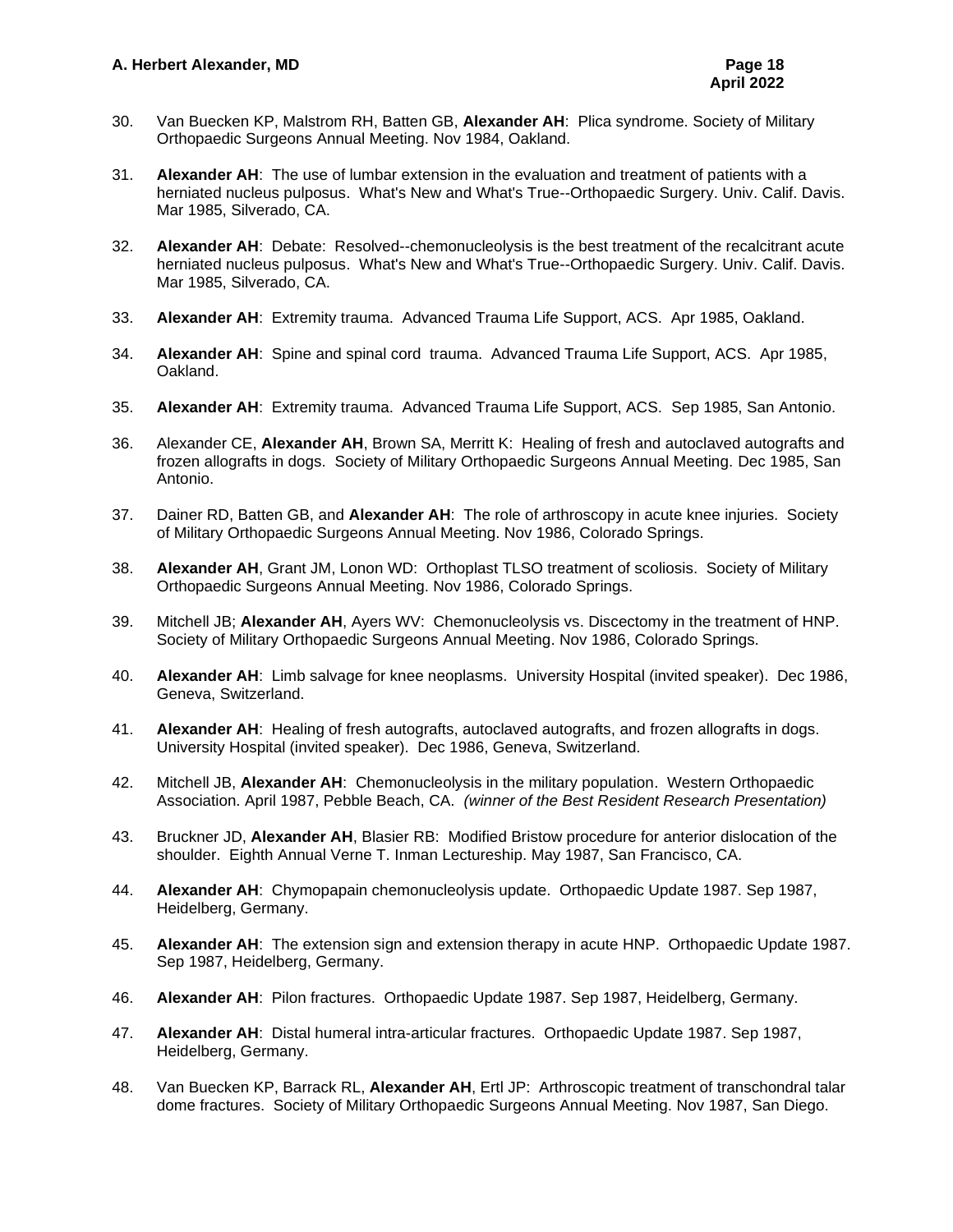- 30. Van Buecken KP, Malstrom RH, Batten GB, **Alexander AH**: Plica syndrome. Society of Military Orthopaedic Surgeons Annual Meeting. Nov 1984, Oakland.
- 31. **Alexander AH**: The use of lumbar extension in the evaluation and treatment of patients with a herniated nucleus pulposus. What's New and What's True--Orthopaedic Surgery. Univ. Calif. Davis. Mar 1985, Silverado, CA.
- 32. **Alexander AH**: Debate: Resolved--chemonucleolysis is the best treatment of the recalcitrant acute herniated nucleus pulposus. What's New and What's True--Orthopaedic Surgery. Univ. Calif. Davis. Mar 1985, Silverado, CA.
- 33. **Alexander AH**: Extremity trauma. Advanced Trauma Life Support, ACS. Apr 1985, Oakland.
- 34. **Alexander AH**: Spine and spinal cord trauma. Advanced Trauma Life Support, ACS. Apr 1985, Oakland.
- 35. **Alexander AH**: Extremity trauma. Advanced Trauma Life Support, ACS. Sep 1985, San Antonio.
- 36. Alexander CE, **Alexander AH**, Brown SA, Merritt K: Healing of fresh and autoclaved autografts and frozen allografts in dogs. Society of Military Orthopaedic Surgeons Annual Meeting. Dec 1985, San Antonio.
- 37. Dainer RD, Batten GB, and **Alexander AH**: The role of arthroscopy in acute knee injuries. Society of Military Orthopaedic Surgeons Annual Meeting. Nov 1986, Colorado Springs.
- 38. **Alexander AH**, Grant JM, Lonon WD: Orthoplast TLSO treatment of scoliosis. Society of Military Orthopaedic Surgeons Annual Meeting. Nov 1986, Colorado Springs.
- 39. Mitchell JB; **Alexander AH**, Ayers WV: Chemonucleolysis vs. Discectomy in the treatment of HNP. Society of Military Orthopaedic Surgeons Annual Meeting. Nov 1986, Colorado Springs.
- 40. **Alexander AH**: Limb salvage for knee neoplasms. University Hospital (invited speaker). Dec 1986, Geneva, Switzerland.
- 41. **Alexander AH**: Healing of fresh autografts, autoclaved autografts, and frozen allografts in dogs. University Hospital (invited speaker). Dec 1986, Geneva, Switzerland.
- 42. Mitchell JB, **Alexander AH**: Chemonucleolysis in the military population. Western Orthopaedic Association. April 1987, Pebble Beach, CA. *(winner of the Best Resident Research Presentation)*
- 43. Bruckner JD, **Alexander AH**, Blasier RB: Modified Bristow procedure for anterior dislocation of the shoulder. Eighth Annual Verne T. Inman Lectureship. May 1987, San Francisco, CA.
- 44. **Alexander AH**: Chymopapain chemonucleolysis update. Orthopaedic Update 1987. Sep 1987, Heidelberg, Germany.
- 45. **Alexander AH**: The extension sign and extension therapy in acute HNP. Orthopaedic Update 1987. Sep 1987, Heidelberg, Germany.
- 46. **Alexander AH**: Pilon fractures. Orthopaedic Update 1987. Sep 1987, Heidelberg, Germany.
- 47. **Alexander AH**: Distal humeral intra-articular fractures. Orthopaedic Update 1987. Sep 1987, Heidelberg, Germany.
- 48. Van Buecken KP, Barrack RL, **Alexander AH**, Ertl JP: Arthroscopic treatment of transchondral talar dome fractures. Society of Military Orthopaedic Surgeons Annual Meeting. Nov 1987, San Diego.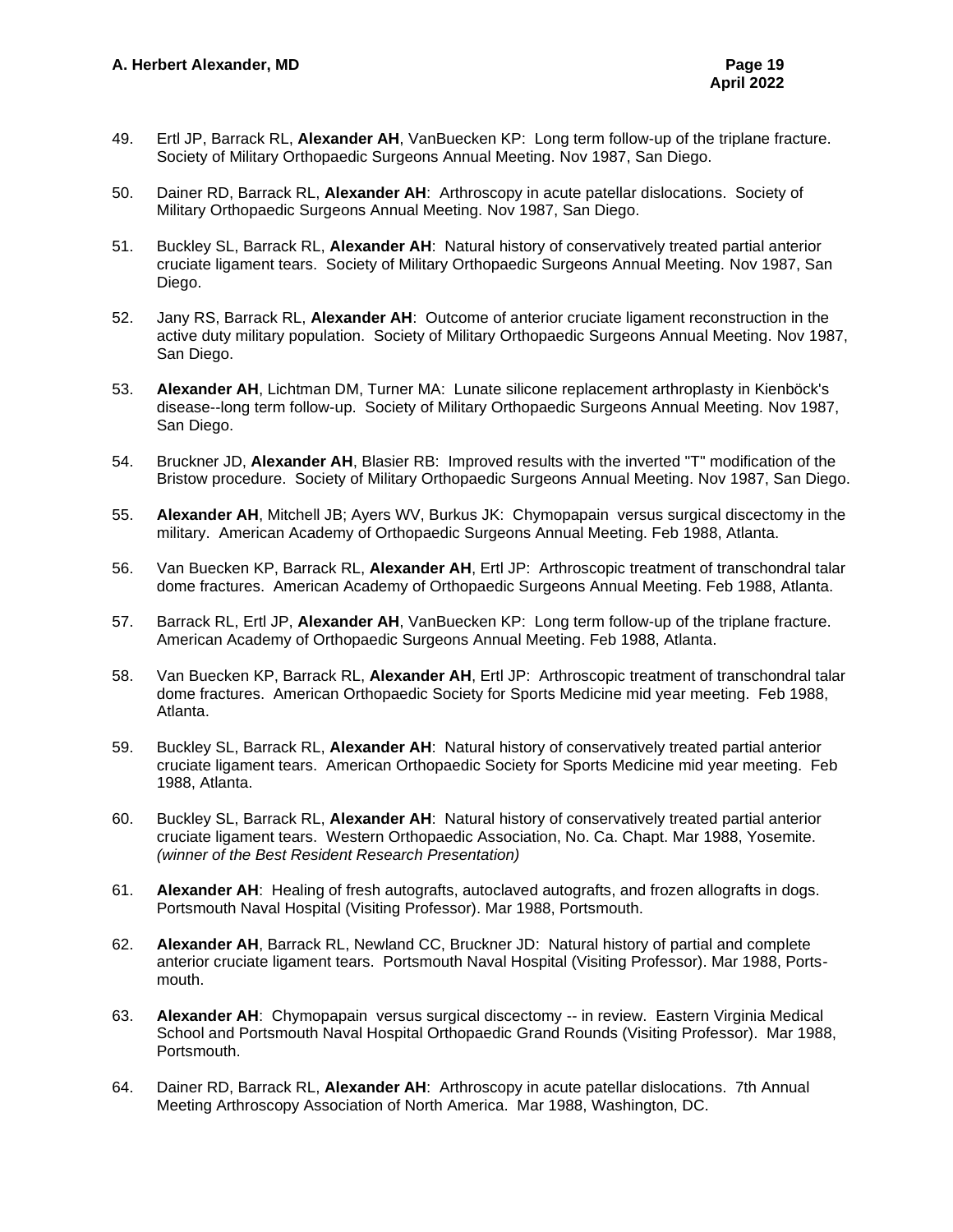- 49. Ertl JP, Barrack RL, **Alexander AH**, VanBuecken KP: Long term follow-up of the triplane fracture. Society of Military Orthopaedic Surgeons Annual Meeting. Nov 1987, San Diego.
- 50. Dainer RD, Barrack RL, **Alexander AH**: Arthroscopy in acute patellar dislocations. Society of Military Orthopaedic Surgeons Annual Meeting. Nov 1987, San Diego.
- 51. Buckley SL, Barrack RL, **Alexander AH**: Natural history of conservatively treated partial anterior cruciate ligament tears. Society of Military Orthopaedic Surgeons Annual Meeting. Nov 1987, San Diego.
- 52. Jany RS, Barrack RL, **Alexander AH**: Outcome of anterior cruciate ligament reconstruction in the active duty military population. Society of Military Orthopaedic Surgeons Annual Meeting. Nov 1987, San Diego.
- 53. **Alexander AH**, Lichtman DM, Turner MA: Lunate silicone replacement arthroplasty in Kienböck's disease--long term follow-up. Society of Military Orthopaedic Surgeons Annual Meeting. Nov 1987, San Diego.
- 54. Bruckner JD, **Alexander AH**, Blasier RB: Improved results with the inverted "T" modification of the Bristow procedure. Society of Military Orthopaedic Surgeons Annual Meeting. Nov 1987, San Diego.
- 55. **Alexander AH**, Mitchell JB; Ayers WV, Burkus JK: Chymopapain versus surgical discectomy in the military. American Academy of Orthopaedic Surgeons Annual Meeting. Feb 1988, Atlanta.
- 56. Van Buecken KP, Barrack RL, **Alexander AH**, Ertl JP: Arthroscopic treatment of transchondral talar dome fractures. American Academy of Orthopaedic Surgeons Annual Meeting. Feb 1988, Atlanta.
- 57. Barrack RL, Ertl JP, **Alexander AH**, VanBuecken KP: Long term follow-up of the triplane fracture. American Academy of Orthopaedic Surgeons Annual Meeting. Feb 1988, Atlanta.
- 58. Van Buecken KP, Barrack RL, **Alexander AH**, Ertl JP: Arthroscopic treatment of transchondral talar dome fractures. American Orthopaedic Society for Sports Medicine mid year meeting. Feb 1988, Atlanta.
- 59. Buckley SL, Barrack RL, **Alexander AH**: Natural history of conservatively treated partial anterior cruciate ligament tears. American Orthopaedic Society for Sports Medicine mid year meeting. Feb 1988, Atlanta.
- 60. Buckley SL, Barrack RL, **Alexander AH**: Natural history of conservatively treated partial anterior cruciate ligament tears. Western Orthopaedic Association, No. Ca. Chapt. Mar 1988, Yosemite. *(winner of the Best Resident Research Presentation)*
- 61. **Alexander AH**: Healing of fresh autografts, autoclaved autografts, and frozen allografts in dogs. Portsmouth Naval Hospital (Visiting Professor). Mar 1988, Portsmouth.
- 62. **Alexander AH**, Barrack RL, Newland CC, Bruckner JD: Natural history of partial and complete anterior cruciate ligament tears. Portsmouth Naval Hospital (Visiting Professor). Mar 1988, Portsmouth.
- 63. **Alexander AH**: Chymopapain versus surgical discectomy -- in review. Eastern Virginia Medical School and Portsmouth Naval Hospital Orthopaedic Grand Rounds (Visiting Professor). Mar 1988, Portsmouth.
- 64. Dainer RD, Barrack RL, **Alexander AH**: Arthroscopy in acute patellar dislocations. 7th Annual Meeting Arthroscopy Association of North America. Mar 1988, Washington, DC.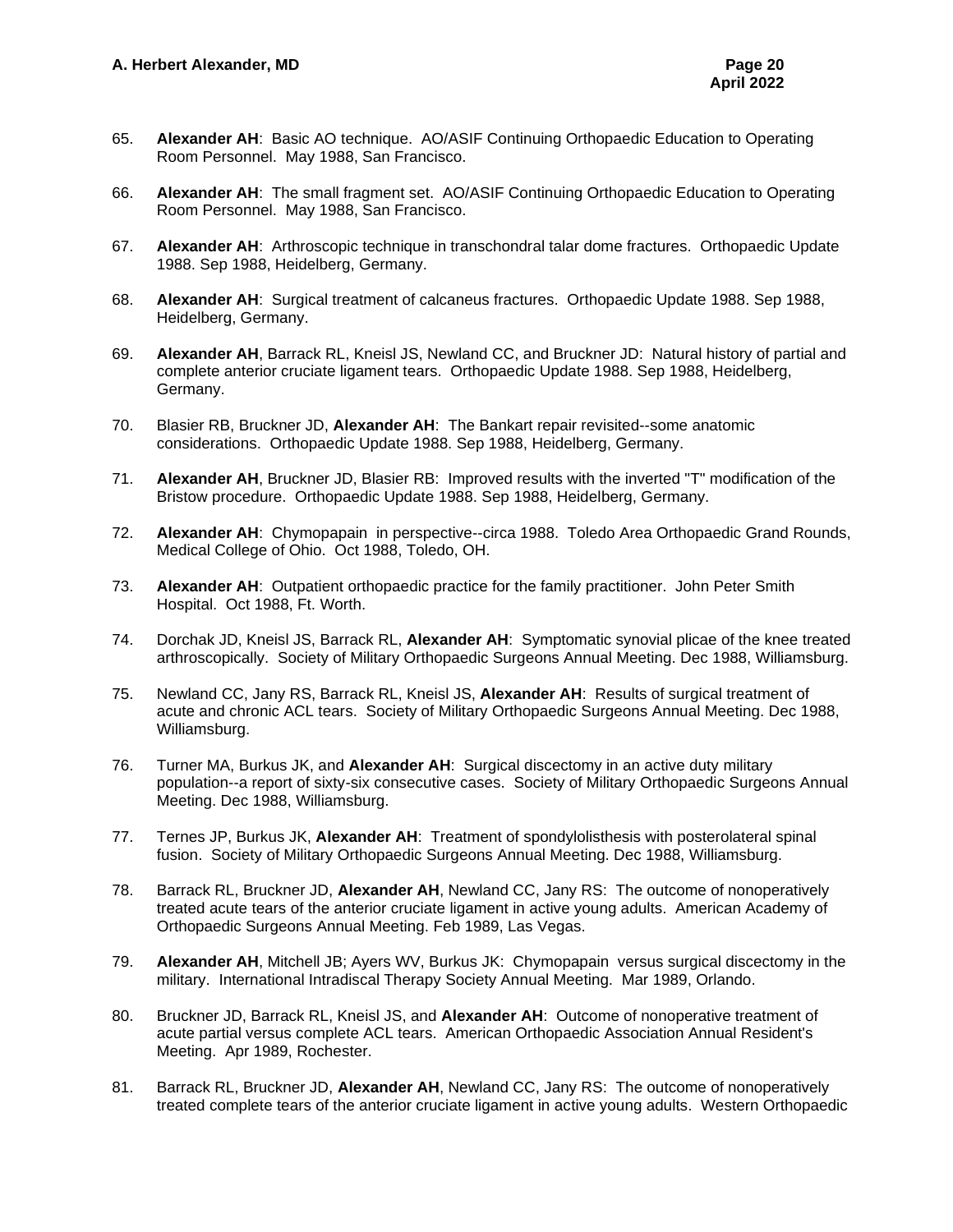- 65. **Alexander AH**: Basic AO technique. AO/ASIF Continuing Orthopaedic Education to Operating Room Personnel. May 1988, San Francisco.
- 66. **Alexander AH**: The small fragment set. AO/ASIF Continuing Orthopaedic Education to Operating Room Personnel. May 1988, San Francisco.
- 67. **Alexander AH**: Arthroscopic technique in transchondral talar dome fractures. Orthopaedic Update 1988. Sep 1988, Heidelberg, Germany.
- 68. **Alexander AH**: Surgical treatment of calcaneus fractures. Orthopaedic Update 1988. Sep 1988, Heidelberg, Germany.
- 69. **Alexander AH**, Barrack RL, Kneisl JS, Newland CC, and Bruckner JD: Natural history of partial and complete anterior cruciate ligament tears. Orthopaedic Update 1988. Sep 1988, Heidelberg, Germany.
- 70. Blasier RB, Bruckner JD, **Alexander AH**: The Bankart repair revisited--some anatomic considerations. Orthopaedic Update 1988. Sep 1988, Heidelberg, Germany.
- 71. **Alexander AH**, Bruckner JD, Blasier RB: Improved results with the inverted "T" modification of the Bristow procedure. Orthopaedic Update 1988. Sep 1988, Heidelberg, Germany.
- 72. **Alexander AH**: Chymopapain in perspective--circa 1988. Toledo Area Orthopaedic Grand Rounds, Medical College of Ohio. Oct 1988, Toledo, OH.
- 73. **Alexander AH**: Outpatient orthopaedic practice for the family practitioner. John Peter Smith Hospital. Oct 1988, Ft. Worth.
- 74. Dorchak JD, Kneisl JS, Barrack RL, **Alexander AH**: Symptomatic synovial plicae of the knee treated arthroscopically. Society of Military Orthopaedic Surgeons Annual Meeting. Dec 1988, Williamsburg.
- 75. Newland CC, Jany RS, Barrack RL, Kneisl JS, **Alexander AH**: Results of surgical treatment of acute and chronic ACL tears. Society of Military Orthopaedic Surgeons Annual Meeting. Dec 1988, Williamsburg.
- 76. Turner MA, Burkus JK, and **Alexander AH**: Surgical discectomy in an active duty military population--a report of sixty-six consecutive cases. Society of Military Orthopaedic Surgeons Annual Meeting. Dec 1988, Williamsburg.
- 77. Ternes JP, Burkus JK, **Alexander AH**: Treatment of spondylolisthesis with posterolateral spinal fusion. Society of Military Orthopaedic Surgeons Annual Meeting. Dec 1988, Williamsburg.
- 78. Barrack RL, Bruckner JD, **Alexander AH**, Newland CC, Jany RS: The outcome of nonoperatively treated acute tears of the anterior cruciate ligament in active young adults. American Academy of Orthopaedic Surgeons Annual Meeting. Feb 1989, Las Vegas.
- 79. **Alexander AH**, Mitchell JB; Ayers WV, Burkus JK: Chymopapain versus surgical discectomy in the military. International Intradiscal Therapy Society Annual Meeting. Mar 1989, Orlando.
- 80. Bruckner JD, Barrack RL, Kneisl JS, and **Alexander AH**: Outcome of nonoperative treatment of acute partial versus complete ACL tears. American Orthopaedic Association Annual Resident's Meeting. Apr 1989, Rochester.
- 81. Barrack RL, Bruckner JD, **Alexander AH**, Newland CC, Jany RS: The outcome of nonoperatively treated complete tears of the anterior cruciate ligament in active young adults. Western Orthopaedic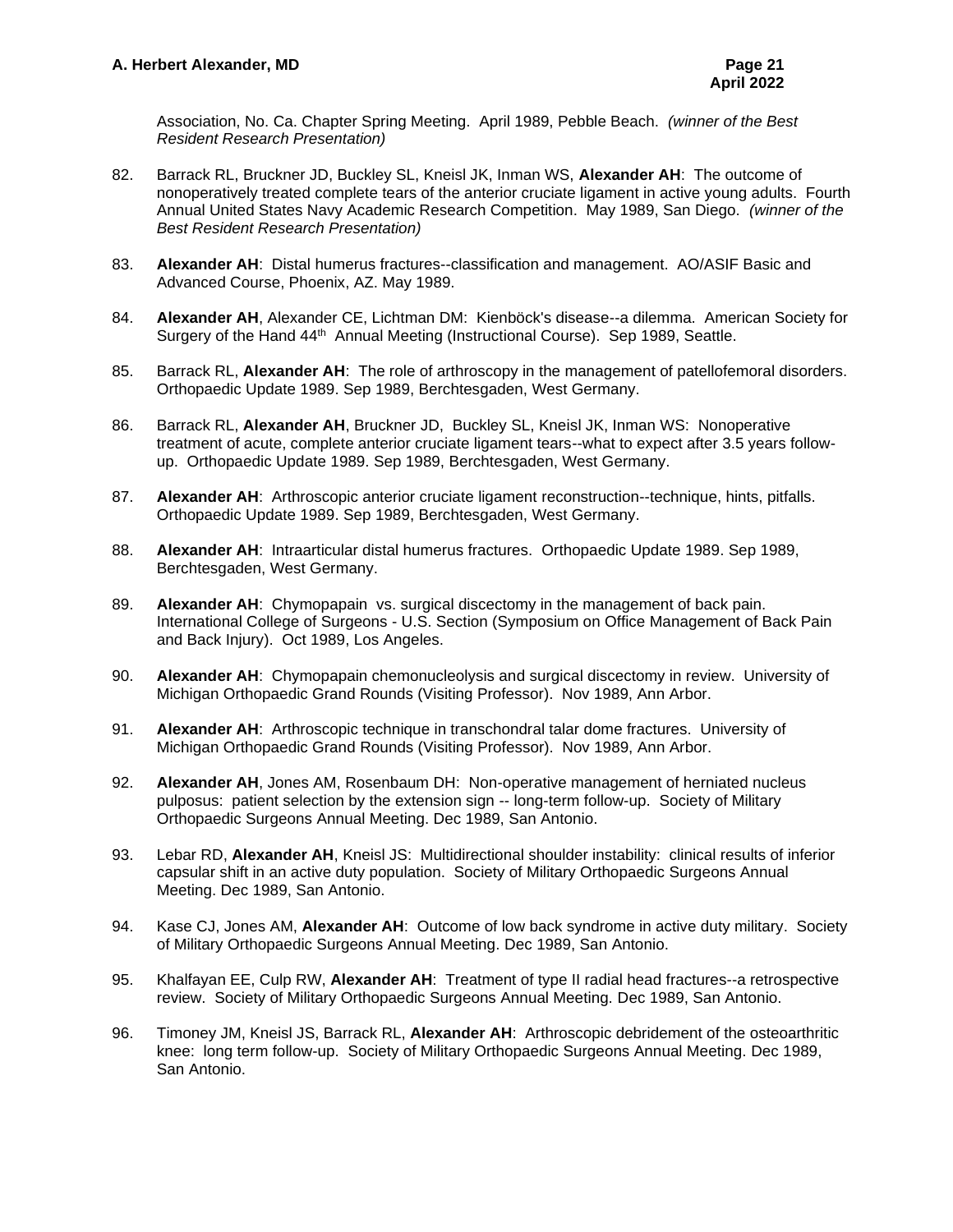Association, No. Ca. Chapter Spring Meeting. April 1989, Pebble Beach. *(winner of the Best Resident Research Presentation)*

- 82. Barrack RL, Bruckner JD, Buckley SL, Kneisl JK, Inman WS, **Alexander AH**: The outcome of nonoperatively treated complete tears of the anterior cruciate ligament in active young adults. Fourth Annual United States Navy Academic Research Competition. May 1989, San Diego. *(winner of the Best Resident Research Presentation)*
- 83. **Alexander AH**: Distal humerus fractures--classification and management. AO/ASIF Basic and Advanced Course, Phoenix, AZ. May 1989.
- 84. **Alexander AH**, Alexander CE, Lichtman DM: Kienböck's disease--a dilemma. American Society for Surgery of the Hand 44<sup>th</sup> Annual Meeting (Instructional Course). Sep 1989, Seattle.
- 85. Barrack RL, **Alexander AH**: The role of arthroscopy in the management of patellofemoral disorders. Orthopaedic Update 1989. Sep 1989, Berchtesgaden, West Germany.
- 86. Barrack RL, **Alexander AH**, Bruckner JD, Buckley SL, Kneisl JK, Inman WS: Nonoperative treatment of acute, complete anterior cruciate ligament tears--what to expect after 3.5 years followup. Orthopaedic Update 1989. Sep 1989, Berchtesgaden, West Germany.
- 87. **Alexander AH**: Arthroscopic anterior cruciate ligament reconstruction--technique, hints, pitfalls. Orthopaedic Update 1989. Sep 1989, Berchtesgaden, West Germany.
- 88. **Alexander AH**: Intraarticular distal humerus fractures. Orthopaedic Update 1989. Sep 1989, Berchtesgaden, West Germany.
- 89. **Alexander AH**: Chymopapain vs. surgical discectomy in the management of back pain. International College of Surgeons - U.S. Section (Symposium on Office Management of Back Pain and Back Injury). Oct 1989, Los Angeles.
- 90. **Alexander AH**: Chymopapain chemonucleolysis and surgical discectomy in review. University of Michigan Orthopaedic Grand Rounds (Visiting Professor). Nov 1989, Ann Arbor.
- 91. **Alexander AH**: Arthroscopic technique in transchondral talar dome fractures. University of Michigan Orthopaedic Grand Rounds (Visiting Professor). Nov 1989, Ann Arbor.
- 92. **Alexander AH**, Jones AM, Rosenbaum DH: Non-operative management of herniated nucleus pulposus: patient selection by the extension sign -- long-term follow-up. Society of Military Orthopaedic Surgeons Annual Meeting. Dec 1989, San Antonio.
- 93. Lebar RD, **Alexander AH**, Kneisl JS: Multidirectional shoulder instability: clinical results of inferior capsular shift in an active duty population. Society of Military Orthopaedic Surgeons Annual Meeting. Dec 1989, San Antonio.
- 94. Kase CJ, Jones AM, **Alexander AH**: Outcome of low back syndrome in active duty military. Society of Military Orthopaedic Surgeons Annual Meeting. Dec 1989, San Antonio.
- 95. Khalfayan EE, Culp RW, **Alexander AH**: Treatment of type II radial head fractures--a retrospective review. Society of Military Orthopaedic Surgeons Annual Meeting. Dec 1989, San Antonio.
- 96. Timoney JM, Kneisl JS, Barrack RL, **Alexander AH**: Arthroscopic debridement of the osteoarthritic knee: long term follow-up. Society of Military Orthopaedic Surgeons Annual Meeting. Dec 1989, San Antonio.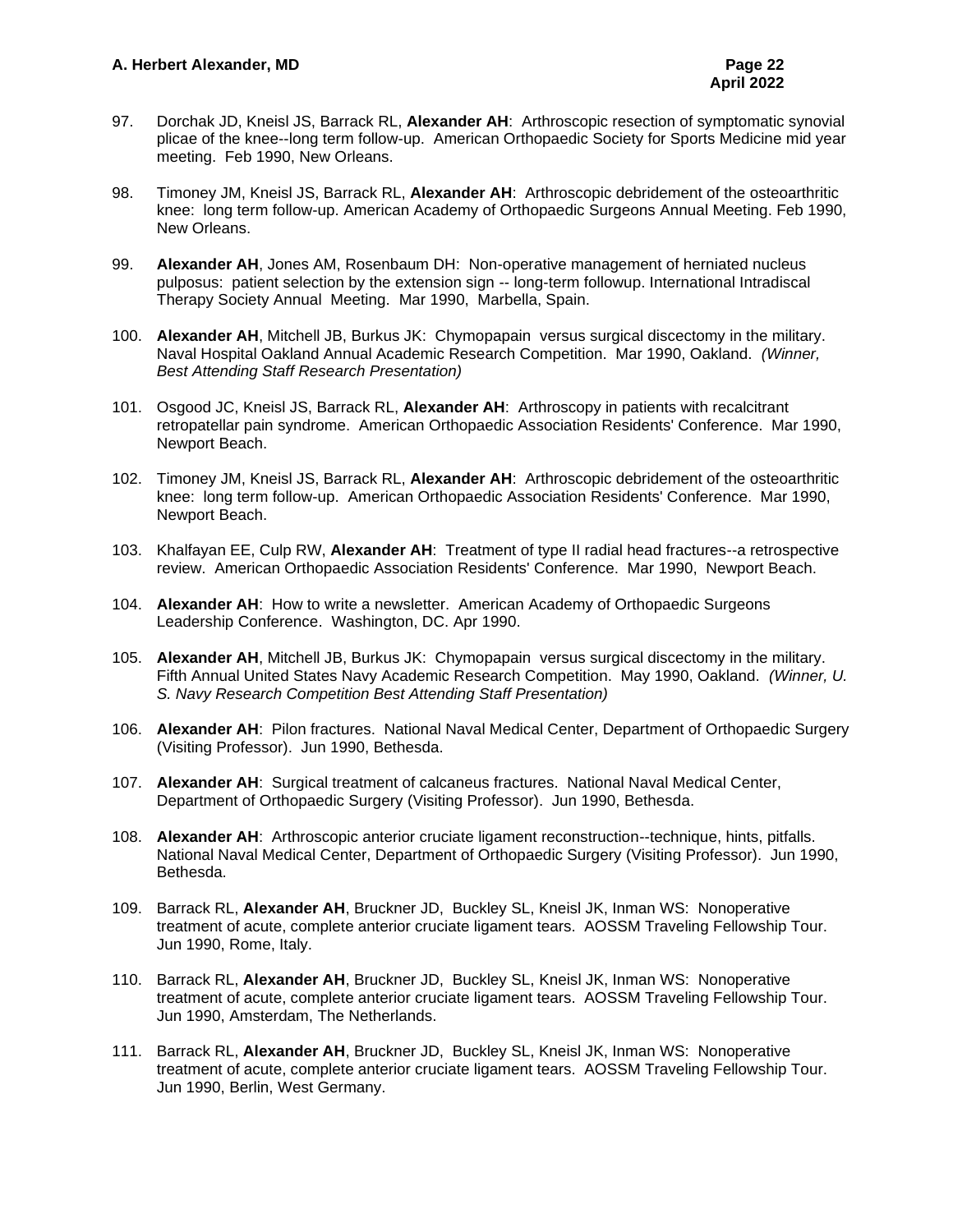- 97. Dorchak JD, Kneisl JS, Barrack RL, **Alexander AH**: Arthroscopic resection of symptomatic synovial plicae of the knee--long term follow-up. American Orthopaedic Society for Sports Medicine mid year meeting. Feb 1990, New Orleans.
- 98. Timoney JM, Kneisl JS, Barrack RL, **Alexander AH**: Arthroscopic debridement of the osteoarthritic knee: long term follow-up. American Academy of Orthopaedic Surgeons Annual Meeting. Feb 1990, New Orleans.
- 99. **Alexander AH**, Jones AM, Rosenbaum DH: Non-operative management of herniated nucleus pulposus: patient selection by the extension sign -- long-term followup. International Intradiscal Therapy Society Annual Meeting. Mar 1990, Marbella, Spain.
- 100. **Alexander AH**, Mitchell JB, Burkus JK: Chymopapain versus surgical discectomy in the military. Naval Hospital Oakland Annual Academic Research Competition. Mar 1990, Oakland. *(Winner, Best Attending Staff Research Presentation)*
- 101. Osgood JC, Kneisl JS, Barrack RL, **Alexander AH**: Arthroscopy in patients with recalcitrant retropatellar pain syndrome. American Orthopaedic Association Residents' Conference. Mar 1990, Newport Beach.
- 102. Timoney JM, Kneisl JS, Barrack RL, **Alexander AH**: Arthroscopic debridement of the osteoarthritic knee: long term follow-up. American Orthopaedic Association Residents' Conference. Mar 1990, Newport Beach.
- 103. Khalfayan EE, Culp RW, **Alexander AH**: Treatment of type II radial head fractures--a retrospective review. American Orthopaedic Association Residents' Conference. Mar 1990, Newport Beach.
- 104. **Alexander AH**: How to write a newsletter. American Academy of Orthopaedic Surgeons Leadership Conference. Washington, DC. Apr 1990.
- 105. **Alexander AH**, Mitchell JB, Burkus JK: Chymopapain versus surgical discectomy in the military. Fifth Annual United States Navy Academic Research Competition. May 1990, Oakland. *(Winner, U. S. Navy Research Competition Best Attending Staff Presentation)*
- 106. **Alexander AH**: Pilon fractures. National Naval Medical Center, Department of Orthopaedic Surgery (Visiting Professor). Jun 1990, Bethesda.
- 107. **Alexander AH**: Surgical treatment of calcaneus fractures. National Naval Medical Center, Department of Orthopaedic Surgery (Visiting Professor). Jun 1990, Bethesda.
- 108. **Alexander AH**: Arthroscopic anterior cruciate ligament reconstruction--technique, hints, pitfalls. National Naval Medical Center, Department of Orthopaedic Surgery (Visiting Professor). Jun 1990, Bethesda.
- 109. Barrack RL, **Alexander AH**, Bruckner JD, Buckley SL, Kneisl JK, Inman WS: Nonoperative treatment of acute, complete anterior cruciate ligament tears. AOSSM Traveling Fellowship Tour. Jun 1990, Rome, Italy.
- 110. Barrack RL, **Alexander AH**, Bruckner JD, Buckley SL, Kneisl JK, Inman WS: Nonoperative treatment of acute, complete anterior cruciate ligament tears. AOSSM Traveling Fellowship Tour. Jun 1990, Amsterdam, The Netherlands.
- 111. Barrack RL, **Alexander AH**, Bruckner JD, Buckley SL, Kneisl JK, Inman WS: Nonoperative treatment of acute, complete anterior cruciate ligament tears. AOSSM Traveling Fellowship Tour. Jun 1990, Berlin, West Germany.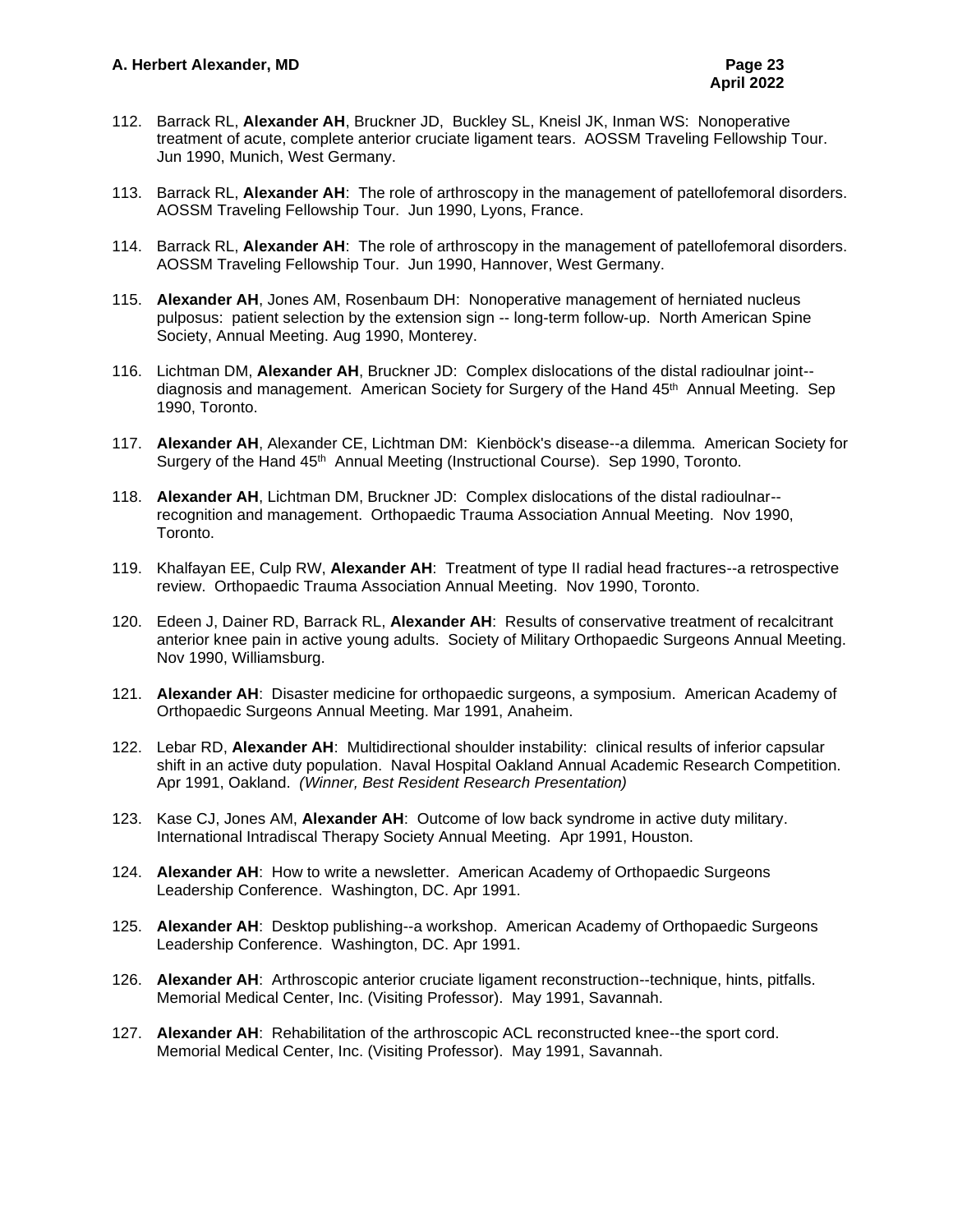- 112. Barrack RL, **Alexander AH**, Bruckner JD, Buckley SL, Kneisl JK, Inman WS: Nonoperative treatment of acute, complete anterior cruciate ligament tears. AOSSM Traveling Fellowship Tour. Jun 1990, Munich, West Germany.
- 113. Barrack RL, **Alexander AH**: The role of arthroscopy in the management of patellofemoral disorders. AOSSM Traveling Fellowship Tour. Jun 1990, Lyons, France.
- 114. Barrack RL, **Alexander AH**: The role of arthroscopy in the management of patellofemoral disorders. AOSSM Traveling Fellowship Tour. Jun 1990, Hannover, West Germany.
- 115. **Alexander AH**, Jones AM, Rosenbaum DH: Nonoperative management of herniated nucleus pulposus: patient selection by the extension sign -- long-term follow-up. North American Spine Society, Annual Meeting. Aug 1990, Monterey.
- 116. Lichtman DM, **Alexander AH**, Bruckner JD: Complex dislocations of the distal radioulnar joint- diagnosis and management. American Society for Surgery of the Hand 45<sup>th</sup> Annual Meeting. Sep 1990, Toronto.
- 117. **Alexander AH**, Alexander CE, Lichtman DM: Kienböck's disease--a dilemma. American Society for Surgery of the Hand 45<sup>th</sup> Annual Meeting (Instructional Course). Sep 1990, Toronto.
- 118. **Alexander AH**, Lichtman DM, Bruckner JD: Complex dislocations of the distal radioulnar- recognition and management. Orthopaedic Trauma Association Annual Meeting. Nov 1990, Toronto.
- 119. Khalfayan EE, Culp RW, **Alexander AH**: Treatment of type II radial head fractures--a retrospective review. Orthopaedic Trauma Association Annual Meeting. Nov 1990, Toronto.
- 120. Edeen J, Dainer RD, Barrack RL, **Alexander AH**: Results of conservative treatment of recalcitrant anterior knee pain in active young adults. Society of Military Orthopaedic Surgeons Annual Meeting. Nov 1990, Williamsburg.
- 121. **Alexander AH**: Disaster medicine for orthopaedic surgeons, a symposium. American Academy of Orthopaedic Surgeons Annual Meeting. Mar 1991, Anaheim.
- 122. Lebar RD, **Alexander AH**: Multidirectional shoulder instability: clinical results of inferior capsular shift in an active duty population. Naval Hospital Oakland Annual Academic Research Competition. Apr 1991, Oakland. *(Winner, Best Resident Research Presentation)*
- 123. Kase CJ, Jones AM, **Alexander AH**: Outcome of low back syndrome in active duty military. International Intradiscal Therapy Society Annual Meeting. Apr 1991, Houston.
- 124. **Alexander AH**: How to write a newsletter. American Academy of Orthopaedic Surgeons Leadership Conference. Washington, DC. Apr 1991.
- 125. **Alexander AH**: Desktop publishing--a workshop. American Academy of Orthopaedic Surgeons Leadership Conference. Washington, DC. Apr 1991.
- 126. **Alexander AH**: Arthroscopic anterior cruciate ligament reconstruction--technique, hints, pitfalls. Memorial Medical Center, Inc. (Visiting Professor). May 1991, Savannah.
- 127. **Alexander AH**: Rehabilitation of the arthroscopic ACL reconstructed knee--the sport cord. Memorial Medical Center, Inc. (Visiting Professor). May 1991, Savannah.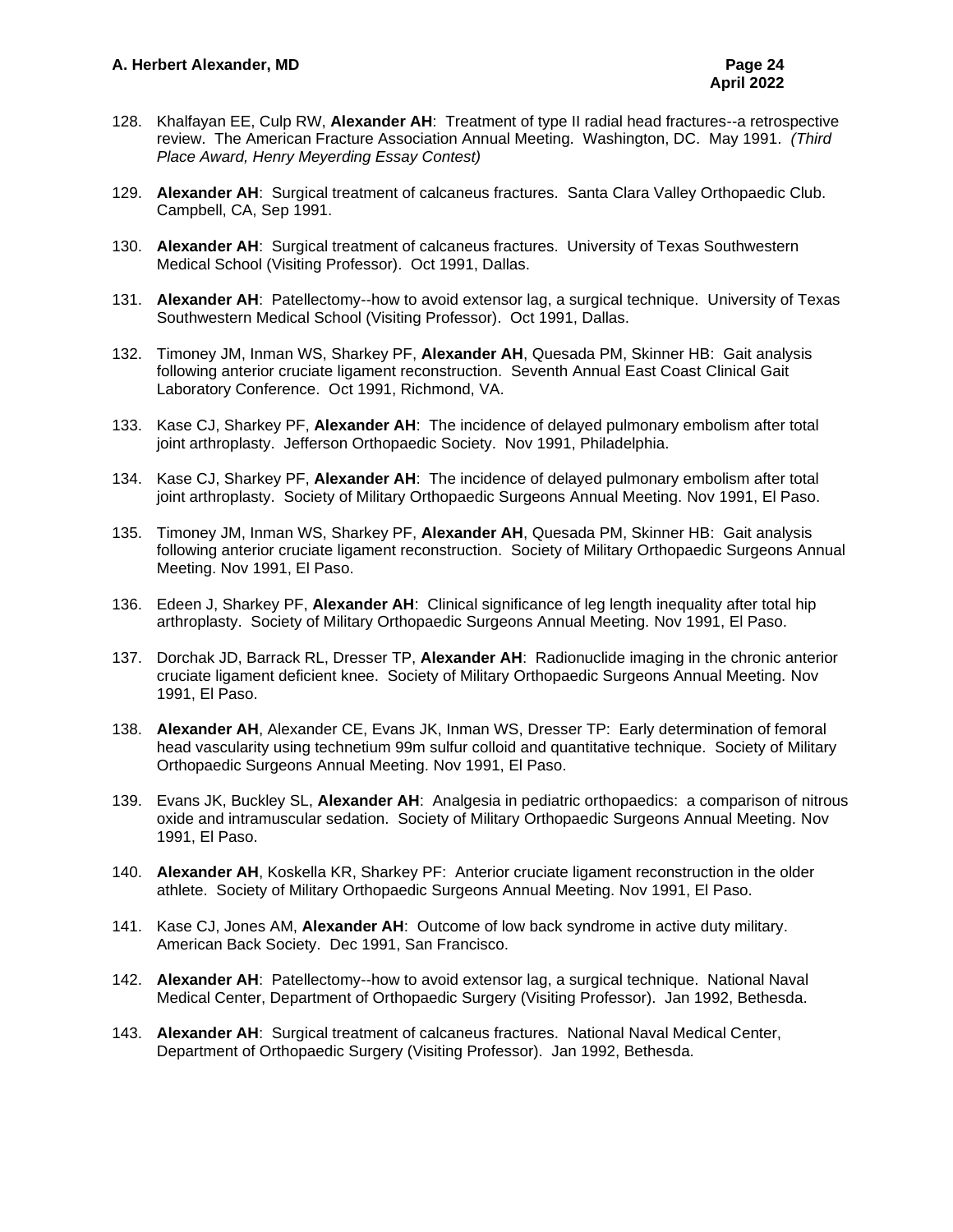- 128. Khalfayan EE, Culp RW, **Alexander AH**: Treatment of type II radial head fractures--a retrospective review. The American Fracture Association Annual Meeting. Washington, DC. May 1991. *(Third Place Award, Henry Meyerding Essay Contest)*
- 129. **Alexander AH**: Surgical treatment of calcaneus fractures. Santa Clara Valley Orthopaedic Club. Campbell, CA, Sep 1991.
- 130. **Alexander AH**: Surgical treatment of calcaneus fractures. University of Texas Southwestern Medical School (Visiting Professor). Oct 1991, Dallas.
- 131. **Alexander AH**: Patellectomy--how to avoid extensor lag, a surgical technique. University of Texas Southwestern Medical School (Visiting Professor). Oct 1991, Dallas.
- 132. Timoney JM, Inman WS, Sharkey PF, **Alexander AH**, Quesada PM, Skinner HB: Gait analysis following anterior cruciate ligament reconstruction. Seventh Annual East Coast Clinical Gait Laboratory Conference. Oct 1991, Richmond, VA.
- 133. Kase CJ, Sharkey PF, **Alexander AH**: The incidence of delayed pulmonary embolism after total joint arthroplasty. Jefferson Orthopaedic Society. Nov 1991, Philadelphia.
- 134. Kase CJ, Sharkey PF, **Alexander AH**: The incidence of delayed pulmonary embolism after total joint arthroplasty. Society of Military Orthopaedic Surgeons Annual Meeting. Nov 1991, El Paso.
- 135. Timoney JM, Inman WS, Sharkey PF, **Alexander AH**, Quesada PM, Skinner HB: Gait analysis following anterior cruciate ligament reconstruction. Society of Military Orthopaedic Surgeons Annual Meeting. Nov 1991, El Paso.
- 136. Edeen J, Sharkey PF, **Alexander AH**: Clinical significance of leg length inequality after total hip arthroplasty. Society of Military Orthopaedic Surgeons Annual Meeting. Nov 1991, El Paso.
- 137. Dorchak JD, Barrack RL, Dresser TP, **Alexander AH**: Radionuclide imaging in the chronic anterior cruciate ligament deficient knee. Society of Military Orthopaedic Surgeons Annual Meeting. Nov 1991, El Paso.
- 138. **Alexander AH**, Alexander CE, Evans JK, Inman WS, Dresser TP: Early determination of femoral head vascularity using technetium 99m sulfur colloid and quantitative technique. Society of Military Orthopaedic Surgeons Annual Meeting. Nov 1991, El Paso.
- 139. Evans JK, Buckley SL, **Alexander AH**: Analgesia in pediatric orthopaedics: a comparison of nitrous oxide and intramuscular sedation. Society of Military Orthopaedic Surgeons Annual Meeting. Nov 1991, El Paso.
- 140. **Alexander AH**, Koskella KR, Sharkey PF: Anterior cruciate ligament reconstruction in the older athlete. Society of Military Orthopaedic Surgeons Annual Meeting. Nov 1991, El Paso.
- 141. Kase CJ, Jones AM, **Alexander AH**: Outcome of low back syndrome in active duty military. American Back Society. Dec 1991, San Francisco.
- 142. **Alexander AH**: Patellectomy--how to avoid extensor lag, a surgical technique. National Naval Medical Center, Department of Orthopaedic Surgery (Visiting Professor). Jan 1992, Bethesda.
- 143. **Alexander AH**: Surgical treatment of calcaneus fractures. National Naval Medical Center, Department of Orthopaedic Surgery (Visiting Professor). Jan 1992, Bethesda.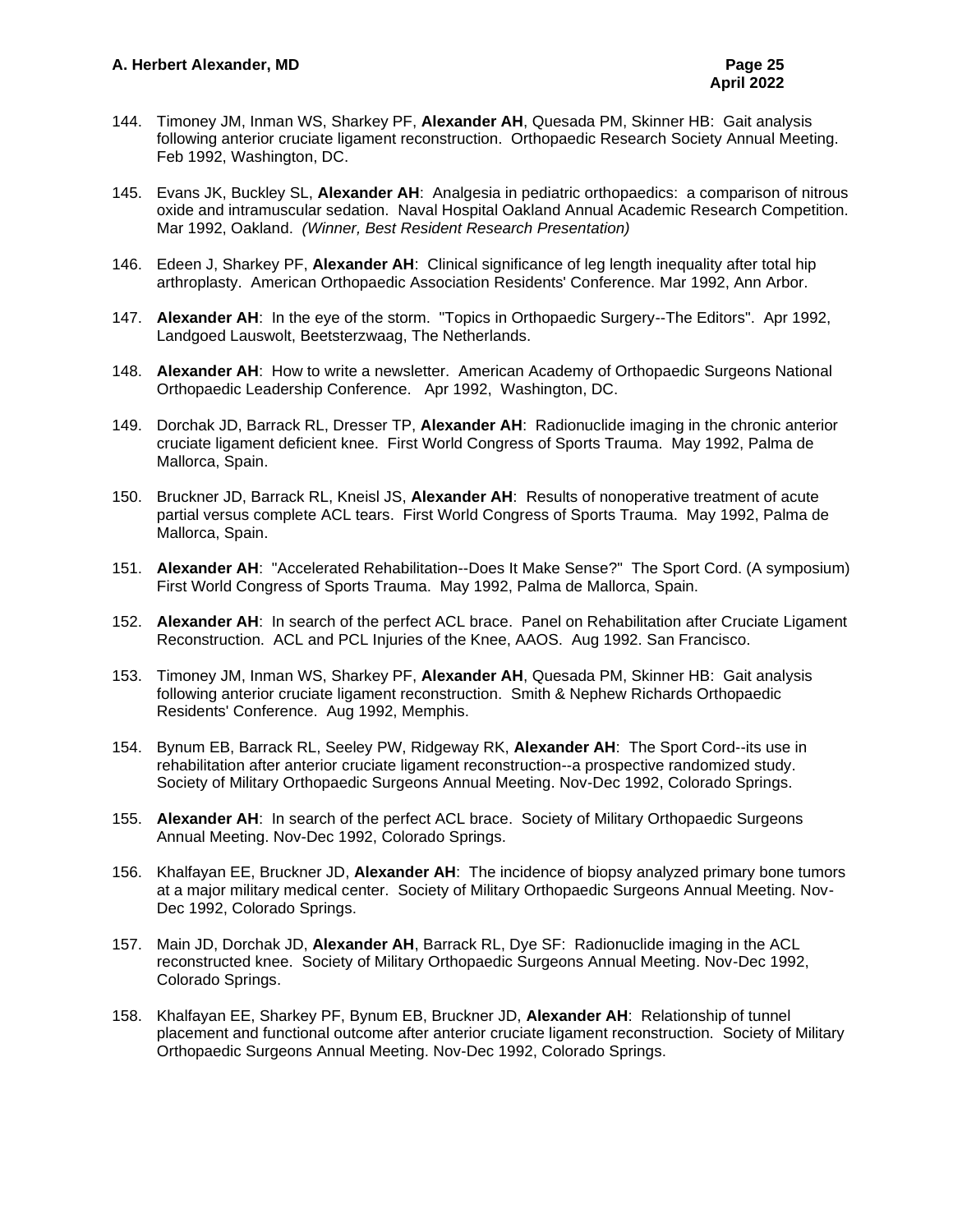- 144. Timoney JM, Inman WS, Sharkey PF, **Alexander AH**, Quesada PM, Skinner HB: Gait analysis following anterior cruciate ligament reconstruction. Orthopaedic Research Society Annual Meeting. Feb 1992, Washington, DC.
- 145. Evans JK, Buckley SL, **Alexander AH**: Analgesia in pediatric orthopaedics: a comparison of nitrous oxide and intramuscular sedation. Naval Hospital Oakland Annual Academic Research Competition. Mar 1992, Oakland. *(Winner, Best Resident Research Presentation)*
- 146. Edeen J, Sharkey PF, **Alexander AH**: Clinical significance of leg length inequality after total hip arthroplasty. American Orthopaedic Association Residents' Conference. Mar 1992, Ann Arbor.
- 147. **Alexander AH**: In the eye of the storm. "Topics in Orthopaedic Surgery--The Editors". Apr 1992, Landgoed Lauswolt, Beetsterzwaag, The Netherlands.
- 148. **Alexander AH**: How to write a newsletter. American Academy of Orthopaedic Surgeons National Orthopaedic Leadership Conference. Apr 1992, Washington, DC.
- 149. Dorchak JD, Barrack RL, Dresser TP, **Alexander AH**: Radionuclide imaging in the chronic anterior cruciate ligament deficient knee. First World Congress of Sports Trauma. May 1992, Palma de Mallorca, Spain.
- 150. Bruckner JD, Barrack RL, Kneisl JS, **Alexander AH**: Results of nonoperative treatment of acute partial versus complete ACL tears. First World Congress of Sports Trauma. May 1992, Palma de Mallorca, Spain.
- 151. **Alexander AH**: "Accelerated Rehabilitation--Does It Make Sense?" The Sport Cord. (A symposium) First World Congress of Sports Trauma. May 1992, Palma de Mallorca, Spain.
- 152. **Alexander AH**: In search of the perfect ACL brace. Panel on Rehabilitation after Cruciate Ligament Reconstruction. ACL and PCL Injuries of the Knee, AAOS. Aug 1992. San Francisco.
- 153. Timoney JM, Inman WS, Sharkey PF, **Alexander AH**, Quesada PM, Skinner HB: Gait analysis following anterior cruciate ligament reconstruction. Smith & Nephew Richards Orthopaedic Residents' Conference. Aug 1992, Memphis.
- 154. Bynum EB, Barrack RL, Seeley PW, Ridgeway RK, **Alexander AH**: The Sport Cord--its use in rehabilitation after anterior cruciate ligament reconstruction--a prospective randomized study. Society of Military Orthopaedic Surgeons Annual Meeting. Nov-Dec 1992, Colorado Springs.
- 155. **Alexander AH**: In search of the perfect ACL brace. Society of Military Orthopaedic Surgeons Annual Meeting. Nov-Dec 1992, Colorado Springs.
- 156. Khalfayan EE, Bruckner JD, **Alexander AH**: The incidence of biopsy analyzed primary bone tumors at a major military medical center. Society of Military Orthopaedic Surgeons Annual Meeting. Nov-Dec 1992, Colorado Springs.
- 157. Main JD, Dorchak JD, **Alexander AH**, Barrack RL, Dye SF: Radionuclide imaging in the ACL reconstructed knee. Society of Military Orthopaedic Surgeons Annual Meeting. Nov-Dec 1992, Colorado Springs.
- 158. Khalfayan EE, Sharkey PF, Bynum EB, Bruckner JD, **Alexander AH**: Relationship of tunnel placement and functional outcome after anterior cruciate ligament reconstruction. Society of Military Orthopaedic Surgeons Annual Meeting. Nov-Dec 1992, Colorado Springs.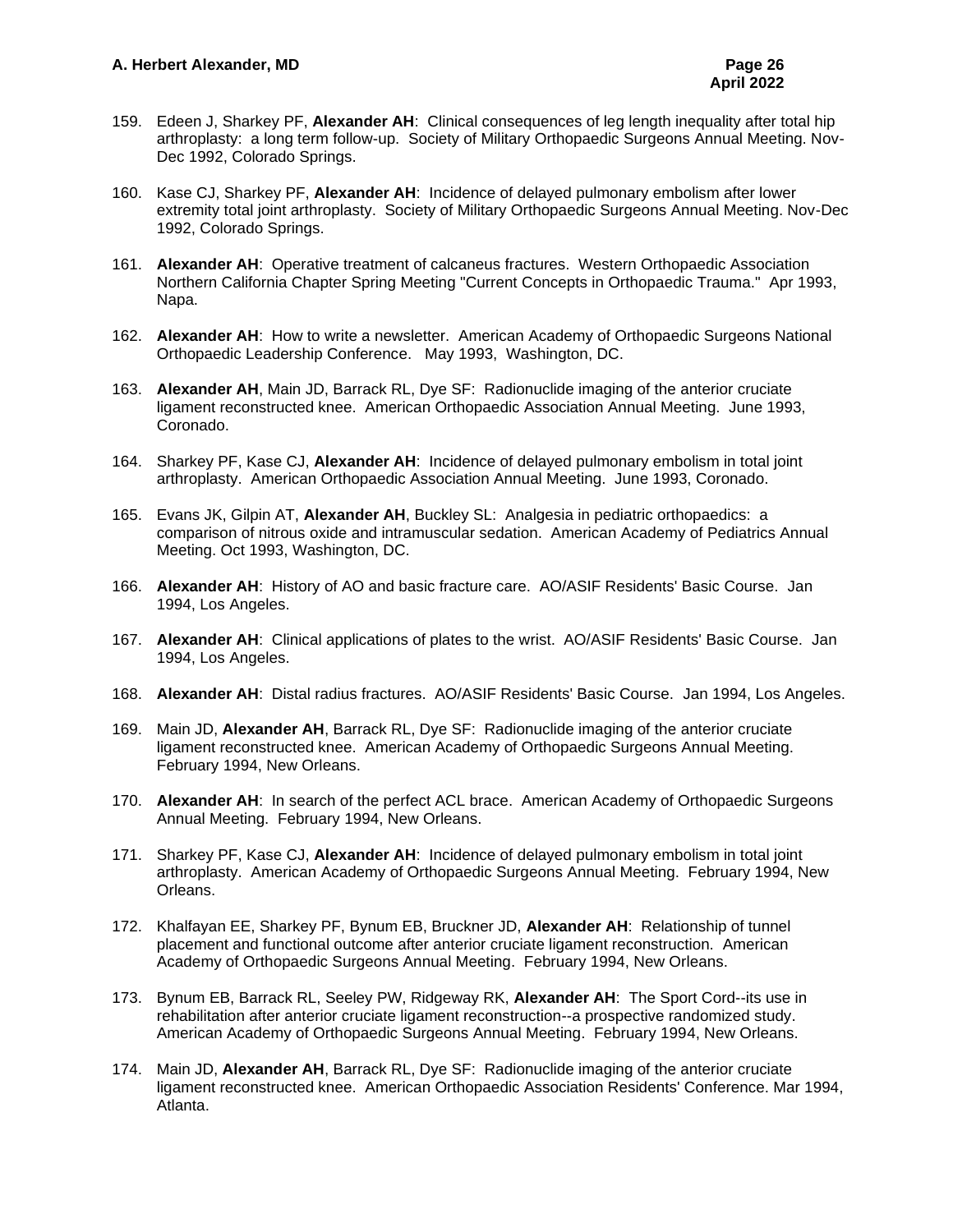- 159. Edeen J, Sharkey PF, **Alexander AH**: Clinical consequences of leg length inequality after total hip arthroplasty: a long term follow-up. Society of Military Orthopaedic Surgeons Annual Meeting. Nov-Dec 1992, Colorado Springs.
- 160. Kase CJ, Sharkey PF, **Alexander AH**: Incidence of delayed pulmonary embolism after lower extremity total joint arthroplasty. Society of Military Orthopaedic Surgeons Annual Meeting. Nov-Dec 1992, Colorado Springs.
- 161. **Alexander AH**: Operative treatment of calcaneus fractures. Western Orthopaedic Association Northern California Chapter Spring Meeting "Current Concepts in Orthopaedic Trauma." Apr 1993, Napa.
- 162. **Alexander AH**: How to write a newsletter. American Academy of Orthopaedic Surgeons National Orthopaedic Leadership Conference. May 1993, Washington, DC.
- 163. **Alexander AH**, Main JD, Barrack RL, Dye SF: Radionuclide imaging of the anterior cruciate ligament reconstructed knee. American Orthopaedic Association Annual Meeting. June 1993, Coronado.
- 164. Sharkey PF, Kase CJ, **Alexander AH**: Incidence of delayed pulmonary embolism in total joint arthroplasty. American Orthopaedic Association Annual Meeting. June 1993, Coronado.
- 165. Evans JK, Gilpin AT, **Alexander AH**, Buckley SL: Analgesia in pediatric orthopaedics: a comparison of nitrous oxide and intramuscular sedation. American Academy of Pediatrics Annual Meeting. Oct 1993, Washington, DC.
- 166. **Alexander AH**: History of AO and basic fracture care. AO/ASIF Residents' Basic Course. Jan 1994, Los Angeles.
- 167. **Alexander AH**: Clinical applications of plates to the wrist. AO/ASIF Residents' Basic Course. Jan 1994, Los Angeles.
- 168. **Alexander AH**: Distal radius fractures. AO/ASIF Residents' Basic Course. Jan 1994, Los Angeles.
- 169. Main JD, **Alexander AH**, Barrack RL, Dye SF: Radionuclide imaging of the anterior cruciate ligament reconstructed knee. American Academy of Orthopaedic Surgeons Annual Meeting. February 1994, New Orleans.
- 170. **Alexander AH**: In search of the perfect ACL brace. American Academy of Orthopaedic Surgeons Annual Meeting. February 1994, New Orleans.
- 171. Sharkey PF, Kase CJ, **Alexander AH**: Incidence of delayed pulmonary embolism in total joint arthroplasty. American Academy of Orthopaedic Surgeons Annual Meeting. February 1994, New Orleans.
- 172. Khalfayan EE, Sharkey PF, Bynum EB, Bruckner JD, **Alexander AH**: Relationship of tunnel placement and functional outcome after anterior cruciate ligament reconstruction. American Academy of Orthopaedic Surgeons Annual Meeting. February 1994, New Orleans.
- 173. Bynum EB, Barrack RL, Seeley PW, Ridgeway RK, **Alexander AH**: The Sport Cord--its use in rehabilitation after anterior cruciate ligament reconstruction--a prospective randomized study. American Academy of Orthopaedic Surgeons Annual Meeting. February 1994, New Orleans.
- 174. Main JD, **Alexander AH**, Barrack RL, Dye SF: Radionuclide imaging of the anterior cruciate ligament reconstructed knee. American Orthopaedic Association Residents' Conference. Mar 1994, Atlanta.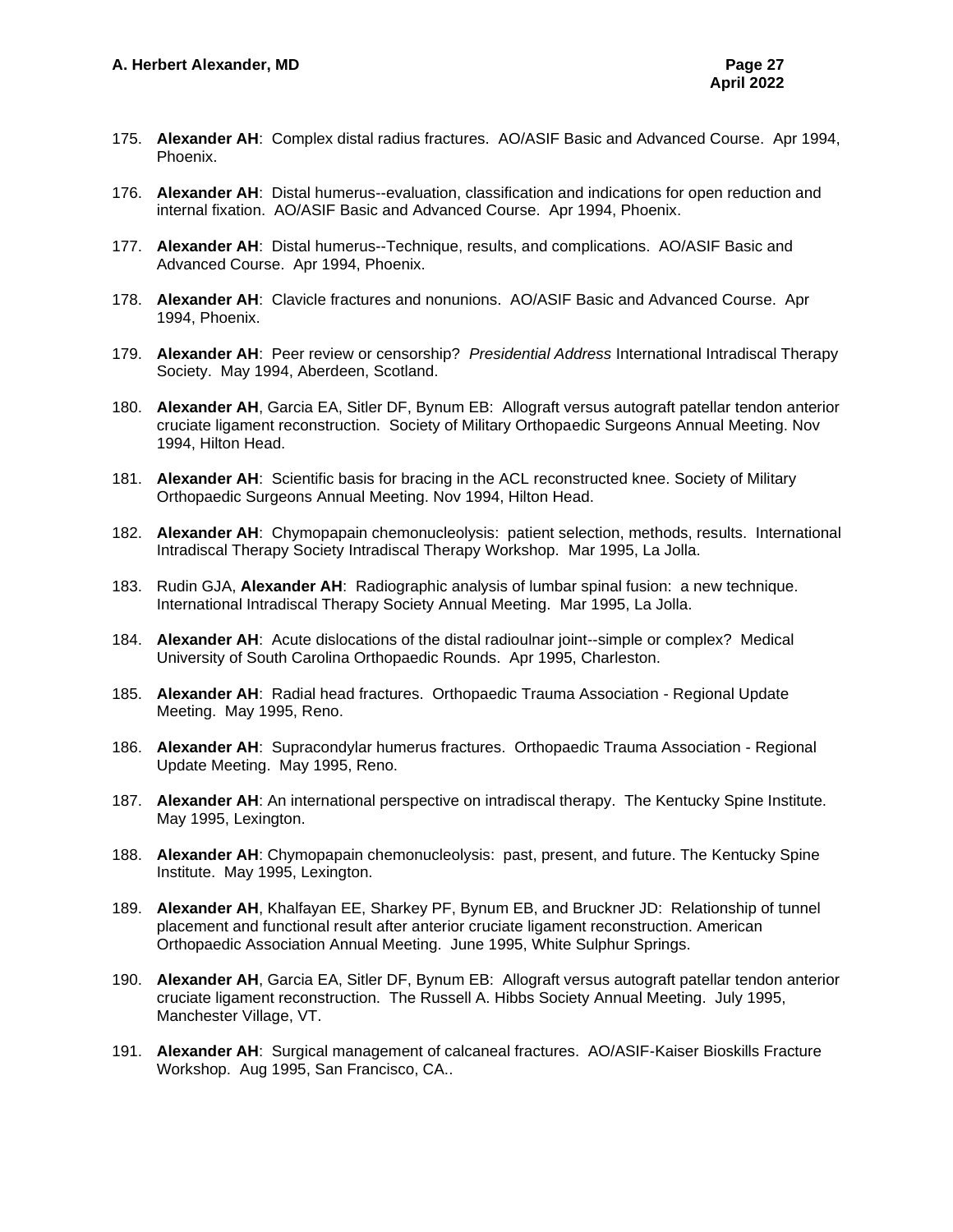- 175. **Alexander AH**: Complex distal radius fractures. AO/ASIF Basic and Advanced Course. Apr 1994, Phoenix.
- 176. **Alexander AH**: Distal humerus--evaluation, classification and indications for open reduction and internal fixation. AO/ASIF Basic and Advanced Course. Apr 1994, Phoenix.
- 177. **Alexander AH**: Distal humerus--Technique, results, and complications. AO/ASIF Basic and Advanced Course. Apr 1994, Phoenix.
- 178. **Alexander AH**: Clavicle fractures and nonunions. AO/ASIF Basic and Advanced Course. Apr 1994, Phoenix.
- 179. **Alexander AH**: Peer review or censorship? *Presidential Address* International Intradiscal Therapy Society. May 1994, Aberdeen, Scotland.
- 180. **Alexander AH**, Garcia EA, Sitler DF, Bynum EB: Allograft versus autograft patellar tendon anterior cruciate ligament reconstruction. Society of Military Orthopaedic Surgeons Annual Meeting. Nov 1994, Hilton Head.
- 181. **Alexander AH**: Scientific basis for bracing in the ACL reconstructed knee. Society of Military Orthopaedic Surgeons Annual Meeting. Nov 1994, Hilton Head.
- 182. **Alexander AH**: Chymopapain chemonucleolysis: patient selection, methods, results. International Intradiscal Therapy Society Intradiscal Therapy Workshop. Mar 1995, La Jolla.
- 183. Rudin GJA, **Alexander AH**: Radiographic analysis of lumbar spinal fusion: a new technique. International Intradiscal Therapy Society Annual Meeting. Mar 1995, La Jolla.
- 184. **Alexander AH**: Acute dislocations of the distal radioulnar joint--simple or complex? Medical University of South Carolina Orthopaedic Rounds. Apr 1995, Charleston.
- 185. **Alexander AH**: Radial head fractures. Orthopaedic Trauma Association Regional Update Meeting. May 1995, Reno.
- 186. **Alexander AH**: Supracondylar humerus fractures. Orthopaedic Trauma Association Regional Update Meeting. May 1995, Reno.
- 187. **Alexander AH**: An international perspective on intradiscal therapy. The Kentucky Spine Institute. May 1995, Lexington.
- 188. **Alexander AH**: Chymopapain chemonucleolysis: past, present, and future. The Kentucky Spine Institute. May 1995, Lexington.
- 189. **Alexander AH**, Khalfayan EE, Sharkey PF, Bynum EB, and Bruckner JD: Relationship of tunnel placement and functional result after anterior cruciate ligament reconstruction. American Orthopaedic Association Annual Meeting. June 1995, White Sulphur Springs.
- 190. **Alexander AH**, Garcia EA, Sitler DF, Bynum EB: Allograft versus autograft patellar tendon anterior cruciate ligament reconstruction. The Russell A. Hibbs Society Annual Meeting. July 1995, Manchester Village, VT.
- 191. **Alexander AH**: Surgical management of calcaneal fractures. AO/ASIF-Kaiser Bioskills Fracture Workshop. Aug 1995, San Francisco, CA..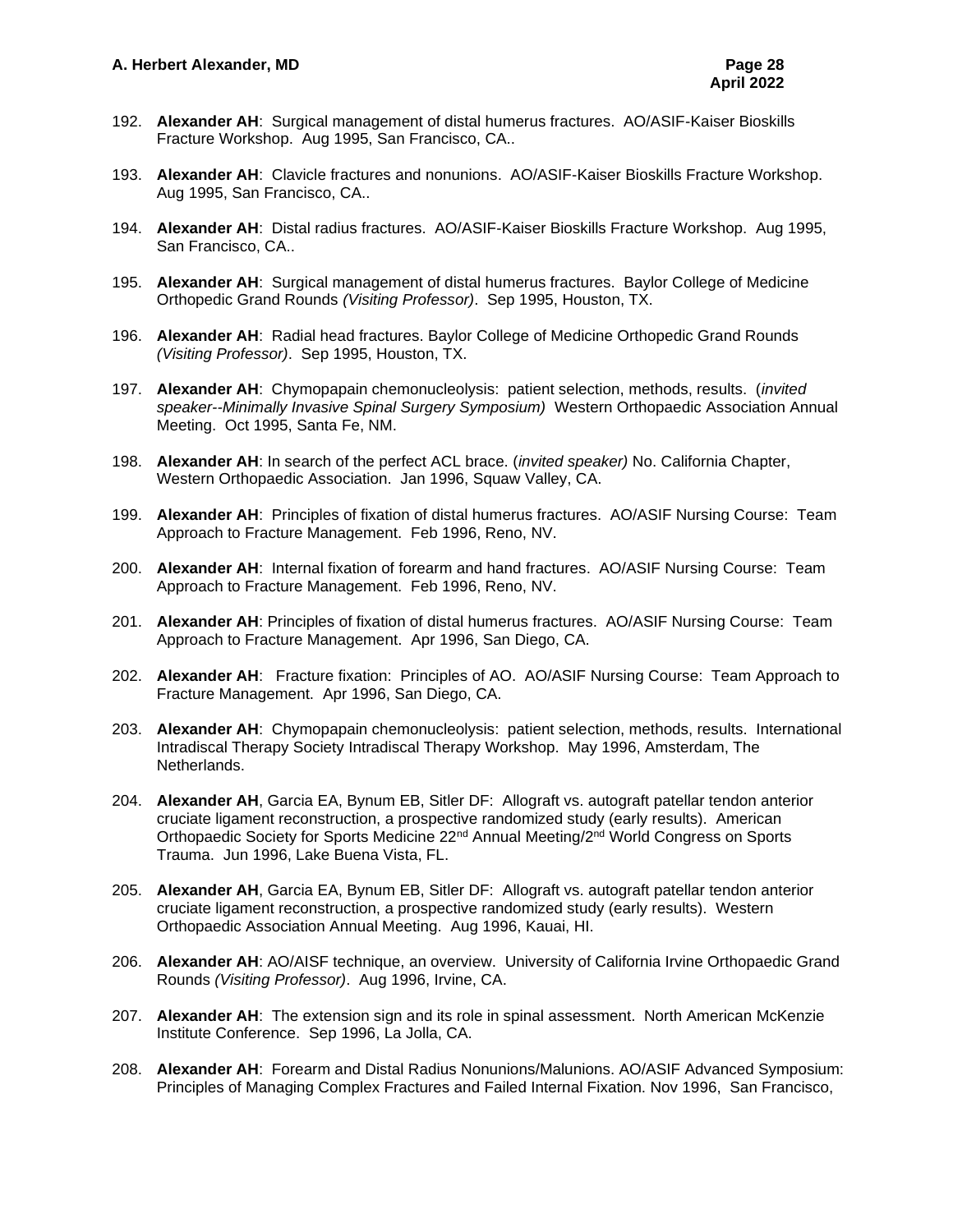- 192. **Alexander AH**: Surgical management of distal humerus fractures. AO/ASIF-Kaiser Bioskills Fracture Workshop. Aug 1995, San Francisco, CA..
- 193. **Alexander AH**: Clavicle fractures and nonunions. AO/ASIF-Kaiser Bioskills Fracture Workshop. Aug 1995, San Francisco, CA..
- 194. **Alexander AH**: Distal radius fractures. AO/ASIF-Kaiser Bioskills Fracture Workshop. Aug 1995, San Francisco, CA..
- 195. **Alexander AH**: Surgical management of distal humerus fractures. Baylor College of Medicine Orthopedic Grand Rounds *(Visiting Professor)*. Sep 1995, Houston, TX.
- 196. **Alexander AH**: Radial head fractures. Baylor College of Medicine Orthopedic Grand Rounds *(Visiting Professor)*. Sep 1995, Houston, TX.
- 197. **Alexander AH**: Chymopapain chemonucleolysis: patient selection, methods, results. (*invited speaker--Minimally Invasive Spinal Surgery Symposium)* Western Orthopaedic Association Annual Meeting. Oct 1995, Santa Fe, NM.
- 198. **Alexander AH**: In search of the perfect ACL brace. (*invited speaker)* No. California Chapter, Western Orthopaedic Association. Jan 1996, Squaw Valley, CA.
- 199. **Alexander AH**: Principles of fixation of distal humerus fractures. AO/ASIF Nursing Course: Team Approach to Fracture Management. Feb 1996, Reno, NV.
- 200. **Alexander AH**: Internal fixation of forearm and hand fractures. AO/ASIF Nursing Course: Team Approach to Fracture Management. Feb 1996, Reno, NV.
- 201. **Alexander AH**: Principles of fixation of distal humerus fractures. AO/ASIF Nursing Course: Team Approach to Fracture Management. Apr 1996, San Diego, CA.
- 202. **Alexander AH**: Fracture fixation: Principles of AO. AO/ASIF Nursing Course: Team Approach to Fracture Management. Apr 1996, San Diego, CA.
- 203. **Alexander AH**: Chymopapain chemonucleolysis: patient selection, methods, results. International Intradiscal Therapy Society Intradiscal Therapy Workshop. May 1996, Amsterdam, The Netherlands.
- 204. **Alexander AH**, Garcia EA, Bynum EB, Sitler DF: Allograft vs. autograft patellar tendon anterior cruciate ligament reconstruction, a prospective randomized study (early results). American Orthopaedic Society for Sports Medicine 22nd Annual Meeting/2nd World Congress on Sports Trauma. Jun 1996, Lake Buena Vista, FL.
- 205. **Alexander AH**, Garcia EA, Bynum EB, Sitler DF: Allograft vs. autograft patellar tendon anterior cruciate ligament reconstruction, a prospective randomized study (early results). Western Orthopaedic Association Annual Meeting. Aug 1996, Kauai, HI.
- 206. **Alexander AH**: AO/AISF technique, an overview. University of California Irvine Orthopaedic Grand Rounds *(Visiting Professor)*. Aug 1996, Irvine, CA.
- 207. **Alexander AH**: The extension sign and its role in spinal assessment. North American McKenzie Institute Conference. Sep 1996, La Jolla, CA.
- 208. **Alexander AH**: Forearm and Distal Radius Nonunions/Malunions. AO/ASIF Advanced Symposium: Principles of Managing Complex Fractures and Failed Internal Fixation. Nov 1996, San Francisco,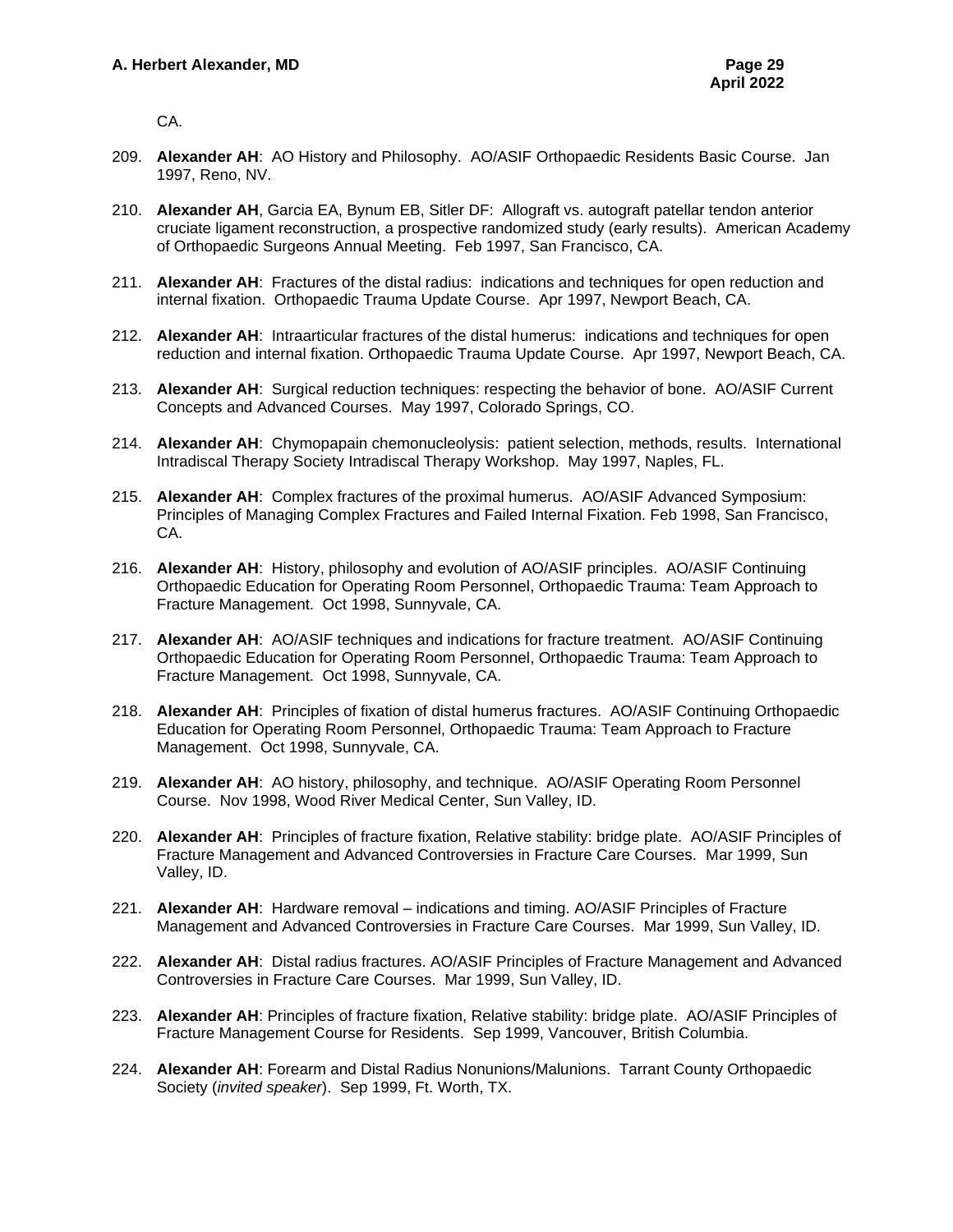CA.

- 209. **Alexander AH**: AO History and Philosophy. AO/ASIF Orthopaedic Residents Basic Course. Jan 1997, Reno, NV.
- 210. **Alexander AH**, Garcia EA, Bynum EB, Sitler DF: Allograft vs. autograft patellar tendon anterior cruciate ligament reconstruction, a prospective randomized study (early results). American Academy of Orthopaedic Surgeons Annual Meeting. Feb 1997, San Francisco, CA.
- 211. **Alexander AH**: Fractures of the distal radius: indications and techniques for open reduction and internal fixation. Orthopaedic Trauma Update Course. Apr 1997, Newport Beach, CA.
- 212. **Alexander AH**: Intraarticular fractures of the distal humerus: indications and techniques for open reduction and internal fixation. Orthopaedic Trauma Update Course. Apr 1997, Newport Beach, CA.
- 213. **Alexander AH**: Surgical reduction techniques: respecting the behavior of bone. AO/ASIF Current Concepts and Advanced Courses. May 1997, Colorado Springs, CO.
- 214. **Alexander AH**: Chymopapain chemonucleolysis: patient selection, methods, results. International Intradiscal Therapy Society Intradiscal Therapy Workshop. May 1997, Naples, FL.
- 215. **Alexander AH**: Complex fractures of the proximal humerus. AO/ASIF Advanced Symposium: Principles of Managing Complex Fractures and Failed Internal Fixation. Feb 1998, San Francisco, CA.
- 216. **Alexander AH**: History, philosophy and evolution of AO/ASIF principles. AO/ASIF Continuing Orthopaedic Education for Operating Room Personnel, Orthopaedic Trauma: Team Approach to Fracture Management. Oct 1998, Sunnyvale, CA.
- 217. **Alexander AH**: AO/ASIF techniques and indications for fracture treatment. AO/ASIF Continuing Orthopaedic Education for Operating Room Personnel, Orthopaedic Trauma: Team Approach to Fracture Management. Oct 1998, Sunnyvale, CA.
- 218. **Alexander AH**: Principles of fixation of distal humerus fractures. AO/ASIF Continuing Orthopaedic Education for Operating Room Personnel, Orthopaedic Trauma: Team Approach to Fracture Management. Oct 1998, Sunnyvale, CA.
- 219. **Alexander AH**: AO history, philosophy, and technique. AO/ASIF Operating Room Personnel Course. Nov 1998, Wood River Medical Center, Sun Valley, ID.
- 220. **Alexander AH**: Principles of fracture fixation, Relative stability: bridge plate. AO/ASIF Principles of Fracture Management and Advanced Controversies in Fracture Care Courses. Mar 1999, Sun Valley, ID.
- 221. **Alexander AH**: Hardware removal indications and timing. AO/ASIF Principles of Fracture Management and Advanced Controversies in Fracture Care Courses. Mar 1999, Sun Valley, ID.
- 222. **Alexander AH**: Distal radius fractures. AO/ASIF Principles of Fracture Management and Advanced Controversies in Fracture Care Courses. Mar 1999, Sun Valley, ID.
- 223. **Alexander AH**: Principles of fracture fixation, Relative stability: bridge plate. AO/ASIF Principles of Fracture Management Course for Residents. Sep 1999, Vancouver, British Columbia.
- 224. **Alexander AH**: Forearm and Distal Radius Nonunions/Malunions. Tarrant County Orthopaedic Society (*invited speaker*). Sep 1999, Ft. Worth, TX.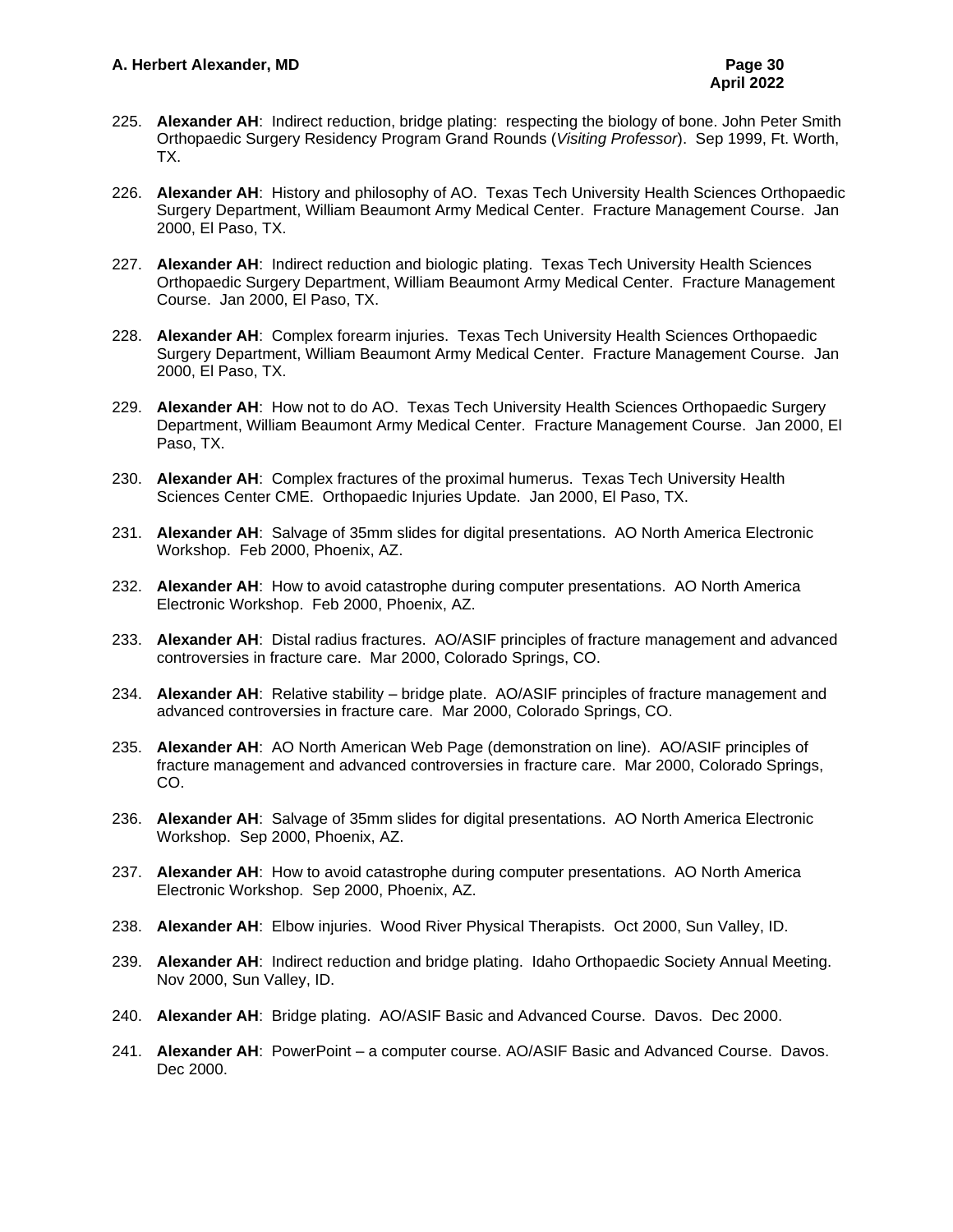- 225. **Alexander AH**: Indirect reduction, bridge plating: respecting the biology of bone. John Peter Smith Orthopaedic Surgery Residency Program Grand Rounds (*Visiting Professor*). Sep 1999, Ft. Worth, TX.
- 226. **Alexander AH**: History and philosophy of AO. Texas Tech University Health Sciences Orthopaedic Surgery Department, William Beaumont Army Medical Center. Fracture Management Course. Jan 2000, El Paso, TX.
- 227. **Alexander AH**: Indirect reduction and biologic plating. Texas Tech University Health Sciences Orthopaedic Surgery Department, William Beaumont Army Medical Center. Fracture Management Course. Jan 2000, El Paso, TX.
- 228. **Alexander AH**: Complex forearm injuries. Texas Tech University Health Sciences Orthopaedic Surgery Department, William Beaumont Army Medical Center. Fracture Management Course. Jan 2000, El Paso, TX.
- 229. **Alexander AH**: How not to do AO. Texas Tech University Health Sciences Orthopaedic Surgery Department, William Beaumont Army Medical Center. Fracture Management Course. Jan 2000, El Paso, TX.
- 230. **Alexander AH**: Complex fractures of the proximal humerus. Texas Tech University Health Sciences Center CME. Orthopaedic Injuries Update. Jan 2000, El Paso, TX.
- 231. **Alexander AH**: Salvage of 35mm slides for digital presentations. AO North America Electronic Workshop. Feb 2000, Phoenix, AZ.
- 232. **Alexander AH**: How to avoid catastrophe during computer presentations. AO North America Electronic Workshop. Feb 2000, Phoenix, AZ.
- 233. **Alexander AH**: Distal radius fractures. AO/ASIF principles of fracture management and advanced controversies in fracture care. Mar 2000, Colorado Springs, CO.
- 234. **Alexander AH**: Relative stability bridge plate. AO/ASIF principles of fracture management and advanced controversies in fracture care. Mar 2000, Colorado Springs, CO.
- 235. **Alexander AH**: AO North American Web Page (demonstration on line). AO/ASIF principles of fracture management and advanced controversies in fracture care. Mar 2000, Colorado Springs, CO.
- 236. **Alexander AH**: Salvage of 35mm slides for digital presentations. AO North America Electronic Workshop. Sep 2000, Phoenix, AZ.
- 237. **Alexander AH**: How to avoid catastrophe during computer presentations. AO North America Electronic Workshop. Sep 2000, Phoenix, AZ.
- 238. **Alexander AH**: Elbow injuries. Wood River Physical Therapists. Oct 2000, Sun Valley, ID.
- 239. **Alexander AH**: Indirect reduction and bridge plating. Idaho Orthopaedic Society Annual Meeting. Nov 2000, Sun Valley, ID.
- 240. **Alexander AH**: Bridge plating. AO/ASIF Basic and Advanced Course. Davos. Dec 2000.
- 241. **Alexander AH**: PowerPoint a computer course. AO/ASIF Basic and Advanced Course. Davos. Dec 2000.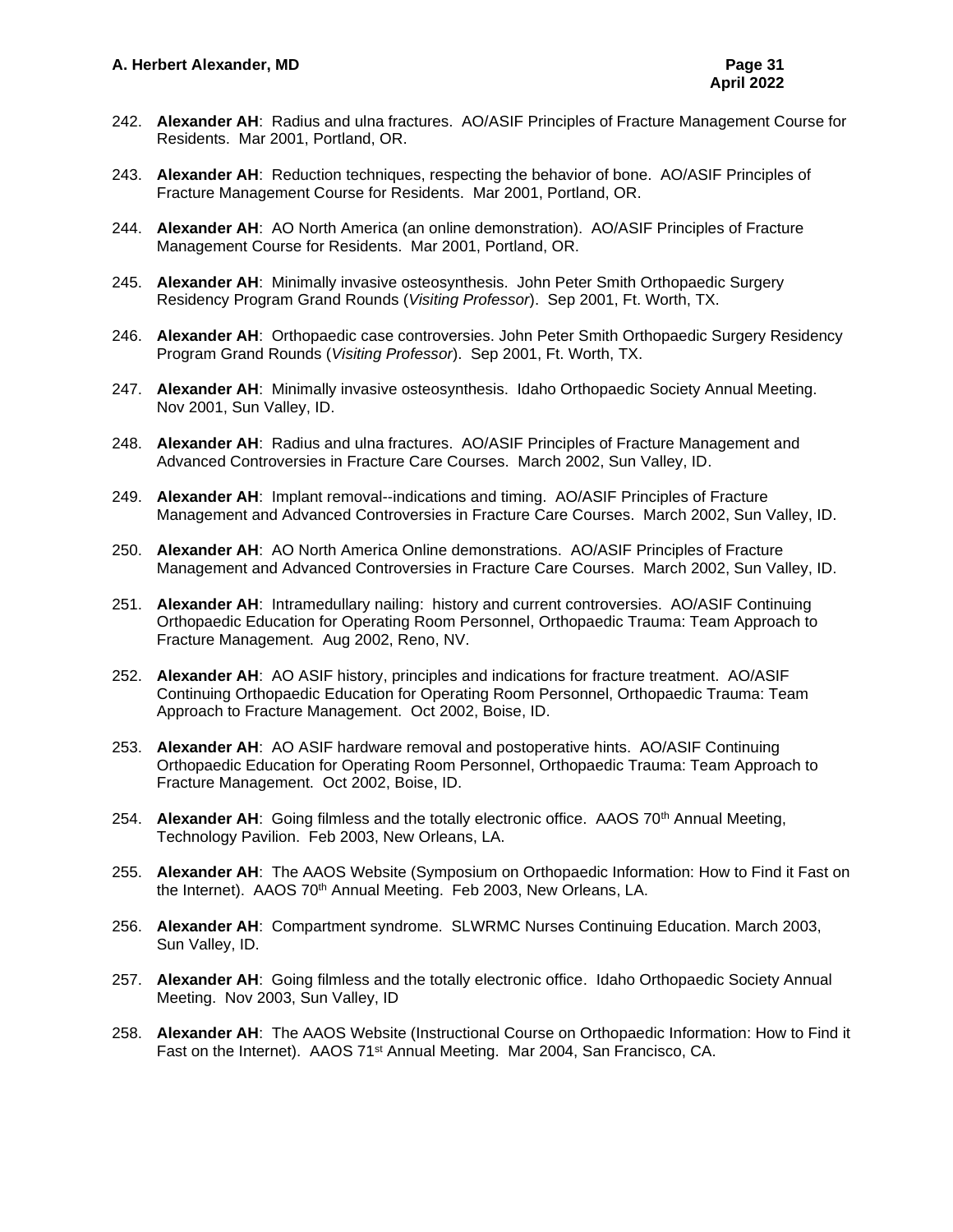- 242. **Alexander AH**: Radius and ulna fractures. AO/ASIF Principles of Fracture Management Course for Residents. Mar 2001, Portland, OR.
- 243. **Alexander AH**: Reduction techniques, respecting the behavior of bone. AO/ASIF Principles of Fracture Management Course for Residents. Mar 2001, Portland, OR.
- 244. **Alexander AH**: AO North America (an online demonstration). AO/ASIF Principles of Fracture Management Course for Residents. Mar 2001, Portland, OR.
- 245. **Alexander AH**: Minimally invasive osteosynthesis. John Peter Smith Orthopaedic Surgery Residency Program Grand Rounds (*Visiting Professor*). Sep 2001, Ft. Worth, TX.
- 246. **Alexander AH**: Orthopaedic case controversies. John Peter Smith Orthopaedic Surgery Residency Program Grand Rounds (*Visiting Professor*). Sep 2001, Ft. Worth, TX.
- 247. **Alexander AH**: Minimally invasive osteosynthesis. Idaho Orthopaedic Society Annual Meeting. Nov 2001, Sun Valley, ID.
- 248. **Alexander AH**: Radius and ulna fractures. AO/ASIF Principles of Fracture Management and Advanced Controversies in Fracture Care Courses. March 2002, Sun Valley, ID.
- 249. **Alexander AH**: Implant removal--indications and timing. AO/ASIF Principles of Fracture Management and Advanced Controversies in Fracture Care Courses. March 2002, Sun Valley, ID.
- 250. **Alexander AH**: AO North America Online demonstrations. AO/ASIF Principles of Fracture Management and Advanced Controversies in Fracture Care Courses. March 2002, Sun Valley, ID.
- 251. **Alexander AH**: Intramedullary nailing: history and current controversies. AO/ASIF Continuing Orthopaedic Education for Operating Room Personnel, Orthopaedic Trauma: Team Approach to Fracture Management. Aug 2002, Reno, NV.
- 252. **Alexander AH**: AO ASIF history, principles and indications for fracture treatment. AO/ASIF Continuing Orthopaedic Education for Operating Room Personnel, Orthopaedic Trauma: Team Approach to Fracture Management. Oct 2002, Boise, ID.
- 253. **Alexander AH**: AO ASIF hardware removal and postoperative hints. AO/ASIF Continuing Orthopaedic Education for Operating Room Personnel, Orthopaedic Trauma: Team Approach to Fracture Management. Oct 2002, Boise, ID.
- 254. Alexander AH: Going filmless and the totally electronic office. AAOS 70<sup>th</sup> Annual Meeting, Technology Pavilion. Feb 2003, New Orleans, LA.
- 255. **Alexander AH**: The AAOS Website (Symposium on Orthopaedic Information: How to Find it Fast on the Internet). AAOS 70<sup>th</sup> Annual Meeting. Feb 2003, New Orleans, LA.
- 256. **Alexander AH**: Compartment syndrome. SLWRMC Nurses Continuing Education. March 2003, Sun Valley, ID.
- 257. **Alexander AH**: Going filmless and the totally electronic office. Idaho Orthopaedic Society Annual Meeting. Nov 2003, Sun Valley, ID
- 258. **Alexander AH**: The AAOS Website (Instructional Course on Orthopaedic Information: How to Find it Fast on the Internet). AAOS 71<sup>st</sup> Annual Meeting. Mar 2004, San Francisco, CA.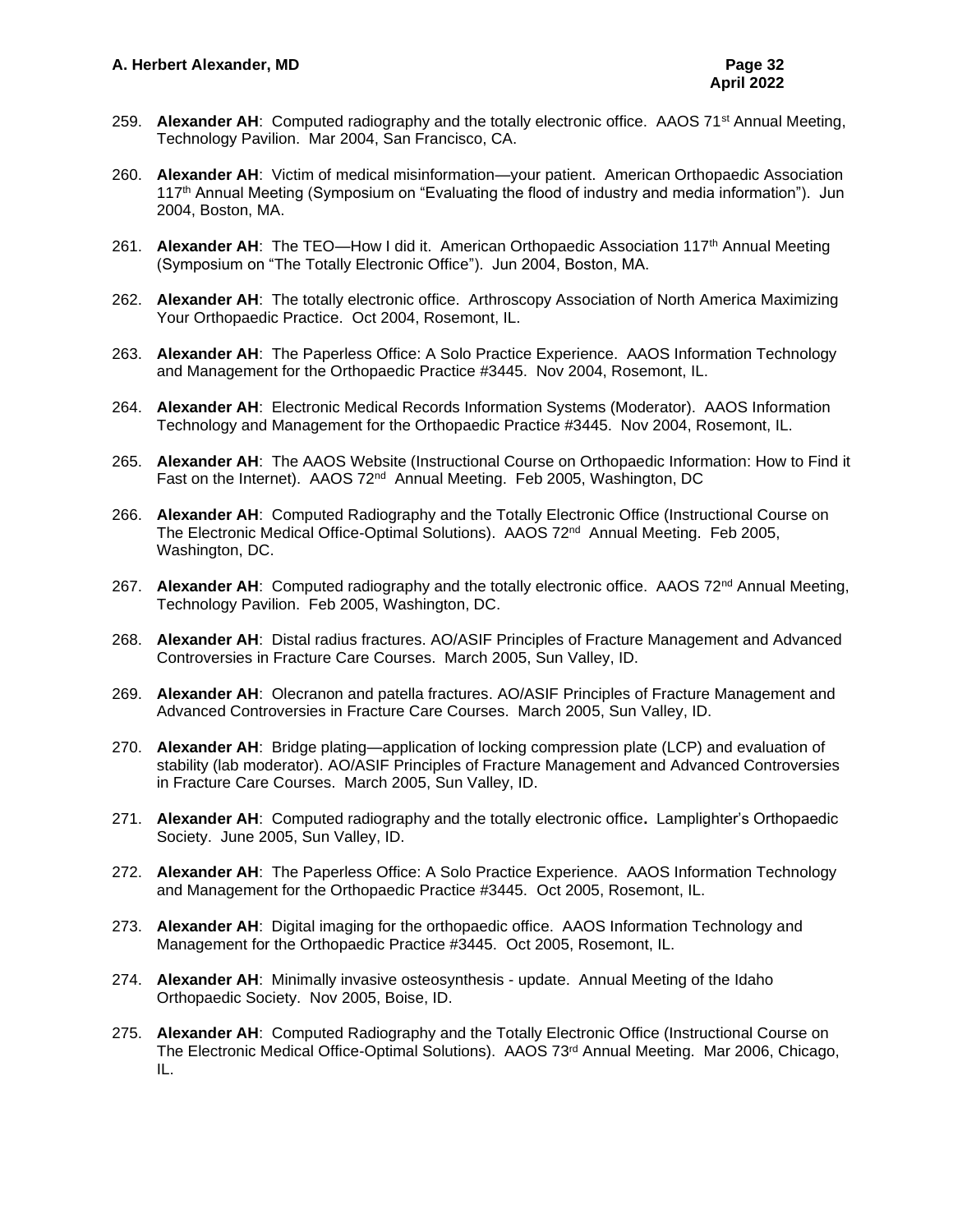- 259. Alexander AH: Computed radiography and the totally electronic office. AAOS 71<sup>st</sup> Annual Meeting, Technology Pavilion. Mar 2004, San Francisco, CA.
- 260. **Alexander AH**: Victim of medical misinformation—your patient. American Orthopaedic Association 117<sup>th</sup> Annual Meeting (Symposium on "Evaluating the flood of industry and media information"). Jun 2004, Boston, MA.
- 261. **Alexander AH**: The TEO—How I did it. American Orthopaedic Association 117th Annual Meeting (Symposium on "The Totally Electronic Office"). Jun 2004, Boston, MA.
- 262. **Alexander AH**: The totally electronic office. Arthroscopy Association of North America Maximizing Your Orthopaedic Practice. Oct 2004, Rosemont, IL.
- 263. **Alexander AH**: The Paperless Office: A Solo Practice Experience. AAOS Information Technology and Management for the Orthopaedic Practice #3445. Nov 2004, Rosemont, IL.
- 264. **Alexander AH**: Electronic Medical Records Information Systems (Moderator). AAOS Information Technology and Management for the Orthopaedic Practice #3445. Nov 2004, Rosemont, IL.
- 265. **Alexander AH**: The AAOS Website (Instructional Course on Orthopaedic Information: How to Find it Fast on the Internet). AAOS 72<sup>nd</sup> Annual Meeting. Feb 2005, Washington, DC
- 266. **Alexander AH**: Computed Radiography and the Totally Electronic Office (Instructional Course on The Electronic Medical Office-Optimal Solutions). AAOS 72<sup>nd</sup> Annual Meeting. Feb 2005, Washington, DC.
- 267. **Alexander AH**: Computed radiography and the totally electronic office. AAOS 72<sup>nd</sup> Annual Meeting, Technology Pavilion. Feb 2005, Washington, DC.
- 268. **Alexander AH**: Distal radius fractures. AO/ASIF Principles of Fracture Management and Advanced Controversies in Fracture Care Courses. March 2005, Sun Valley, ID.
- 269. **Alexander AH**: Olecranon and patella fractures. AO/ASIF Principles of Fracture Management and Advanced Controversies in Fracture Care Courses. March 2005, Sun Valley, ID.
- 270. **Alexander AH**: Bridge plating—application of locking compression plate (LCP) and evaluation of stability (lab moderator). AO/ASIF Principles of Fracture Management and Advanced Controversies in Fracture Care Courses. March 2005, Sun Valley, ID.
- 271. **Alexander AH**: Computed radiography and the totally electronic office**.** Lamplighter's Orthopaedic Society. June 2005, Sun Valley, ID.
- 272. **Alexander AH**: The Paperless Office: A Solo Practice Experience. AAOS Information Technology and Management for the Orthopaedic Practice #3445. Oct 2005, Rosemont, IL.
- 273. **Alexander AH**: Digital imaging for the orthopaedic office. AAOS Information Technology and Management for the Orthopaedic Practice #3445. Oct 2005, Rosemont, IL.
- 274. **Alexander AH**: Minimally invasive osteosynthesis update. Annual Meeting of the Idaho Orthopaedic Society. Nov 2005, Boise, ID.
- 275. **Alexander AH**: Computed Radiography and the Totally Electronic Office (Instructional Course on The Electronic Medical Office-Optimal Solutions). AAOS 73<sup>rd</sup> Annual Meeting. Mar 2006, Chicago, IL.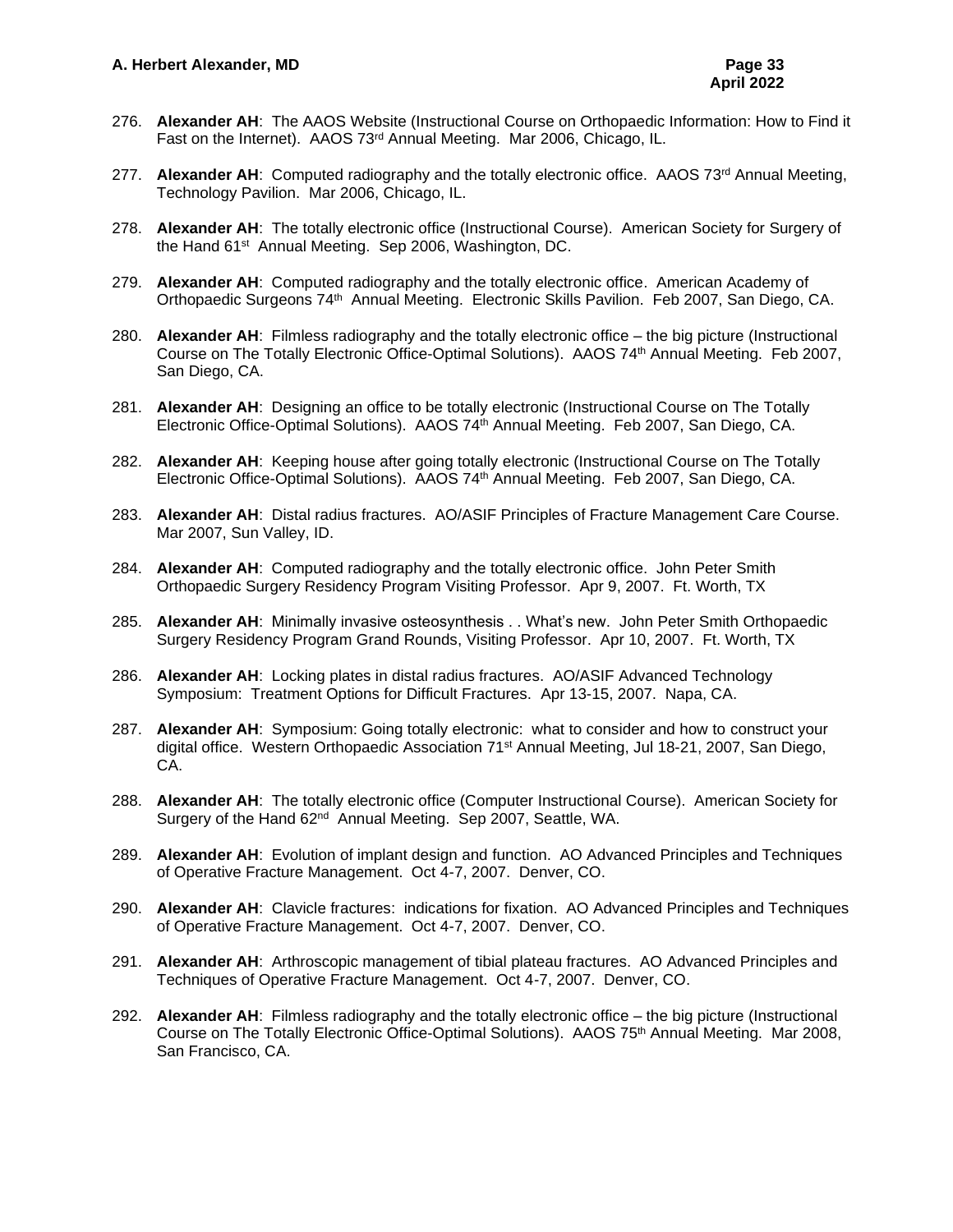- 276. **Alexander AH**: The AAOS Website (Instructional Course on Orthopaedic Information: How to Find it Fast on the Internet). AAOS 73rd Annual Meeting. Mar 2006, Chicago, IL.
- 277. Alexander AH: Computed radiography and the totally electronic office. AAOS 73<sup>rd</sup> Annual Meeting, Technology Pavilion. Mar 2006, Chicago, IL.
- 278. **Alexander AH**: The totally electronic office (Instructional Course). American Society for Surgery of the Hand 61st Annual Meeting. Sep 2006, Washington, DC.
- 279. **Alexander AH**: Computed radiography and the totally electronic office. American Academy of Orthopaedic Surgeons 74<sup>th</sup> Annual Meeting. Electronic Skills Pavilion. Feb 2007, San Diego, CA.
- 280. **Alexander AH**: Filmless radiography and the totally electronic office the big picture (Instructional Course on The Totally Electronic Office-Optimal Solutions). AAOS 74<sup>th</sup> Annual Meeting. Feb 2007, San Diego, CA.
- 281. **Alexander AH**: Designing an office to be totally electronic (Instructional Course on The Totally Electronic Office-Optimal Solutions). AAOS 74<sup>th</sup> Annual Meeting. Feb 2007, San Diego, CA.
- 282. **Alexander AH**: Keeping house after going totally electronic (Instructional Course on The Totally Electronic Office-Optimal Solutions). AAOS 74<sup>th</sup> Annual Meeting. Feb 2007, San Diego, CA.
- 283. **Alexander AH**: Distal radius fractures. AO/ASIF Principles of Fracture Management Care Course. Mar 2007, Sun Valley, ID.
- 284. **Alexander AH**: Computed radiography and the totally electronic office. John Peter Smith Orthopaedic Surgery Residency Program Visiting Professor. Apr 9, 2007. Ft. Worth, TX
- 285. **Alexander AH**: Minimally invasive osteosynthesis . . What's new. John Peter Smith Orthopaedic Surgery Residency Program Grand Rounds, Visiting Professor. Apr 10, 2007. Ft. Worth, TX
- 286. **Alexander AH**: Locking plates in distal radius fractures. AO/ASIF Advanced Technology Symposium: Treatment Options for Difficult Fractures. Apr 13-15, 2007. Napa, CA.
- 287. **Alexander AH**: Symposium: Going totally electronic: what to consider and how to construct your digital office. Western Orthopaedic Association 71st Annual Meeting, Jul 18-21, 2007, San Diego, CA.
- 288. **Alexander AH**: The totally electronic office (Computer Instructional Course). American Society for Surgery of the Hand 62<sup>nd</sup> Annual Meeting. Sep 2007, Seattle, WA.
- 289. **Alexander AH**: Evolution of implant design and function. AO Advanced Principles and Techniques of Operative Fracture Management. Oct 4-7, 2007. Denver, CO.
- 290. **Alexander AH**: Clavicle fractures: indications for fixation. AO Advanced Principles and Techniques of Operative Fracture Management. Oct 4-7, 2007. Denver, CO.
- 291. **Alexander AH**: Arthroscopic management of tibial plateau fractures. AO Advanced Principles and Techniques of Operative Fracture Management. Oct 4-7, 2007. Denver, CO.
- 292. **Alexander AH**: Filmless radiography and the totally electronic office the big picture (Instructional Course on The Totally Electronic Office-Optimal Solutions). AAOS 75<sup>th</sup> Annual Meeting. Mar 2008, San Francisco, CA.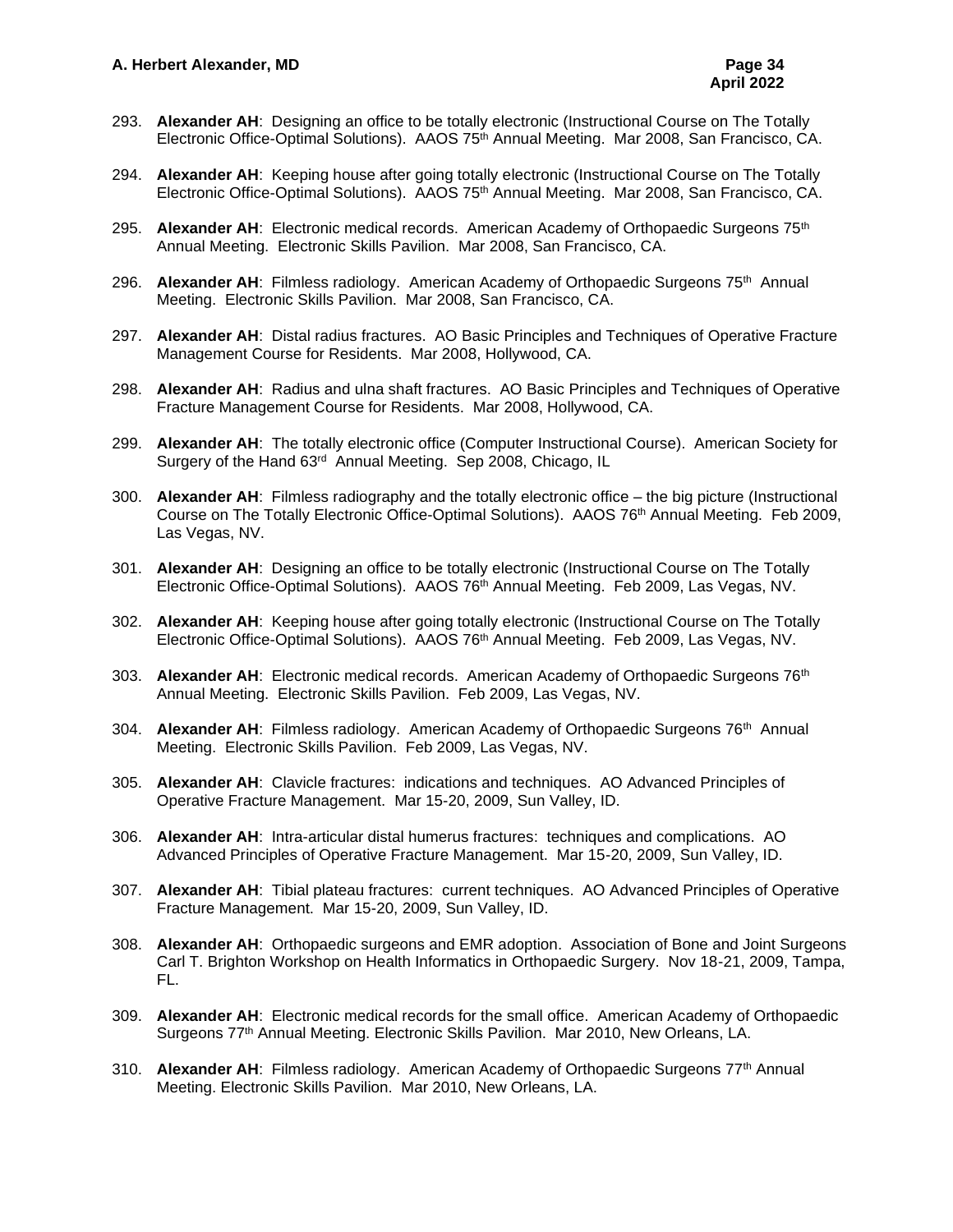- 293. **Alexander AH**: Designing an office to be totally electronic (Instructional Course on The Totally Electronic Office-Optimal Solutions). AAOS 75<sup>th</sup> Annual Meeting. Mar 2008, San Francisco, CA.
- 294. **Alexander AH**: Keeping house after going totally electronic (Instructional Course on The Totally Electronic Office-Optimal Solutions). AAOS 75<sup>th</sup> Annual Meeting. Mar 2008, San Francisco, CA.
- 295. Alexander AH: Electronic medical records. American Academy of Orthopaedic Surgeons 75<sup>th</sup> Annual Meeting. Electronic Skills Pavilion. Mar 2008, San Francisco, CA.
- 296. Alexander AH: Filmless radiology. American Academy of Orthopaedic Surgeons 75<sup>th</sup> Annual Meeting. Electronic Skills Pavilion. Mar 2008, San Francisco, CA.
- 297. **Alexander AH**: Distal radius fractures. AO Basic Principles and Techniques of Operative Fracture Management Course for Residents. Mar 2008, Hollywood, CA.
- 298. **Alexander AH**: Radius and ulna shaft fractures. AO Basic Principles and Techniques of Operative Fracture Management Course for Residents. Mar 2008, Hollywood, CA.
- 299. **Alexander AH**: The totally electronic office (Computer Instructional Course). American Society for Surgery of the Hand 63<sup>rd</sup> Annual Meeting. Sep 2008, Chicago, IL
- 300. **Alexander AH**: Filmless radiography and the totally electronic office the big picture (Instructional Course on The Totally Electronic Office-Optimal Solutions). AAOS 76 th Annual Meeting. Feb 2009, Las Vegas, NV.
- 301. **Alexander AH**: Designing an office to be totally electronic (Instructional Course on The Totally Electronic Office-Optimal Solutions). AAOS 76<sup>th</sup> Annual Meeting. Feb 2009, Las Vegas, NV.
- 302. **Alexander AH**: Keeping house after going totally electronic (Instructional Course on The Totally Electronic Office-Optimal Solutions). AAOS 76<sup>th</sup> Annual Meeting. Feb 2009, Las Vegas, NV.
- 303. Alexander AH: Electronic medical records. American Academy of Orthopaedic Surgeons 76<sup>th</sup> Annual Meeting. Electronic Skills Pavilion. Feb 2009, Las Vegas, NV.
- 304. Alexander AH: Filmless radiology. American Academy of Orthopaedic Surgeons 76<sup>th</sup> Annual Meeting. Electronic Skills Pavilion. Feb 2009, Las Vegas, NV.
- 305. **Alexander AH**: Clavicle fractures: indications and techniques. AO Advanced Principles of Operative Fracture Management. Mar 15-20, 2009, Sun Valley, ID.
- 306. **Alexander AH**: Intra-articular distal humerus fractures: techniques and complications. AO Advanced Principles of Operative Fracture Management. Mar 15-20, 2009, Sun Valley, ID.
- 307. **Alexander AH**: Tibial plateau fractures: current techniques. AO Advanced Principles of Operative Fracture Management. Mar 15-20, 2009, Sun Valley, ID.
- 308. **Alexander AH**: Orthopaedic surgeons and EMR adoption. Association of Bone and Joint Surgeons Carl T. Brighton Workshop on Health Informatics in Orthopaedic Surgery. Nov 18-21, 2009, Tampa, FL.
- 309. **Alexander AH**: Electronic medical records for the small office. American Academy of Orthopaedic Surgeons 77th Annual Meeting. Electronic Skills Pavilion. Mar 2010, New Orleans, LA.
- 310. Alexander AH: Filmless radiology. American Academy of Orthopaedic Surgeons 77<sup>th</sup> Annual Meeting. Electronic Skills Pavilion. Mar 2010, New Orleans, LA.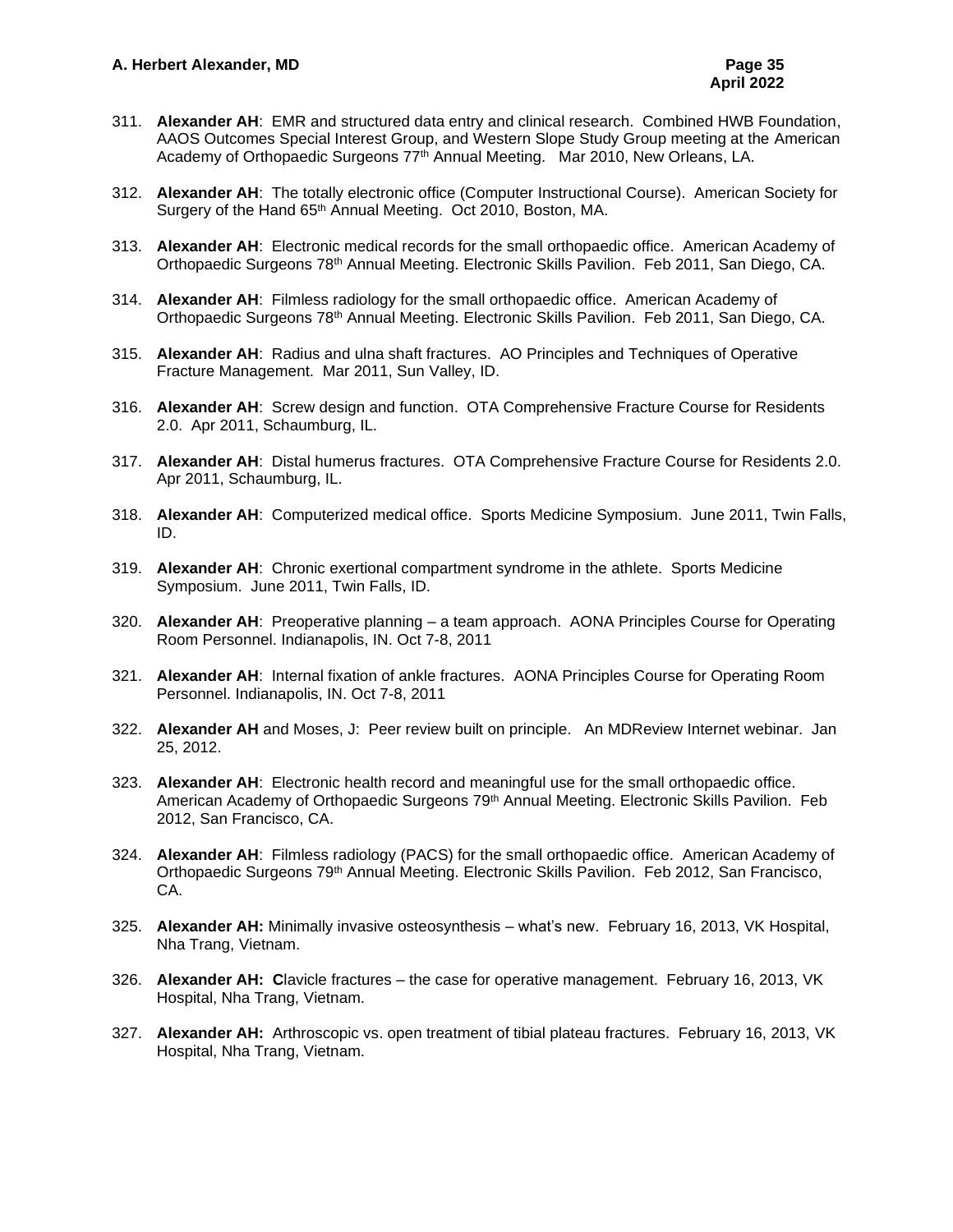- 311. **Alexander AH**: EMR and structured data entry and clinical research. Combined HWB Foundation, AAOS Outcomes Special Interest Group, and Western Slope Study Group meeting at the American Academy of Orthopaedic Surgeons 77<sup>th</sup> Annual Meeting. Mar 2010, New Orleans, LA.
- 312. **Alexander AH**: The totally electronic office (Computer Instructional Course). American Society for Surgery of the Hand 65<sup>th</sup> Annual Meeting. Oct 2010, Boston, MA.
- 313. **Alexander AH**: Electronic medical records for the small orthopaedic office. American Academy of Orthopaedic Surgeons 78th Annual Meeting. Electronic Skills Pavilion. Feb 2011, San Diego, CA.
- 314. **Alexander AH**: Filmless radiology for the small orthopaedic office. American Academy of Orthopaedic Surgeons 78th Annual Meeting. Electronic Skills Pavilion. Feb 2011, San Diego, CA.
- 315. **Alexander AH**: Radius and ulna shaft fractures. AO Principles and Techniques of Operative Fracture Management. Mar 2011, Sun Valley, ID.
- 316. **Alexander AH**: Screw design and function. OTA Comprehensive Fracture Course for Residents 2.0. Apr 2011, Schaumburg, IL.
- 317. **Alexander AH**: Distal humerus fractures. OTA Comprehensive Fracture Course for Residents 2.0. Apr 2011, Schaumburg, IL.
- 318. **Alexander AH**: Computerized medical office. Sports Medicine Symposium. June 2011, Twin Falls, ID.
- 319. **Alexander AH**: Chronic exertional compartment syndrome in the athlete. Sports Medicine Symposium. June 2011, Twin Falls, ID.
- 320. **Alexander AH**: Preoperative planning a team approach. AONA Principles Course for Operating Room Personnel. Indianapolis, IN. Oct 7-8, 2011
- 321. **Alexander AH**: Internal fixation of ankle fractures. AONA Principles Course for Operating Room Personnel. Indianapolis, IN. Oct 7-8, 2011
- 322. **Alexander AH** and Moses, J: Peer review built on principle. An MDReview Internet webinar. Jan 25, 2012.
- 323. **Alexander AH**: Electronic health record and meaningful use for the small orthopaedic office. American Academy of Orthopaedic Surgeons 79<sup>th</sup> Annual Meeting. Electronic Skills Pavilion. Feb 2012, San Francisco, CA.
- 324. **Alexander AH**: Filmless radiology (PACS) for the small orthopaedic office. American Academy of Orthopaedic Surgeons 79<sup>th</sup> Annual Meeting. Electronic Skills Pavilion. Feb 2012, San Francisco, CA.
- 325. **Alexander AH:** Minimally invasive osteosynthesis what's new. February 16, 2013, VK Hospital, Nha Trang, Vietnam.
- 326. **Alexander AH: C**lavicle fractures the case for operative management. February 16, 2013, VK Hospital, Nha Trang, Vietnam.
- 327. **Alexander AH:** Arthroscopic vs. open treatment of tibial plateau fractures. February 16, 2013, VK Hospital, Nha Trang, Vietnam.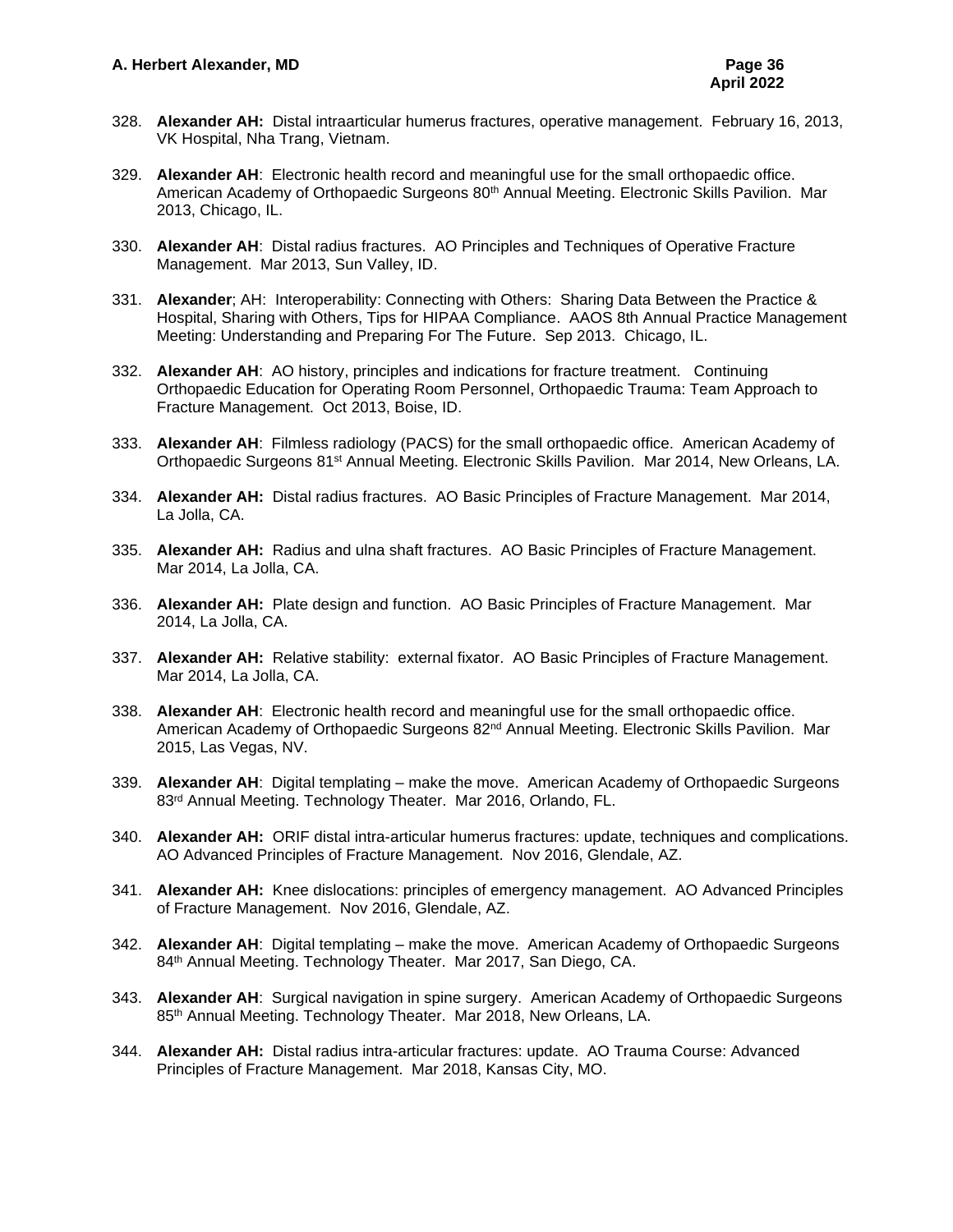- 328. **Alexander AH:** Distal intraarticular humerus fractures, operative management. February 16, 2013, VK Hospital, Nha Trang, Vietnam.
- 329. **Alexander AH**: Electronic health record and meaningful use for the small orthopaedic office. American Academy of Orthopaedic Surgeons 80<sup>th</sup> Annual Meeting. Electronic Skills Pavilion. Mar 2013, Chicago, IL.
- 330. **Alexander AH**: Distal radius fractures. AO Principles and Techniques of Operative Fracture Management. Mar 2013, Sun Valley, ID.
- 331. **Alexander**; AH: Interoperability: Connecting with Others: Sharing Data Between the Practice & Hospital, Sharing with Others, Tips for HIPAA Compliance. AAOS 8th Annual Practice Management Meeting: Understanding and Preparing For The Future. Sep 2013. Chicago, IL.
- 332. **Alexander AH**: AO history, principles and indications for fracture treatment. Continuing Orthopaedic Education for Operating Room Personnel, Orthopaedic Trauma: Team Approach to Fracture Management. Oct 2013, Boise, ID.
- 333. **Alexander AH**: Filmless radiology (PACS) for the small orthopaedic office. American Academy of Orthopaedic Surgeons 81<sup>st</sup> Annual Meeting. Electronic Skills Pavilion. Mar 2014, New Orleans, LA.
- 334. **Alexander AH:** Distal radius fractures. AO Basic Principles of Fracture Management. Mar 2014, La Jolla, CA.
- 335. **Alexander AH:** Radius and ulna shaft fractures. AO Basic Principles of Fracture Management. Mar 2014, La Jolla, CA.
- 336. **Alexander AH:** Plate design and function. AO Basic Principles of Fracture Management. Mar 2014, La Jolla, CA.
- 337. **Alexander AH:** Relative stability: external fixator. AO Basic Principles of Fracture Management. Mar 2014, La Jolla, CA.
- 338. **Alexander AH**: Electronic health record and meaningful use for the small orthopaedic office. American Academy of Orthopaedic Surgeons 82<sup>nd</sup> Annual Meeting. Electronic Skills Pavilion. Mar 2015, Las Vegas, NV.
- 339. **Alexander AH**: Digital templating make the move. American Academy of Orthopaedic Surgeons 83rd Annual Meeting. Technology Theater. Mar 2016, Orlando, FL.
- 340. **Alexander AH:** ORIF distal intra-articular humerus fractures: update, techniques and complications. AO Advanced Principles of Fracture Management. Nov 2016, Glendale, AZ.
- 341. **Alexander AH:** Knee dislocations: principles of emergency management. AO Advanced Principles of Fracture Management. Nov 2016, Glendale, AZ.
- 342. **Alexander AH**: Digital templating make the move. American Academy of Orthopaedic Surgeons 84<sup>th</sup> Annual Meeting. Technology Theater. Mar 2017, San Diego, CA.
- 343. **Alexander AH**: Surgical navigation in spine surgery. American Academy of Orthopaedic Surgeons 85<sup>th</sup> Annual Meeting. Technology Theater. Mar 2018, New Orleans, LA.
- 344. **Alexander AH:** Distal radius intra-articular fractures: update. AO Trauma Course: Advanced Principles of Fracture Management. Mar 2018, Kansas City, MO.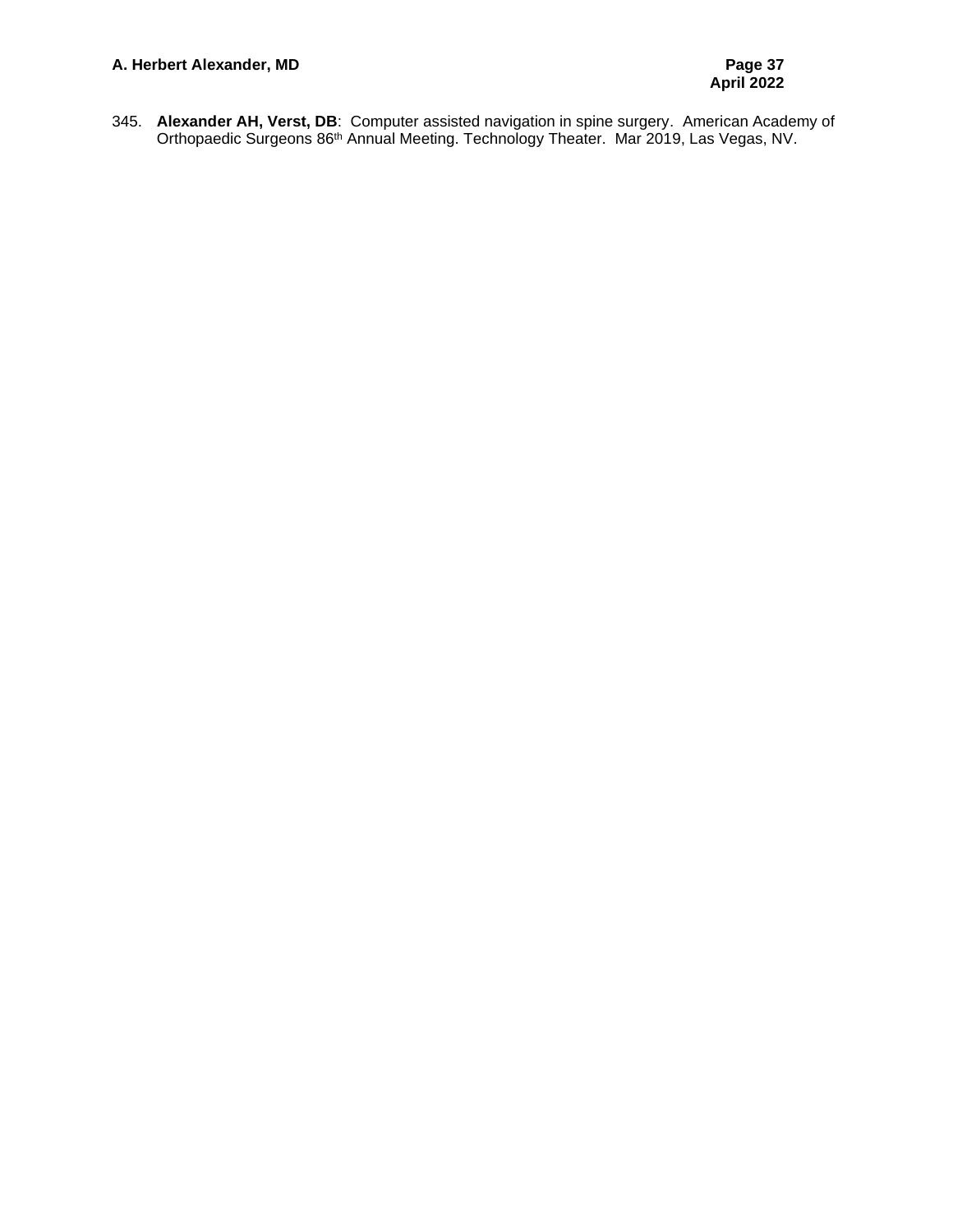345. **Alexander AH, Verst, DB**: Computer assisted navigation in spine surgery. American Academy of Orthopaedic Surgeons 86<sup>th</sup> Annual Meeting. Technology Theater. Mar 2019, Las Vegas, NV.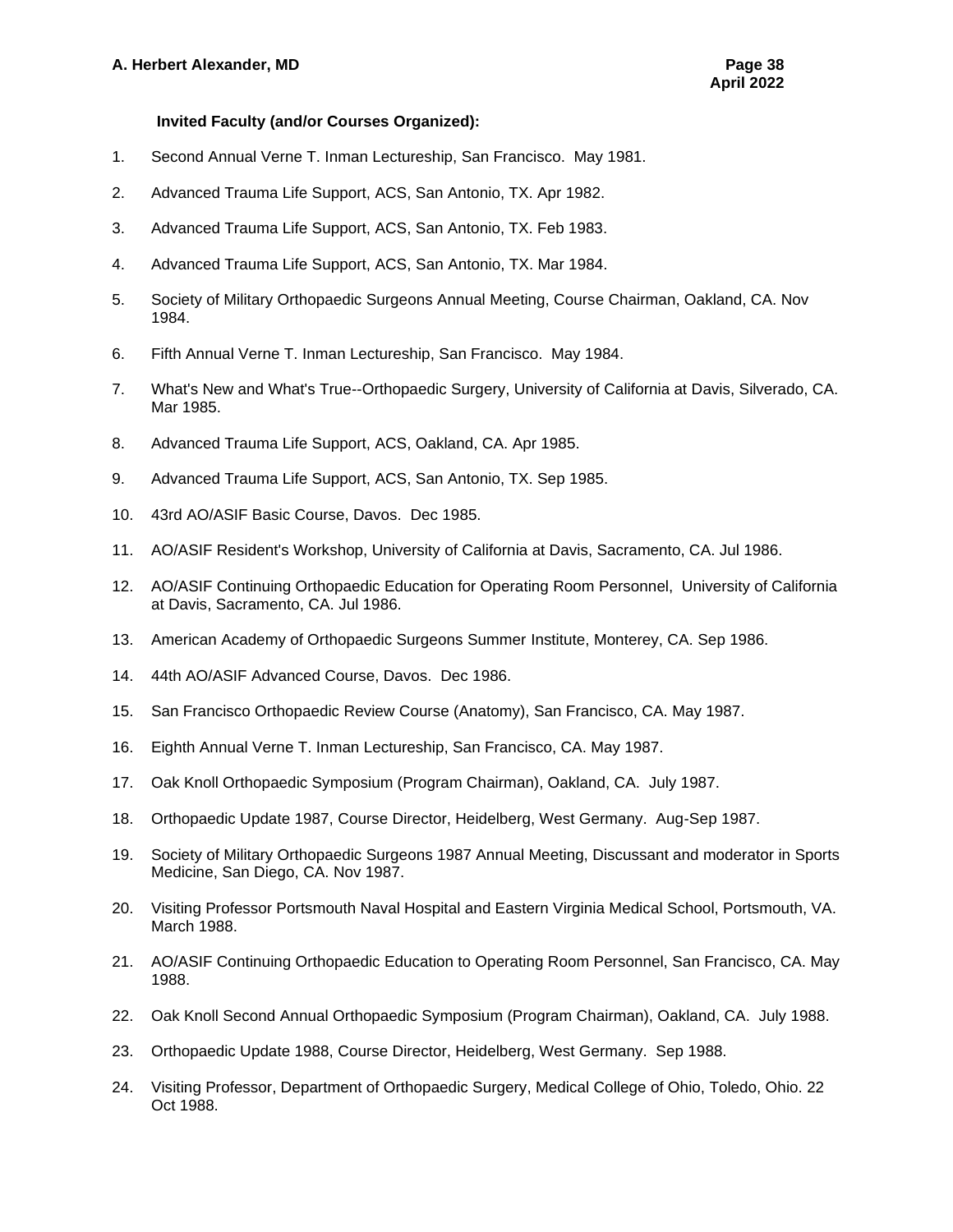## **Invited Faculty (and/or Courses Organized):**

- 1. Second Annual Verne T. Inman Lectureship, San Francisco. May 1981.
- 2. Advanced Trauma Life Support, ACS, San Antonio, TX. Apr 1982.
- 3. Advanced Trauma Life Support, ACS, San Antonio, TX. Feb 1983.
- 4. Advanced Trauma Life Support, ACS, San Antonio, TX. Mar 1984.
- 5. Society of Military Orthopaedic Surgeons Annual Meeting, Course Chairman, Oakland, CA. Nov 1984.
- 6. Fifth Annual Verne T. Inman Lectureship, San Francisco. May 1984.
- 7. What's New and What's True--Orthopaedic Surgery, University of California at Davis, Silverado, CA. Mar 1985.
- 8. Advanced Trauma Life Support, ACS, Oakland, CA. Apr 1985.
- 9. Advanced Trauma Life Support, ACS, San Antonio, TX. Sep 1985.
- 10. 43rd AO/ASIF Basic Course, Davos. Dec 1985.
- 11. AO/ASIF Resident's Workshop, University of California at Davis, Sacramento, CA. Jul 1986.
- 12. AO/ASIF Continuing Orthopaedic Education for Operating Room Personnel, University of California at Davis, Sacramento, CA. Jul 1986.
- 13. American Academy of Orthopaedic Surgeons Summer Institute, Monterey, CA. Sep 1986.
- 14. 44th AO/ASIF Advanced Course, Davos. Dec 1986.
- 15. San Francisco Orthopaedic Review Course (Anatomy), San Francisco, CA. May 1987.
- 16. Eighth Annual Verne T. Inman Lectureship, San Francisco, CA. May 1987.
- 17. Oak Knoll Orthopaedic Symposium (Program Chairman), Oakland, CA. July 1987.
- 18. Orthopaedic Update 1987, Course Director, Heidelberg, West Germany. Aug-Sep 1987.
- 19. Society of Military Orthopaedic Surgeons 1987 Annual Meeting, Discussant and moderator in Sports Medicine, San Diego, CA. Nov 1987.
- 20. Visiting Professor Portsmouth Naval Hospital and Eastern Virginia Medical School, Portsmouth, VA. March 1988.
- 21. AO/ASIF Continuing Orthopaedic Education to Operating Room Personnel, San Francisco, CA. May 1988.
- 22. Oak Knoll Second Annual Orthopaedic Symposium (Program Chairman), Oakland, CA. July 1988.
- 23. Orthopaedic Update 1988, Course Director, Heidelberg, West Germany. Sep 1988.
- 24. Visiting Professor, Department of Orthopaedic Surgery, Medical College of Ohio, Toledo, Ohio. 22 Oct 1988.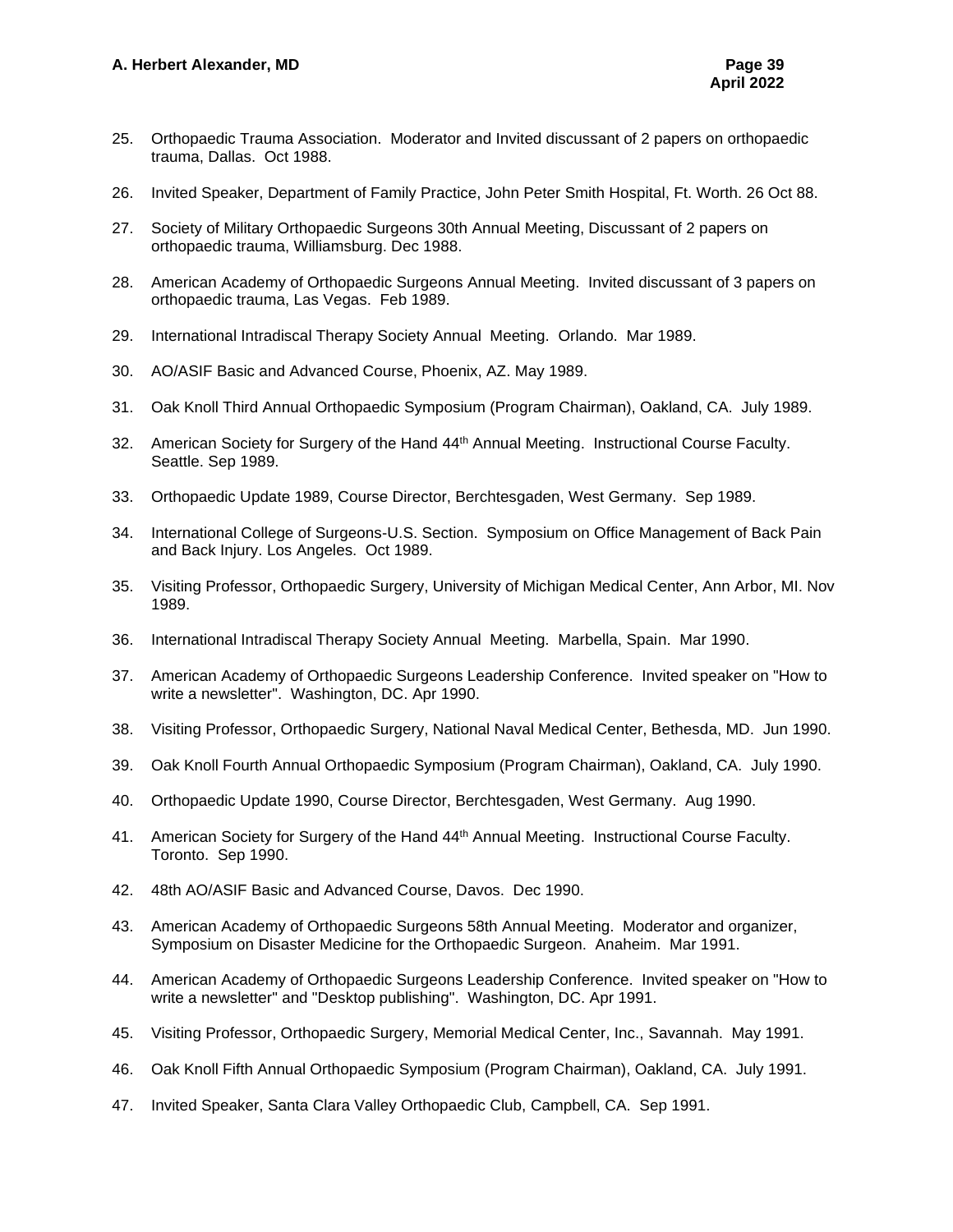- 25. Orthopaedic Trauma Association. Moderator and Invited discussant of 2 papers on orthopaedic trauma, Dallas. Oct 1988.
- 26. Invited Speaker, Department of Family Practice, John Peter Smith Hospital, Ft. Worth. 26 Oct 88.
- 27. Society of Military Orthopaedic Surgeons 30th Annual Meeting, Discussant of 2 papers on orthopaedic trauma, Williamsburg. Dec 1988.
- 28. American Academy of Orthopaedic Surgeons Annual Meeting. Invited discussant of 3 papers on orthopaedic trauma, Las Vegas. Feb 1989.
- 29. International Intradiscal Therapy Society Annual Meeting. Orlando. Mar 1989.
- 30. AO/ASIF Basic and Advanced Course, Phoenix, AZ. May 1989.
- 31. Oak Knoll Third Annual Orthopaedic Symposium (Program Chairman), Oakland, CA. July 1989.
- 32. American Society for Surgery of the Hand 44<sup>th</sup> Annual Meeting. Instructional Course Faculty. Seattle. Sep 1989.
- 33. Orthopaedic Update 1989, Course Director, Berchtesgaden, West Germany. Sep 1989.
- 34. International College of Surgeons-U.S. Section. Symposium on Office Management of Back Pain and Back Injury. Los Angeles. Oct 1989.
- 35. Visiting Professor, Orthopaedic Surgery, University of Michigan Medical Center, Ann Arbor, MI. Nov 1989.
- 36. International Intradiscal Therapy Society Annual Meeting. Marbella, Spain. Mar 1990.
- 37. American Academy of Orthopaedic Surgeons Leadership Conference. Invited speaker on "How to write a newsletter". Washington, DC. Apr 1990.
- 38. Visiting Professor, Orthopaedic Surgery, National Naval Medical Center, Bethesda, MD. Jun 1990.
- 39. Oak Knoll Fourth Annual Orthopaedic Symposium (Program Chairman), Oakland, CA. July 1990.
- 40. Orthopaedic Update 1990, Course Director, Berchtesgaden, West Germany. Aug 1990.
- 41. American Society for Surgery of the Hand 44th Annual Meeting. Instructional Course Faculty. Toronto. Sep 1990.
- 42. 48th AO/ASIF Basic and Advanced Course, Davos. Dec 1990.
- 43. American Academy of Orthopaedic Surgeons 58th Annual Meeting. Moderator and organizer, Symposium on Disaster Medicine for the Orthopaedic Surgeon. Anaheim. Mar 1991.
- 44. American Academy of Orthopaedic Surgeons Leadership Conference. Invited speaker on "How to write a newsletter" and "Desktop publishing". Washington, DC. Apr 1991.
- 45. Visiting Professor, Orthopaedic Surgery, Memorial Medical Center, Inc., Savannah. May 1991.
- 46. Oak Knoll Fifth Annual Orthopaedic Symposium (Program Chairman), Oakland, CA. July 1991.
- 47. Invited Speaker, Santa Clara Valley Orthopaedic Club, Campbell, CA. Sep 1991.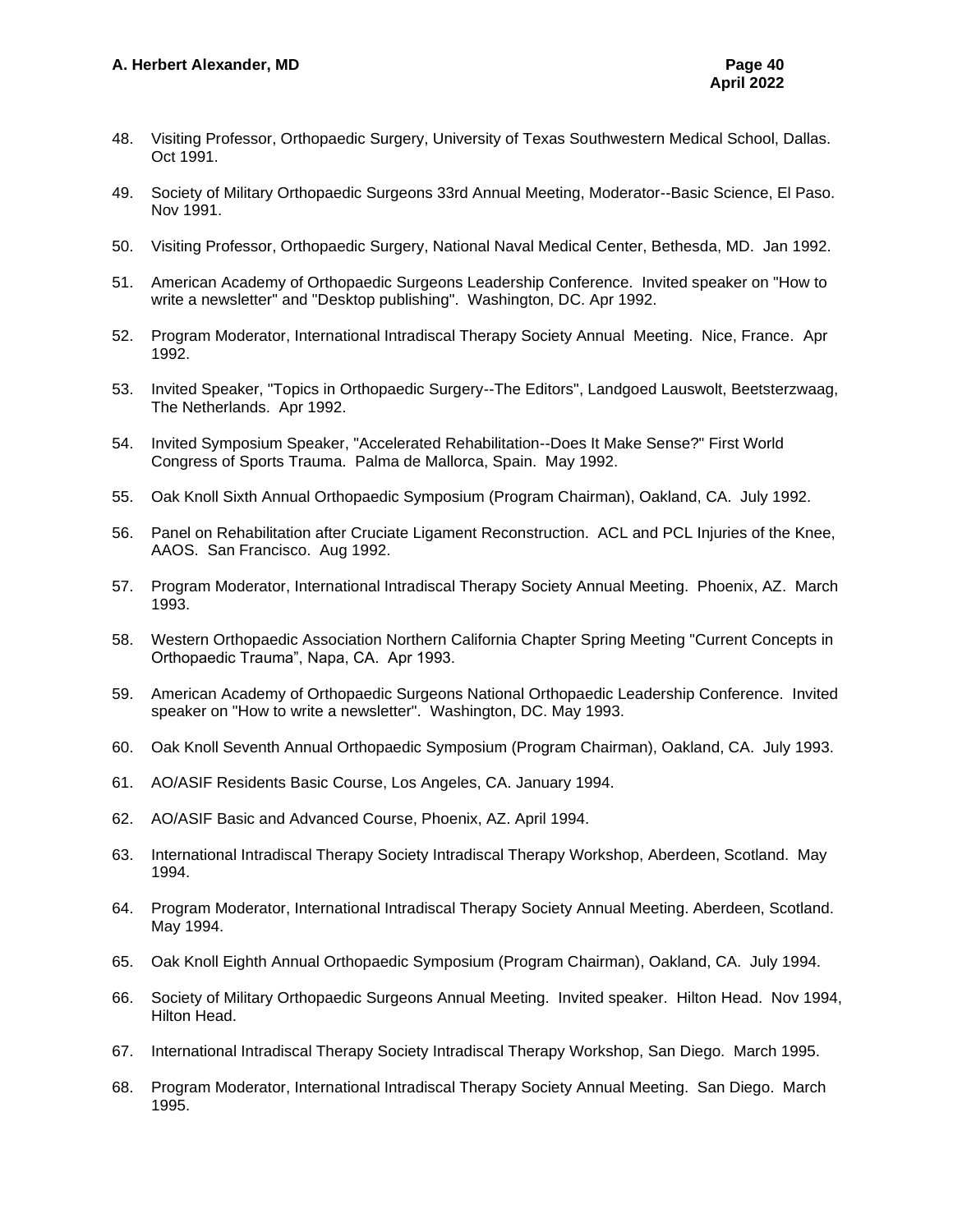- 48. Visiting Professor, Orthopaedic Surgery, University of Texas Southwestern Medical School, Dallas. Oct 1991.
- 49. Society of Military Orthopaedic Surgeons 33rd Annual Meeting, Moderator--Basic Science, El Paso. Nov 1991.
- 50. Visiting Professor, Orthopaedic Surgery, National Naval Medical Center, Bethesda, MD. Jan 1992.
- 51. American Academy of Orthopaedic Surgeons Leadership Conference. Invited speaker on "How to write a newsletter" and "Desktop publishing". Washington, DC. Apr 1992.
- 52. Program Moderator, International Intradiscal Therapy Society Annual Meeting. Nice, France. Apr 1992.
- 53. Invited Speaker, "Topics in Orthopaedic Surgery--The Editors", Landgoed Lauswolt, Beetsterzwaag, The Netherlands. Apr 1992.
- 54. Invited Symposium Speaker, "Accelerated Rehabilitation--Does It Make Sense?" First World Congress of Sports Trauma. Palma de Mallorca, Spain. May 1992.
- 55. Oak Knoll Sixth Annual Orthopaedic Symposium (Program Chairman), Oakland, CA. July 1992.
- 56. Panel on Rehabilitation after Cruciate Ligament Reconstruction. ACL and PCL Injuries of the Knee, AAOS. San Francisco. Aug 1992.
- 57. Program Moderator, International Intradiscal Therapy Society Annual Meeting. Phoenix, AZ. March 1993.
- 58. Western Orthopaedic Association Northern California Chapter Spring Meeting "Current Concepts in Orthopaedic Trauma", Napa, CA. Apr 1993.
- 59. American Academy of Orthopaedic Surgeons National Orthopaedic Leadership Conference. Invited speaker on "How to write a newsletter". Washington, DC. May 1993.
- 60. Oak Knoll Seventh Annual Orthopaedic Symposium (Program Chairman), Oakland, CA. July 1993.
- 61. AO/ASIF Residents Basic Course, Los Angeles, CA. January 1994.
- 62. AO/ASIF Basic and Advanced Course, Phoenix, AZ. April 1994.
- 63. International Intradiscal Therapy Society Intradiscal Therapy Workshop, Aberdeen, Scotland. May 1994.
- 64. Program Moderator, International Intradiscal Therapy Society Annual Meeting. Aberdeen, Scotland. May 1994.
- 65. Oak Knoll Eighth Annual Orthopaedic Symposium (Program Chairman), Oakland, CA. July 1994.
- 66. Society of Military Orthopaedic Surgeons Annual Meeting. Invited speaker. Hilton Head. Nov 1994, Hilton Head.
- 67. International Intradiscal Therapy Society Intradiscal Therapy Workshop, San Diego. March 1995.
- 68. Program Moderator, International Intradiscal Therapy Society Annual Meeting. San Diego. March 1995.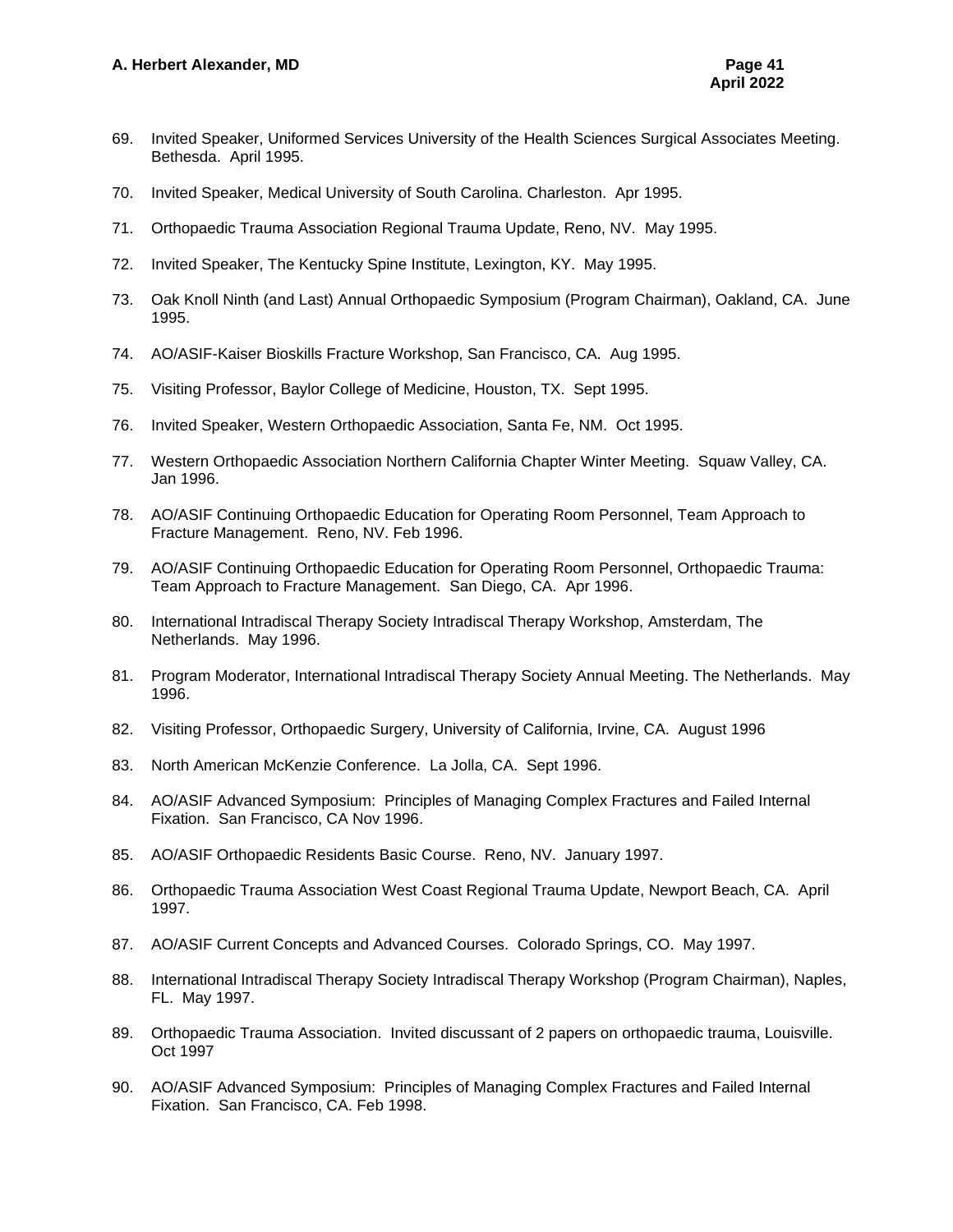- 69. Invited Speaker, Uniformed Services University of the Health Sciences Surgical Associates Meeting. Bethesda. April 1995.
- 70. Invited Speaker, Medical University of South Carolina. Charleston. Apr 1995.
- 71. Orthopaedic Trauma Association Regional Trauma Update, Reno, NV. May 1995.
- 72. Invited Speaker, The Kentucky Spine Institute, Lexington, KY. May 1995.
- 73. Oak Knoll Ninth (and Last) Annual Orthopaedic Symposium (Program Chairman), Oakland, CA. June 1995.
- 74. AO/ASIF-Kaiser Bioskills Fracture Workshop, San Francisco, CA. Aug 1995.
- 75. Visiting Professor, Baylor College of Medicine, Houston, TX. Sept 1995.
- 76. Invited Speaker, Western Orthopaedic Association, Santa Fe, NM. Oct 1995.
- 77. Western Orthopaedic Association Northern California Chapter Winter Meeting. Squaw Valley, CA. Jan 1996.
- 78. AO/ASIF Continuing Orthopaedic Education for Operating Room Personnel, Team Approach to Fracture Management. Reno, NV. Feb 1996.
- 79. AO/ASIF Continuing Orthopaedic Education for Operating Room Personnel, Orthopaedic Trauma: Team Approach to Fracture Management. San Diego, CA. Apr 1996.
- 80. International Intradiscal Therapy Society Intradiscal Therapy Workshop, Amsterdam, The Netherlands. May 1996.
- 81. Program Moderator, International Intradiscal Therapy Society Annual Meeting. The Netherlands. May 1996.
- 82. Visiting Professor, Orthopaedic Surgery, University of California, Irvine, CA. August 1996
- 83. North American McKenzie Conference. La Jolla, CA. Sept 1996.
- 84. AO/ASIF Advanced Symposium: Principles of Managing Complex Fractures and Failed Internal Fixation. San Francisco, CA Nov 1996.
- 85. AO/ASIF Orthopaedic Residents Basic Course. Reno, NV. January 1997.
- 86. Orthopaedic Trauma Association West Coast Regional Trauma Update, Newport Beach, CA. April 1997.
- 87. AO/ASIF Current Concepts and Advanced Courses. Colorado Springs, CO. May 1997.
- 88. International Intradiscal Therapy Society Intradiscal Therapy Workshop (Program Chairman), Naples, FL. May 1997.
- 89. Orthopaedic Trauma Association. Invited discussant of 2 papers on orthopaedic trauma, Louisville. Oct 1997
- 90. AO/ASIF Advanced Symposium: Principles of Managing Complex Fractures and Failed Internal Fixation. San Francisco, CA. Feb 1998.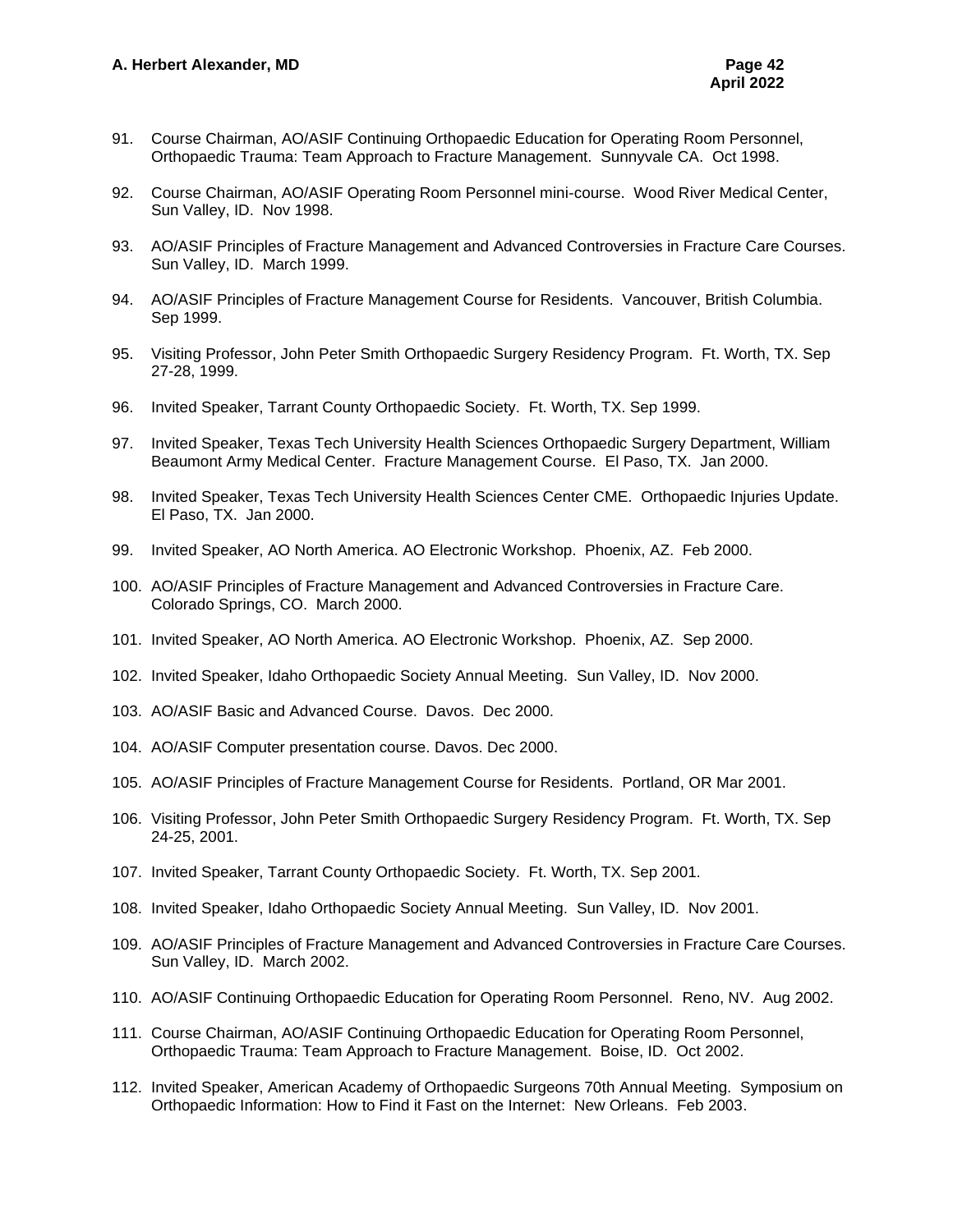- 91. Course Chairman, AO/ASIF Continuing Orthopaedic Education for Operating Room Personnel, Orthopaedic Trauma: Team Approach to Fracture Management. Sunnyvale CA. Oct 1998.
- 92. Course Chairman, AO/ASIF Operating Room Personnel mini-course. Wood River Medical Center, Sun Valley, ID. Nov 1998.
- 93. AO/ASIF Principles of Fracture Management and Advanced Controversies in Fracture Care Courses. Sun Valley, ID. March 1999.
- 94. AO/ASIF Principles of Fracture Management Course for Residents. Vancouver, British Columbia. Sep 1999.
- 95. Visiting Professor, John Peter Smith Orthopaedic Surgery Residency Program. Ft. Worth, TX. Sep 27-28, 1999.
- 96. Invited Speaker, Tarrant County Orthopaedic Society. Ft. Worth, TX. Sep 1999.
- 97. Invited Speaker, Texas Tech University Health Sciences Orthopaedic Surgery Department, William Beaumont Army Medical Center. Fracture Management Course. El Paso, TX. Jan 2000.
- 98. Invited Speaker, Texas Tech University Health Sciences Center CME. Orthopaedic Injuries Update. El Paso, TX. Jan 2000.
- 99. Invited Speaker, AO North America. AO Electronic Workshop. Phoenix, AZ. Feb 2000.
- 100. AO/ASIF Principles of Fracture Management and Advanced Controversies in Fracture Care. Colorado Springs, CO. March 2000.
- 101. Invited Speaker, AO North America. AO Electronic Workshop. Phoenix, AZ. Sep 2000.
- 102. Invited Speaker, Idaho Orthopaedic Society Annual Meeting. Sun Valley, ID. Nov 2000.
- 103. AO/ASIF Basic and Advanced Course. Davos. Dec 2000.
- 104. AO/ASIF Computer presentation course. Davos. Dec 2000.
- 105. AO/ASIF Principles of Fracture Management Course for Residents. Portland, OR Mar 2001.
- 106. Visiting Professor, John Peter Smith Orthopaedic Surgery Residency Program. Ft. Worth, TX. Sep 24-25, 2001.
- 107. Invited Speaker, Tarrant County Orthopaedic Society. Ft. Worth, TX. Sep 2001.
- 108. Invited Speaker, Idaho Orthopaedic Society Annual Meeting. Sun Valley, ID. Nov 2001.
- 109. AO/ASIF Principles of Fracture Management and Advanced Controversies in Fracture Care Courses. Sun Valley, ID. March 2002.
- 110. AO/ASIF Continuing Orthopaedic Education for Operating Room Personnel. Reno, NV. Aug 2002.
- 111. Course Chairman, AO/ASIF Continuing Orthopaedic Education for Operating Room Personnel, Orthopaedic Trauma: Team Approach to Fracture Management. Boise, ID. Oct 2002.
- 112. Invited Speaker, American Academy of Orthopaedic Surgeons 70th Annual Meeting. Symposium on Orthopaedic Information: How to Find it Fast on the Internet: New Orleans. Feb 2003.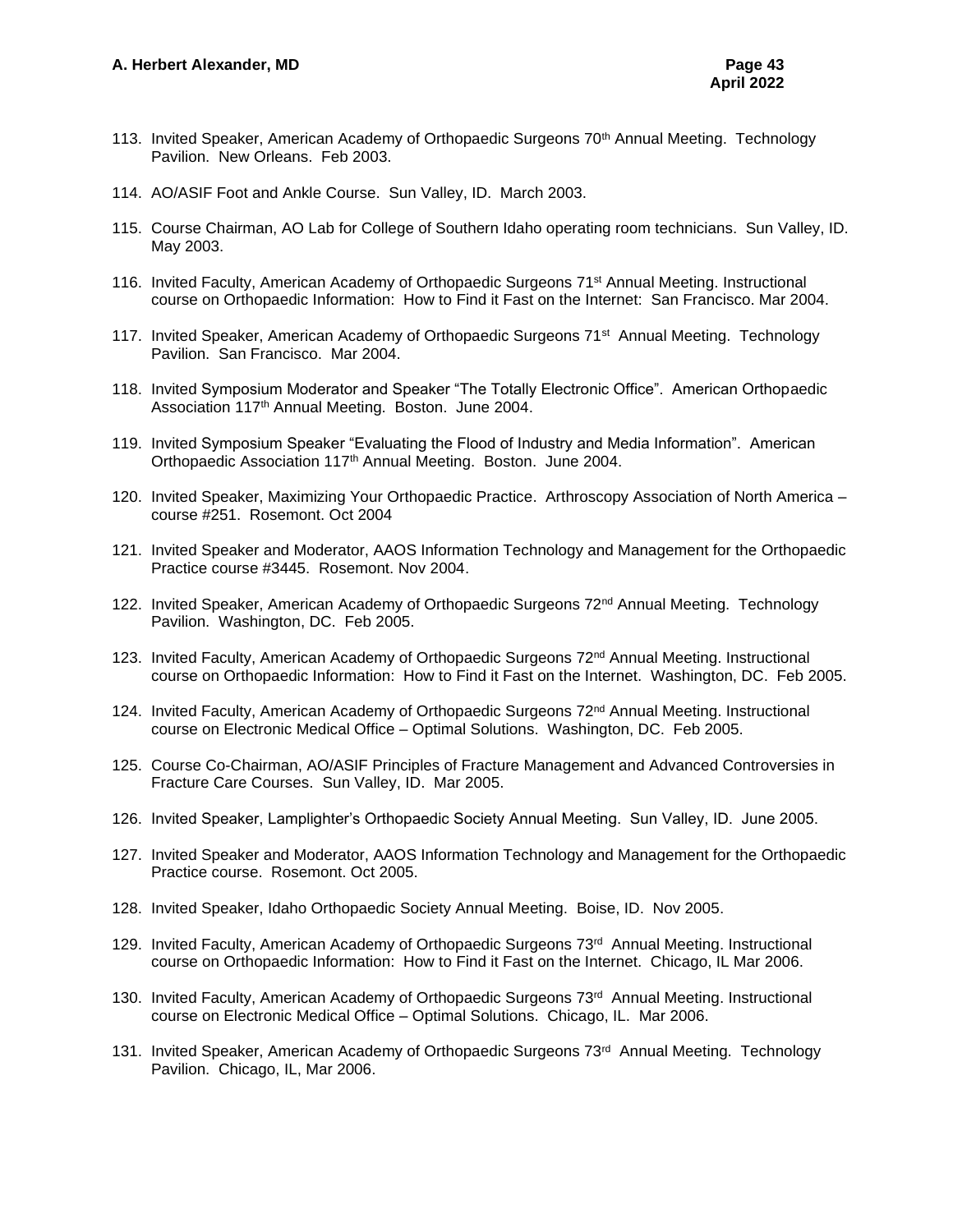- 113. Invited Speaker, American Academy of Orthopaedic Surgeons 70<sup>th</sup> Annual Meeting. Technology Pavilion. New Orleans. Feb 2003.
- 114. AO/ASIF Foot and Ankle Course. Sun Valley, ID. March 2003.
- 115. Course Chairman, AO Lab for College of Southern Idaho operating room technicians. Sun Valley, ID. May 2003.
- 116. Invited Faculty, American Academy of Orthopaedic Surgeons 71st Annual Meeting. Instructional course on Orthopaedic Information: How to Find it Fast on the Internet: San Francisco. Mar 2004.
- 117. Invited Speaker, American Academy of Orthopaedic Surgeons 71<sup>st</sup> Annual Meeting. Technology Pavilion. San Francisco. Mar 2004.
- 118. Invited Symposium Moderator and Speaker "The Totally Electronic Office". American Orthopaedic Association 117th Annual Meeting. Boston. June 2004.
- 119. Invited Symposium Speaker "Evaluating the Flood of Industry and Media Information". American Orthopaedic Association 117<sup>th</sup> Annual Meeting. Boston. June 2004.
- 120. Invited Speaker, Maximizing Your Orthopaedic Practice. Arthroscopy Association of North America course #251. Rosemont. Oct 2004
- 121. Invited Speaker and Moderator, AAOS Information Technology and Management for the Orthopaedic Practice course #3445. Rosemont. Nov 2004.
- 122. Invited Speaker, American Academy of Orthopaedic Surgeons 72<sup>nd</sup> Annual Meeting. Technology Pavilion. Washington, DC. Feb 2005.
- 123. Invited Faculty, American Academy of Orthopaedic Surgeons 72<sup>nd</sup> Annual Meeting. Instructional course on Orthopaedic Information: How to Find it Fast on the Internet. Washington, DC. Feb 2005.
- 124. Invited Faculty, American Academy of Orthopaedic Surgeons 72<sup>nd</sup> Annual Meeting. Instructional course on Electronic Medical Office – Optimal Solutions. Washington, DC. Feb 2005.
- 125. Course Co-Chairman, AO/ASIF Principles of Fracture Management and Advanced Controversies in Fracture Care Courses. Sun Valley, ID. Mar 2005.
- 126. Invited Speaker, Lamplighter's Orthopaedic Society Annual Meeting. Sun Valley, ID. June 2005.
- 127. Invited Speaker and Moderator, AAOS Information Technology and Management for the Orthopaedic Practice course. Rosemont. Oct 2005.
- 128. Invited Speaker, Idaho Orthopaedic Society Annual Meeting. Boise, ID. Nov 2005.
- 129. Invited Faculty, American Academy of Orthopaedic Surgeons 73<sup>rd</sup> Annual Meeting. Instructional course on Orthopaedic Information: How to Find it Fast on the Internet. Chicago, IL Mar 2006.
- 130. Invited Faculty, American Academy of Orthopaedic Surgeons 73<sup>rd</sup> Annual Meeting. Instructional course on Electronic Medical Office – Optimal Solutions. Chicago, IL. Mar 2006.
- 131. Invited Speaker, American Academy of Orthopaedic Surgeons 73<sup>rd</sup> Annual Meeting. Technology Pavilion. Chicago, IL, Mar 2006.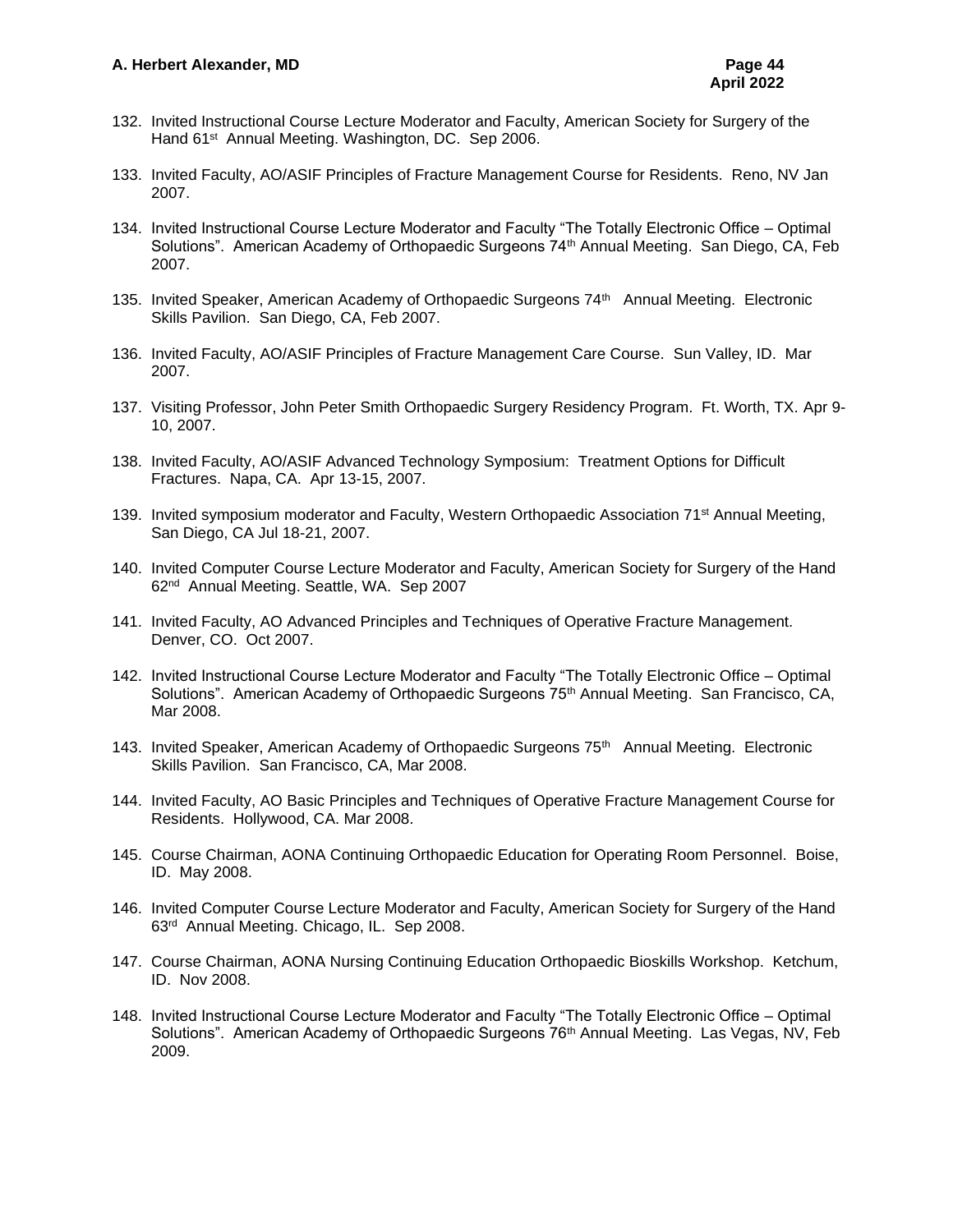- 132. Invited Instructional Course Lecture Moderator and Faculty, American Society for Surgery of the Hand 61<sup>st</sup> Annual Meeting. Washington, DC. Sep 2006.
- 133. Invited Faculty, AO/ASIF Principles of Fracture Management Course for Residents. Reno, NV Jan 2007.
- 134. Invited Instructional Course Lecture Moderator and Faculty "The Totally Electronic Office Optimal Solutions". American Academy of Orthopaedic Surgeons 74<sup>th</sup> Annual Meeting. San Diego, CA, Feb 2007.
- 135. Invited Speaker, American Academy of Orthopaedic Surgeons 74<sup>th</sup> Annual Meeting. Electronic Skills Pavilion. San Diego, CA, Feb 2007.
- 136. Invited Faculty, AO/ASIF Principles of Fracture Management Care Course. Sun Valley, ID. Mar 2007.
- 137. Visiting Professor, John Peter Smith Orthopaedic Surgery Residency Program. Ft. Worth, TX. Apr 9- 10, 2007.
- 138. Invited Faculty, AO/ASIF Advanced Technology Symposium: Treatment Options for Difficult Fractures. Napa, CA. Apr 13-15, 2007.
- 139. Invited symposium moderator and Faculty, Western Orthopaedic Association 71<sup>st</sup> Annual Meeting, San Diego, CA Jul 18-21, 2007.
- 140. Invited Computer Course Lecture Moderator and Faculty, American Society for Surgery of the Hand 62nd Annual Meeting. Seattle, WA. Sep 2007
- 141. Invited Faculty, AO Advanced Principles and Techniques of Operative Fracture Management. Denver, CO. Oct 2007.
- 142. Invited Instructional Course Lecture Moderator and Faculty "The Totally Electronic Office Optimal Solutions". American Academy of Orthopaedic Surgeons 75<sup>th</sup> Annual Meeting. San Francisco, CA, Mar 2008.
- 143. Invited Speaker, American Academy of Orthopaedic Surgeons 75<sup>th</sup> Annual Meeting. Electronic Skills Pavilion. San Francisco, CA, Mar 2008.
- 144. Invited Faculty, AO Basic Principles and Techniques of Operative Fracture Management Course for Residents. Hollywood, CA. Mar 2008.
- 145. Course Chairman, AONA Continuing Orthopaedic Education for Operating Room Personnel. Boise, ID. May 2008.
- 146. Invited Computer Course Lecture Moderator and Faculty, American Society for Surgery of the Hand 63rd Annual Meeting. Chicago, IL. Sep 2008.
- 147. Course Chairman, AONA Nursing Continuing Education Orthopaedic Bioskills Workshop. Ketchum, ID. Nov 2008.
- 148. Invited Instructional Course Lecture Moderator and Faculty "The Totally Electronic Office Optimal Solutions". American Academy of Orthopaedic Surgeons 76<sup>th</sup> Annual Meeting. Las Vegas, NV, Feb 2009.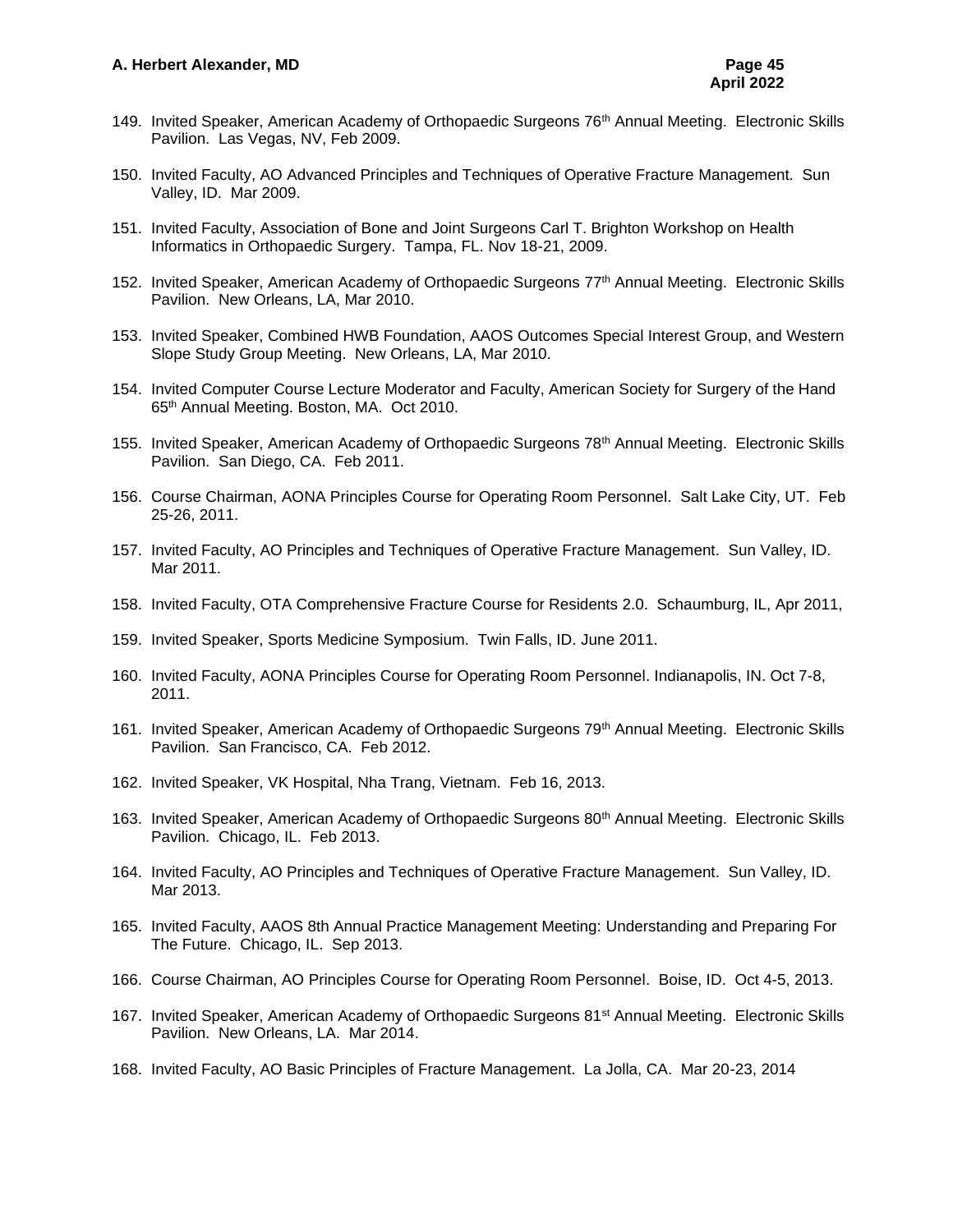- 149. Invited Speaker, American Academy of Orthopaedic Surgeons 76<sup>th</sup> Annual Meeting. Electronic Skills Pavilion. Las Vegas, NV, Feb 2009.
- 150. Invited Faculty, AO Advanced Principles and Techniques of Operative Fracture Management. Sun Valley, ID. Mar 2009.
- 151. Invited Faculty, Association of Bone and Joint Surgeons Carl T. Brighton Workshop on Health Informatics in Orthopaedic Surgery. Tampa, FL. Nov 18-21, 2009.
- 152. Invited Speaker, American Academy of Orthopaedic Surgeons 77<sup>th</sup> Annual Meeting. Electronic Skills Pavilion. New Orleans, LA, Mar 2010.
- 153. Invited Speaker, Combined HWB Foundation, AAOS Outcomes Special Interest Group, and Western Slope Study Group Meeting. New Orleans, LA, Mar 2010.
- 154. Invited Computer Course Lecture Moderator and Faculty, American Society for Surgery of the Hand 65th Annual Meeting. Boston, MA. Oct 2010.
- 155. Invited Speaker, American Academy of Orthopaedic Surgeons 78th Annual Meeting. Electronic Skills Pavilion. San Diego, CA. Feb 2011.
- 156. Course Chairman, AONA Principles Course for Operating Room Personnel. Salt Lake City, UT. Feb 25-26, 2011.
- 157. Invited Faculty, AO Principles and Techniques of Operative Fracture Management. Sun Valley, ID. Mar 2011.
- 158. Invited Faculty, OTA Comprehensive Fracture Course for Residents 2.0. Schaumburg, IL, Apr 2011,
- 159. Invited Speaker, Sports Medicine Symposium. Twin Falls, ID. June 2011.
- 160. Invited Faculty, AONA Principles Course for Operating Room Personnel. Indianapolis, IN. Oct 7-8, 2011.
- 161. Invited Speaker, American Academy of Orthopaedic Surgeons 79<sup>th</sup> Annual Meeting. Electronic Skills Pavilion. San Francisco, CA. Feb 2012.
- 162. Invited Speaker, VK Hospital, Nha Trang, Vietnam. Feb 16, 2013.
- 163. Invited Speaker, American Academy of Orthopaedic Surgeons 80<sup>th</sup> Annual Meeting. Electronic Skills Pavilion. Chicago, IL. Feb 2013.
- 164. Invited Faculty, AO Principles and Techniques of Operative Fracture Management. Sun Valley, ID. Mar 2013.
- 165. Invited Faculty, AAOS 8th Annual Practice Management Meeting: Understanding and Preparing For The Future. Chicago, IL. Sep 2013.
- 166. Course Chairman, AO Principles Course for Operating Room Personnel. Boise, ID. Oct 4-5, 2013.
- 167. Invited Speaker, American Academy of Orthopaedic Surgeons 81<sup>st</sup> Annual Meeting. Electronic Skills Pavilion. New Orleans, LA. Mar 2014.
- 168. Invited Faculty, AO Basic Principles of Fracture Management. La Jolla, CA. Mar 20-23, 2014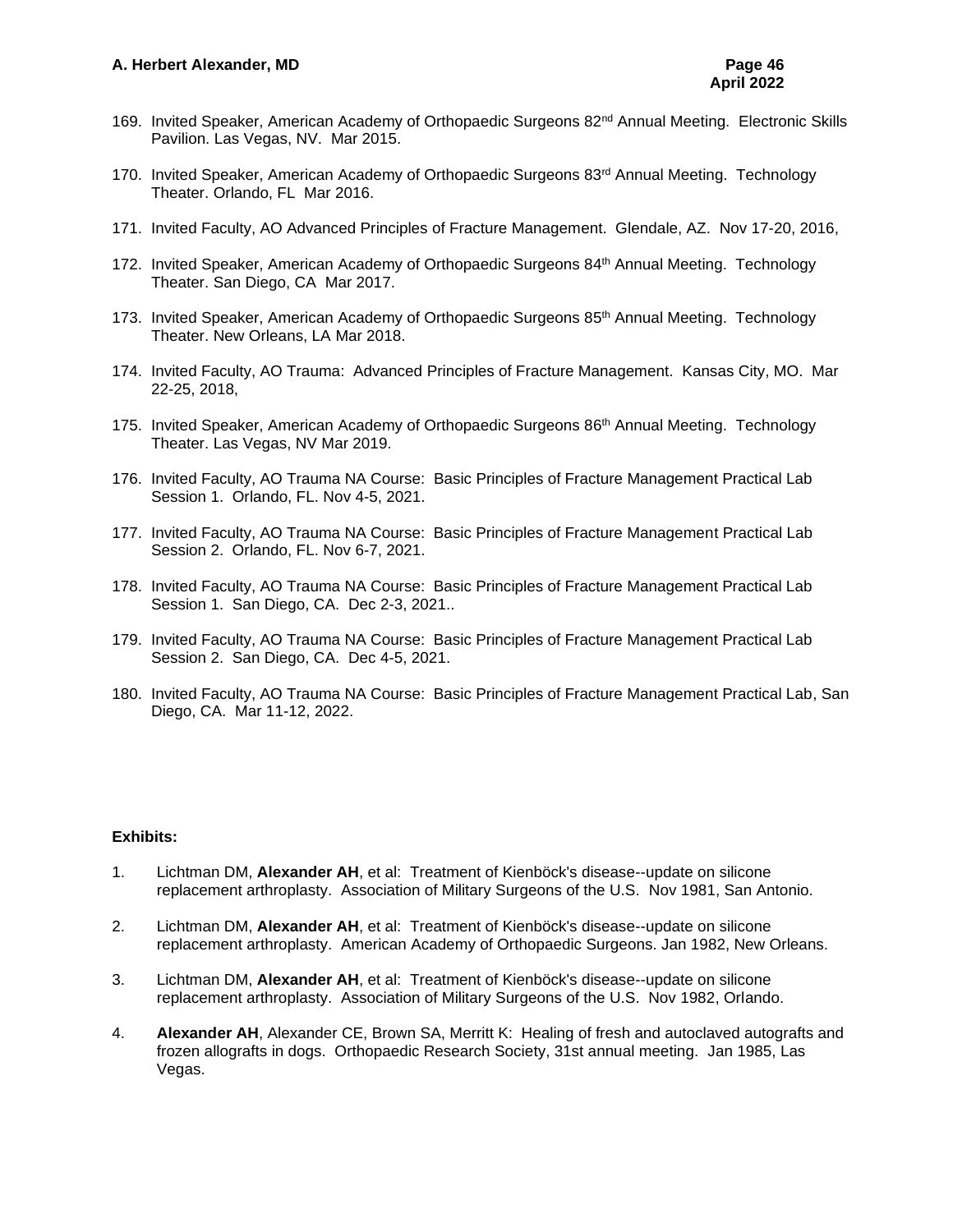- 169. Invited Speaker, American Academy of Orthopaedic Surgeons 82<sup>nd</sup> Annual Meeting. Electronic Skills Pavilion. Las Vegas, NV. Mar 2015.
- 170. Invited Speaker, American Academy of Orthopaedic Surgeons 83<sup>rd</sup> Annual Meeting. Technology Theater. Orlando, FL Mar 2016.
- 171. Invited Faculty, AO Advanced Principles of Fracture Management. Glendale, AZ. Nov 17-20, 2016,
- 172. Invited Speaker, American Academy of Orthopaedic Surgeons 84<sup>th</sup> Annual Meeting. Technology Theater. San Diego, CA Mar 2017.
- 173. Invited Speaker, American Academy of Orthopaedic Surgeons 85<sup>th</sup> Annual Meeting. Technology Theater. New Orleans, LA Mar 2018.
- 174. Invited Faculty, AO Trauma: Advanced Principles of Fracture Management. Kansas City, MO. Mar 22-25, 2018,
- 175. Invited Speaker, American Academy of Orthopaedic Surgeons 86<sup>th</sup> Annual Meeting. Technology Theater. Las Vegas, NV Mar 2019.
- 176. Invited Faculty, AO Trauma NA Course: Basic Principles of Fracture Management Practical Lab Session 1. Orlando, FL. Nov 4-5, 2021.
- 177. Invited Faculty, AO Trauma NA Course: Basic Principles of Fracture Management Practical Lab Session 2. Orlando, FL. Nov 6-7, 2021.
- 178. Invited Faculty, AO Trauma NA Course: Basic Principles of Fracture Management Practical Lab Session 1. San Diego, CA. Dec 2-3, 2021..
- 179. Invited Faculty, AO Trauma NA Course: Basic Principles of Fracture Management Practical Lab Session 2. San Diego, CA. Dec 4-5, 2021.
- 180. Invited Faculty, AO Trauma NA Course: Basic Principles of Fracture Management Practical Lab, San Diego, CA. Mar 11-12, 2022.

#### **Exhibits:**

- 1. Lichtman DM, **Alexander AH**, et al: Treatment of Kienböck's disease--update on silicone replacement arthroplasty. Association of Military Surgeons of the U.S. Nov 1981, San Antonio.
- 2. Lichtman DM, **Alexander AH**, et al: Treatment of Kienböck's disease--update on silicone replacement arthroplasty. American Academy of Orthopaedic Surgeons. Jan 1982, New Orleans.
- 3. Lichtman DM, **Alexander AH**, et al: Treatment of Kienböck's disease--update on silicone replacement arthroplasty. Association of Military Surgeons of the U.S. Nov 1982, Orlando.
- 4. **Alexander AH**, Alexander CE, Brown SA, Merritt K: Healing of fresh and autoclaved autografts and frozen allografts in dogs. Orthopaedic Research Society, 31st annual meeting. Jan 1985, Las Vegas.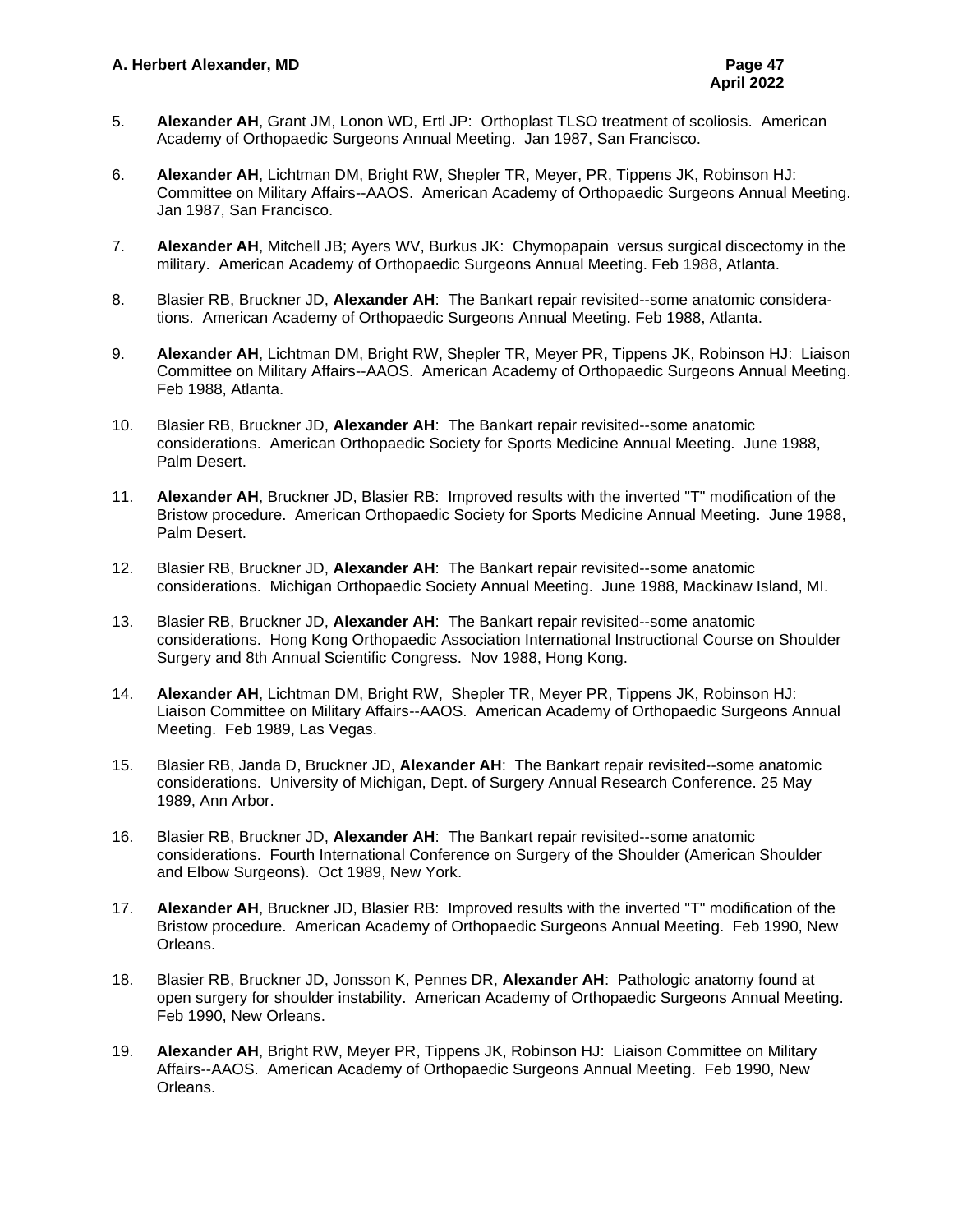- 5. **Alexander AH**, Grant JM, Lonon WD, Ertl JP: Orthoplast TLSO treatment of scoliosis. American Academy of Orthopaedic Surgeons Annual Meeting. Jan 1987, San Francisco.
- 6. **Alexander AH**, Lichtman DM, Bright RW, Shepler TR, Meyer, PR, Tippens JK, Robinson HJ: Committee on Military Affairs--AAOS. American Academy of Orthopaedic Surgeons Annual Meeting. Jan 1987, San Francisco.
- 7. **Alexander AH**, Mitchell JB; Ayers WV, Burkus JK: Chymopapain versus surgical discectomy in the military. American Academy of Orthopaedic Surgeons Annual Meeting. Feb 1988, Atlanta.
- 8. Blasier RB, Bruckner JD, **Alexander AH**: The Bankart repair revisited--some anatomic considerations. American Academy of Orthopaedic Surgeons Annual Meeting. Feb 1988, Atlanta.
- 9. **Alexander AH**, Lichtman DM, Bright RW, Shepler TR, Meyer PR, Tippens JK, Robinson HJ: Liaison Committee on Military Affairs--AAOS. American Academy of Orthopaedic Surgeons Annual Meeting. Feb 1988, Atlanta.
- 10. Blasier RB, Bruckner JD, **Alexander AH**: The Bankart repair revisited--some anatomic considerations. American Orthopaedic Society for Sports Medicine Annual Meeting. June 1988, Palm Desert.
- 11. **Alexander AH**, Bruckner JD, Blasier RB: Improved results with the inverted "T" modification of the Bristow procedure. American Orthopaedic Society for Sports Medicine Annual Meeting. June 1988, Palm Desert.
- 12. Blasier RB, Bruckner JD, **Alexander AH**: The Bankart repair revisited--some anatomic considerations. Michigan Orthopaedic Society Annual Meeting. June 1988, Mackinaw Island, MI.
- 13. Blasier RB, Bruckner JD, **Alexander AH**: The Bankart repair revisited--some anatomic considerations. Hong Kong Orthopaedic Association International Instructional Course on Shoulder Surgery and 8th Annual Scientific Congress. Nov 1988, Hong Kong.
- 14. **Alexander AH**, Lichtman DM, Bright RW, Shepler TR, Meyer PR, Tippens JK, Robinson HJ: Liaison Committee on Military Affairs--AAOS. American Academy of Orthopaedic Surgeons Annual Meeting. Feb 1989, Las Vegas.
- 15. Blasier RB, Janda D, Bruckner JD, **Alexander AH**: The Bankart repair revisited--some anatomic considerations. University of Michigan, Dept. of Surgery Annual Research Conference. 25 May 1989, Ann Arbor.
- 16. Blasier RB, Bruckner JD, **Alexander AH**: The Bankart repair revisited--some anatomic considerations. Fourth International Conference on Surgery of the Shoulder (American Shoulder and Elbow Surgeons). Oct 1989, New York.
- 17. **Alexander AH**, Bruckner JD, Blasier RB: Improved results with the inverted "T" modification of the Bristow procedure. American Academy of Orthopaedic Surgeons Annual Meeting. Feb 1990, New Orleans.
- 18. Blasier RB, Bruckner JD, Jonsson K, Pennes DR, **Alexander AH**: Pathologic anatomy found at open surgery for shoulder instability. American Academy of Orthopaedic Surgeons Annual Meeting. Feb 1990, New Orleans.
- 19. **Alexander AH**, Bright RW, Meyer PR, Tippens JK, Robinson HJ: Liaison Committee on Military Affairs--AAOS. American Academy of Orthopaedic Surgeons Annual Meeting. Feb 1990, New Orleans.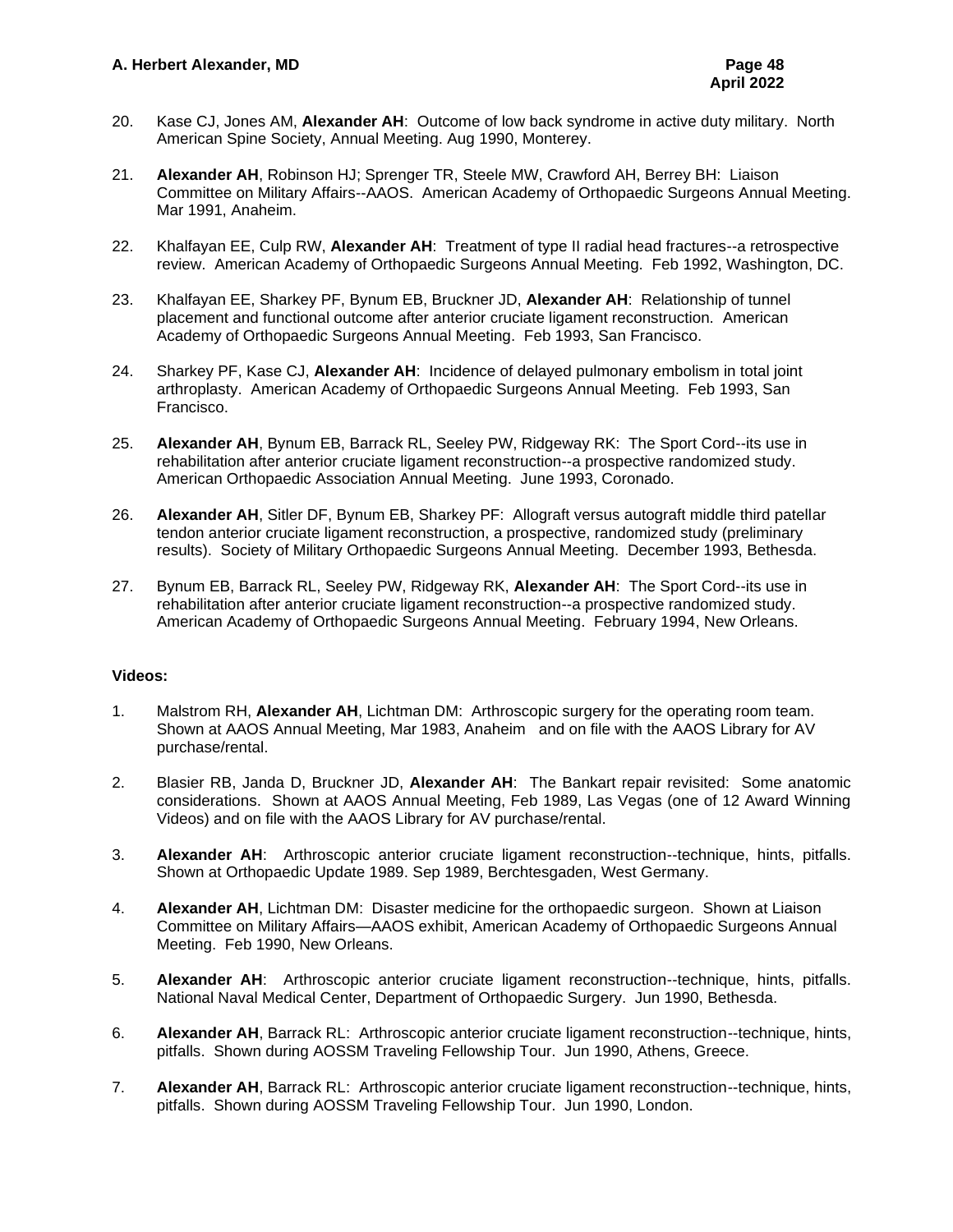- 20. Kase CJ, Jones AM, **Alexander AH**: Outcome of low back syndrome in active duty military. North American Spine Society, Annual Meeting. Aug 1990, Monterey.
- 21. **Alexander AH**, Robinson HJ; Sprenger TR, Steele MW, Crawford AH, Berrey BH: Liaison Committee on Military Affairs--AAOS. American Academy of Orthopaedic Surgeons Annual Meeting. Mar 1991, Anaheim.
- 22. Khalfayan EE, Culp RW, **Alexander AH**: Treatment of type II radial head fractures--a retrospective review. American Academy of Orthopaedic Surgeons Annual Meeting. Feb 1992, Washington, DC.
- 23. Khalfayan EE, Sharkey PF, Bynum EB, Bruckner JD, **Alexander AH**: Relationship of tunnel placement and functional outcome after anterior cruciate ligament reconstruction. American Academy of Orthopaedic Surgeons Annual Meeting. Feb 1993, San Francisco.
- 24. Sharkey PF, Kase CJ, **Alexander AH**: Incidence of delayed pulmonary embolism in total joint arthroplasty. American Academy of Orthopaedic Surgeons Annual Meeting. Feb 1993, San Francisco.
- 25. **Alexander AH**, Bynum EB, Barrack RL, Seeley PW, Ridgeway RK: The Sport Cord--its use in rehabilitation after anterior cruciate ligament reconstruction--a prospective randomized study. American Orthopaedic Association Annual Meeting. June 1993, Coronado.
- 26. **Alexander AH**, Sitler DF, Bynum EB, Sharkey PF: Allograft versus autograft middle third patellar tendon anterior cruciate ligament reconstruction, a prospective, randomized study (preliminary results). Society of Military Orthopaedic Surgeons Annual Meeting. December 1993, Bethesda.
- 27. Bynum EB, Barrack RL, Seeley PW, Ridgeway RK, **Alexander AH**: The Sport Cord--its use in rehabilitation after anterior cruciate ligament reconstruction--a prospective randomized study. American Academy of Orthopaedic Surgeons Annual Meeting. February 1994, New Orleans.

## **Videos:**

- 1. Malstrom RH, **Alexander AH**, Lichtman DM: Arthroscopic surgery for the operating room team. Shown at AAOS Annual Meeting, Mar 1983, Anaheim and on file with the AAOS Library for AV purchase/rental.
- 2. Blasier RB, Janda D, Bruckner JD, **Alexander AH**: The Bankart repair revisited: Some anatomic considerations. Shown at AAOS Annual Meeting, Feb 1989, Las Vegas (one of 12 Award Winning Videos) and on file with the AAOS Library for AV purchase/rental.
- 3. **Alexander AH**: Arthroscopic anterior cruciate ligament reconstruction--technique, hints, pitfalls. Shown at Orthopaedic Update 1989. Sep 1989, Berchtesgaden, West Germany.
- 4. **Alexander AH**, Lichtman DM: Disaster medicine for the orthopaedic surgeon. Shown at Liaison Committee on Military Affairs—AAOS exhibit, American Academy of Orthopaedic Surgeons Annual Meeting. Feb 1990, New Orleans.
- 5. **Alexander AH**: Arthroscopic anterior cruciate ligament reconstruction--technique, hints, pitfalls. National Naval Medical Center, Department of Orthopaedic Surgery. Jun 1990, Bethesda.
- 6. **Alexander AH**, Barrack RL: Arthroscopic anterior cruciate ligament reconstruction--technique, hints, pitfalls. Shown during AOSSM Traveling Fellowship Tour. Jun 1990, Athens, Greece.
- 7. **Alexander AH**, Barrack RL: Arthroscopic anterior cruciate ligament reconstruction--technique, hints, pitfalls. Shown during AOSSM Traveling Fellowship Tour. Jun 1990, London.